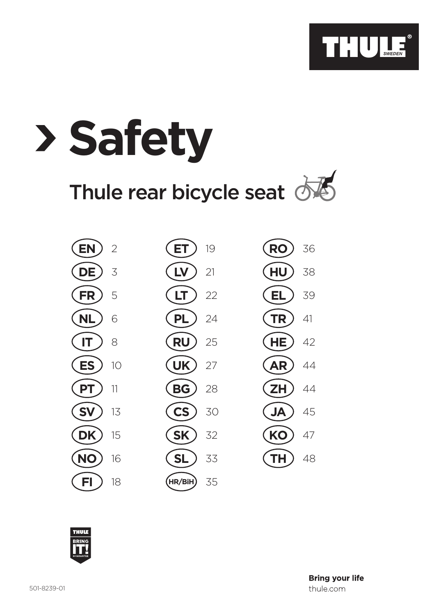

# **Safety** Thule rear bicycle seat  $\overrightarrow{C}$

| EN                     | ') |
|------------------------|----|
| $($ DE                 | 3  |
| FR<br>C                | 5  |
| N<br>(<br>L            | 6  |
| T<br>(                 | 8  |
| ES<br>(                | 10 |
| PТ<br>(                | 11 |
| $\mathbf{S}$<br>(<br>V | 13 |
| DK                     | 15 |
| C                      | 16 |
| FI                     | 18 |

| $(\text{ET})$ 19         |    | $(RO)$ 36  |    |
|--------------------------|----|------------|----|
| $($ LV $)$ 21            |    | $(HU)$ 38  |    |
| $(1)$ 22                 |    | $(EL)$ 39  |    |
| $(PL)$ 24                |    | $(TR)$ 41  |    |
| $(RU)$ 25                |    | $(HE)$ 42  |    |
| $(UK)$ 27                |    | $(AR)$ 44  |    |
| $(BG)$ 28                |    | $(ZH)$ 44  |    |
| $\left($ CS $\right)$ 30 |    | (AL)       | 45 |
| $(SK)$ 32                |    | $(KO)$ 47  |    |
| (SL)                     | 33 | $($ TH $)$ |    |
|                          |    |            |    |

**HR/BiH** 35

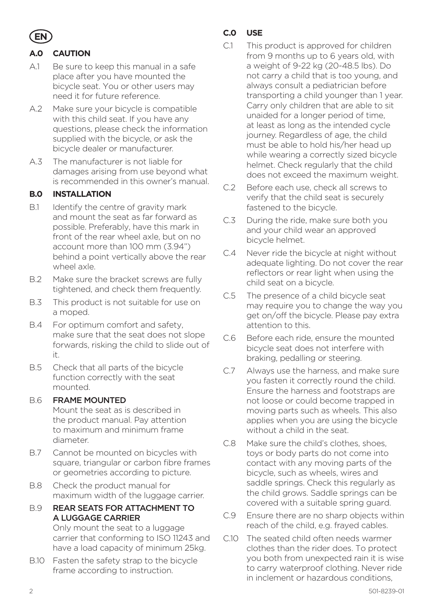

# **A.0 CAUTION**

- A.1 Be sure to keep this manual in a safe place after you have mounted the bicycle seat. You or other users may need it for future reference.
- A.2 Make sure your bicycle is compatible with this child seat. If you have any questions, please check the information supplied with the bicycle, or ask the bicycle dealer or manufacturer.
- A.3 The manufacturer is not liable for damages arising from use beyond what is recommended in this owner's manual.

#### **B.0 INSTALLATION**

- B.1 Identify the centre of gravity mark and mount the seat as far forward as possible. Preferably, have this mark in front of the rear wheel axle, but on no account more than 100 mm (3.94") behind a point vertically above the rear wheel axle.
- B.2 Make sure the bracket screws are fully tightened, and check them frequently.
- B.3 This product is not suitable for use on a moped.
- B.4 For optimum comfort and safety, make sure that the seat does not slope forwards, risking the child to slide out of it.
- B.5 Check that all parts of the bicycle function correctly with the seat mounted.

#### B.6 FRAME MOUNTED

Mount the seat as is described in the product manual. Pay attention to maximum and minimum frame diameter.

- B.7 Cannot be mounted on bicycles with square, triangular or carbon fibre frames or geometries according to picture.
- B.8 Check the product manual for maximum width of the luggage carrier.
- B.9 REAR SEATS FOR ATTACHMENT TO A LUGGAGE CARRIER

Only mount the seat to a luggage carrier that conforming to ISO 11243 and have a load capacity of minimum 25kg.

B.10 Fasten the safety strap to the bicycle frame according to instruction.

# **C.0 USE**

- C.1 This product is approved for children from 9 months up to 6 years old, with a weight of 9-22 kg (20-48.5 lbs). Do not carry a child that is too young, and always consult a pediatrician before transporting a child younger than 1 year. Carry only children that are able to sit unaided for a longer period of time, at least as long as the intended cycle journey. Regardless of age, the child must be able to hold his/her head up while wearing a correctly sized bicycle helmet. Check regularly that the child does not exceed the maximum weight.
- C.2 Before each use, check all screws to verify that the child seat is securely fastened to the bicycle.
- C.3 During the ride, make sure both you and your child wear an approved bicycle helmet.
- C.4 Never ride the bicycle at night without adequate lighting. Do not cover the rear reflectors or rear light when using the child seat on a bicycle.
- C.5 The presence of a child bicycle seat may require you to change the way you get on/off the bicycle. Please pay extra attention to this.
- C.6 Before each ride, ensure the mounted bicycle seat does not interfere with braking, pedalling or steering.
- C.7 Always use the harness, and make sure you fasten it correctly round the child. Ensure the harness and footstraps are not loose or could become trapped in moving parts such as wheels. This also applies when you are using the bicycle without a child in the seat.
- C.8 Make sure the child's clothes, shoes toys or body parts do not come into contact with any moving parts of the bicycle, such as wheels, wires and saddle springs. Check this regularly as the child grows. Saddle springs can be covered with a suitable spring quard.
- C.9 Ensure there are no sharp objects within reach of the child, e.g. frayed cables.
- C.10 The seated child often needs warmer clothes than the rider does. To protect you both from unexpected rain it is wise to carry waterproof clothing. Never ride in inclement or hazardous conditions,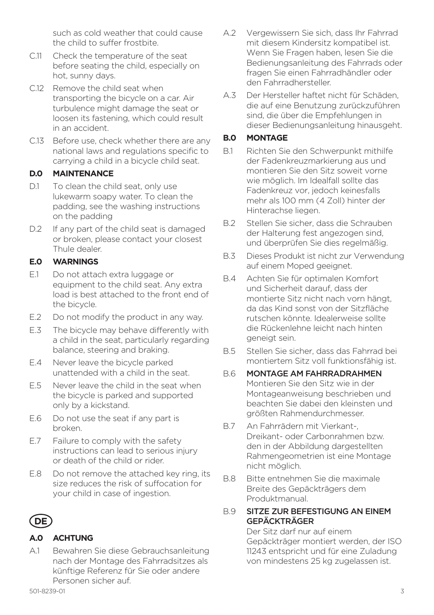such as cold weather that could cause the child to suffer frostbite.

- C.11 Check the temperature of the seat before seating the child, especially on hot, sunny days.
- C.12 Remove the child seat when transporting the bicycle on a car. Air turbulence might damage the seat or loosen its fastening, which could result in an accident.
- C.13 Before use, check whether there are any national laws and regulations specific to carrying a child in a bicycle child seat.

#### **D.0 MAINTENANCE**

- D.1 To clean the child seat, only use lukewarm soapy water. To clean the padding, see the washing instructions on the padding
- D.2 If any part of the child seat is damaged or broken, please contact your closest Thule dealer.

#### **E.0 WARNINGS**

- E.1 Do not attach extra luggage or equipment to the child seat. Any extra load is best attached to the front end of the bicycle.
- E.2 Do not modify the product in any way.
- E.3 The bicycle may behave differently with a child in the seat, particularly regarding balance, steering and braking.
- E.4 Never leave the bicycle parked unattended with a child in the seat.
- E.5 Never leave the child in the seat when the bicycle is parked and supported only by a kickstand.
- E.6 Do not use the seat if any part is broken.
- E.7 Failure to comply with the safety instructions can lead to serious injury or death of the child or rider.
- E.8 Do not remove the attached key ring, its size reduces the risk of suffocation for your child in case of ingestion.



#### **A.0 ACHTUNG**

A.1 Bewahren Sie diese Gebrauchsanleitung nach der Montage des Fahrradsitzes als künftige Referenz für Sie oder andere Personen sicher auf.

- A.2 Vergewissern Sie sich, dass Ihr Fahrrad mit diesem Kindersitz kompatibel ist. Wenn Sie Fragen haben, lesen Sie die Bedienungsanleitung des Fahrrads oder fragen Sie einen Fahrradhändler oder den Fahrradhersteller.
- A.3 Der Hersteller haftet nicht für Schäden, die auf eine Benutzung zurückzuführen sind, die über die Empfehlungen in dieser Bedienungsanleitung hinausgeht.

#### **B.0 MONTAGE**

- B.1 Richten Sie den Schwerpunkt mithilfe der Fadenkreuzmarkierung aus und montieren Sie den Sitz soweit vorne wie möglich. Im Idealfall sollte das Fadenkreuz vor, jedoch keinesfalls mehr als 100 mm (4 Zoll) hinter der Hinterachse liegen.
- B.2 Stellen Sie sicher, dass die Schrauben der Halterung fest angezogen sind, und überprüfen Sie dies regelmäßig.
- B.3 Dieses Produkt ist nicht zur Verwendung auf einem Moped geeignet.
- B.4 Achten Sie für optimalen Komfort und Sicherheit darauf, dass der montierte Sitz nicht nach vorn hängt, da das Kind sonst von der Sitzfläche rutschen könnte. Idealerweise sollte die Rückenlehne leicht nach hinten geneigt sein.
- B.5 Stellen Sie sicher, dass das Fahrrad bei montiertem Sitz voll funktionsfähig ist.
- B.6 MONTAGE AM FAHRRADRAHMEN Montieren Sie den Sitz wie in der Montageanweisung beschrieben und beachten Sie dabei den kleinsten und größten Rahmendurchmesser.
- B.7 An Fahrrädern mit Vierkant-Dreikant- oder Carbonrahmen bzw. den in der Abbildung dargestellten Rahmengeometrien ist eine Montage nicht möglich.
- B.8 Bitte entnehmen Sie die maximale Breite des Gepäckträgers dem Produktmanual.

#### B.9 SITZE ZUR BEFESTIGUNG AN EINEM GEPÄCKTRÄGER

Der Sitz darf nur auf einem Gepäckträger montiert werden, der ISO 11243 entspricht und für eine Zuladung von mindestens 25 kg zugelassen ist.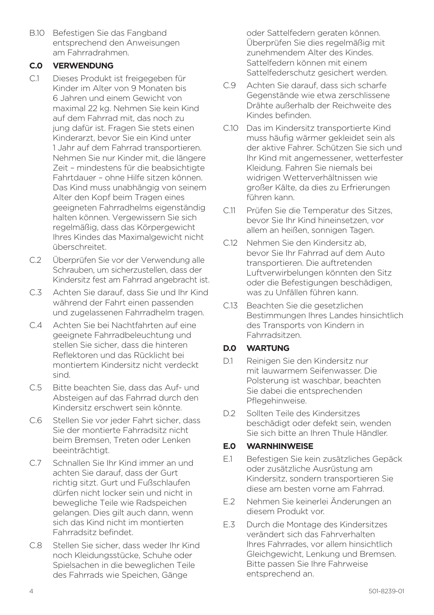B.10 Befestigen Sie das Fangband entsprechend den Anweisungen am Fahrradrahmen.

#### **C.0 VERWENDUNG**

- C.1 Dieses Produkt ist freigegeben für Kinder im Alter von 9 Monaten bis 6 Jahren und einem Gewicht von maximal 22 kg. Nehmen Sie kein Kind auf dem Fahrrad mit, das noch zu jung dafür ist. Fragen Sie stets einen Kinderarzt, bevor Sie ein Kind unter 1 Jahr auf dem Fahrrad transportieren. Nehmen Sie nur Kinder mit, die längere Zeit – mindestens für die beabsichtigte Fahrtdauer – ohne Hilfe sitzen können. Das Kind muss unabhängig von seinem Alter den Kopf beim Tragen eines geeigneten Fahrradhelms eigenständig halten können. Vergewissern Sie sich regelmäßig, dass das Körpergewicht Ihres Kindes das Maximalgewicht nicht überschreitet.
- C.2 Überprüfen Sie vor der Verwendung alle Schrauben, um sicherzustellen, dass der Kindersitz fest am Fahrrad angebracht ist.
- C.3 Achten Sie darauf, dass Sie und Ihr Kind während der Fahrt einen passenden und zugelassenen Fahrradhelm tragen.
- C.4 Achten Sie bei Nachtfahrten auf eine geeignete Fahrradbeleuchtung und stellen Sie sicher, dass die hinteren Reflektoren und das Rücklicht bei montiertem Kindersitz nicht verdeckt sind.
- C.5 Bitte beachten Sie, dass das Auf- und Absteigen auf das Fahrrad durch den Kindersitz erschwert sein könnte.
- C.6 Stellen Sie vor jeder Fahrt sicher, dass Sie der montierte Fahrradsitz nicht beim Bremsen, Treten oder Lenken beeinträchtigt.
- C.7 Schnallen Sie Ihr Kind immer an und achten Sie darauf, dass der Gurt richtig sitzt. Gurt und Fußschlaufen dürfen nicht locker sein und nicht in bewegliche Teile wie Radspeichen gelangen. Dies gilt auch dann, wenn sich das Kind nicht im montierten Fahrradsitz befindet.
- C.8 Stellen Sie sicher, dass weder Ihr Kind noch Kleidungsstücke, Schuhe oder Spielsachen in die beweglichen Teile des Fahrrads wie Speichen, Gänge

oder Sattelfedern geraten können. Überprüfen Sie dies regelmäßig mit zunehmendem Alter des Kindes. Sattelfedern können mit einem Sattelfederschutz gesichert werden.

- C.9 Achten Sie darauf, dass sich scharfe Gegenstände wie etwa zerschlissene Drähte außerhalb der Reichweite des Kindes befinden.
- C.10 Das im Kindersitz transportierte Kind muss häufig wärmer gekleidet sein als der aktive Fahrer. Schützen Sie sich und Ihr Kind mit angemessener, wetterfester Kleidung. Fahren Sie niemals bei widrigen Wetterverhältnissen wie großer Kälte, da dies zu Erfrierungen führen kann.
- C.11 Prüfen Sie die Temperatur des Sitzes, bevor Sie Ihr Kind hineinsetzen, vor allem an heißen, sonnigen Tagen.
- C.12 Nehmen Sie den Kindersitz ab, bevor Sie Ihr Fahrrad auf dem Auto transportieren. Die auftretenden Luftverwirbelungen könnten den Sitz oder die Befestigungen beschädigen, was zu Unfällen führen kann.
- C.13 Beachten Sie die gesetzlichen Bestimmungen Ihres Landes hinsichtlich des Transports von Kindern in Fahrradsitzen.

#### **D.0 WARTUNG**

- D.1 Reinigen Sie den Kindersitz nur mit lauwarmem Seifenwasser. Die Polsterung ist waschbar, beachten Sie dabei die entsprechenden Pflegehinweise.
- D.2 Sollten Teile des Kindersitzes beschädigt oder defekt sein, wenden Sie sich bitte an Ihren Thule Händler.

#### **E.0 WARNHINWEISE**

- E.1 Befestigen Sie kein zusätzliches Gepäck oder zusätzliche Ausrüstung am Kindersitz, sondern transportieren Sie diese am besten vorne am Fahrrad.
- E.2 Nehmen Sie keinerlei Änderungen an diesem Produkt vor.
- E.3 Durch die Montage des Kindersitzes verändert sich das Fahrverhalten Ihres Fahrrades, vor allem hinsichtlich Gleichgewicht, Lenkung und Bremsen. Bitte passen Sie Ihre Fahrweise entsprechend an.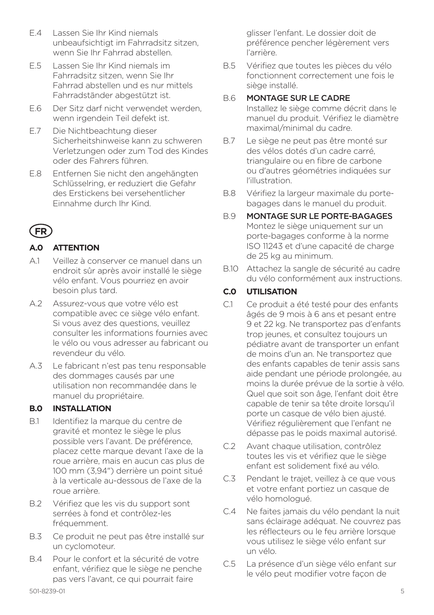- E.4 Lassen Sie Ihr Kind niemals unbeaufsichtigt im Fahrradsitz sitzen, wenn Sie Ihr Fahrrad abstellen.
- E.5 Lassen Sie Ihr Kind niemals im Fahrradsitz sitzen, wenn Sie Ihr Fahrrad abstellen und es nur mittels Fahrradständer abgestützt ist.
- E.6 Der Sitz darf nicht verwendet werden, wenn irgendein Teil defekt ist.
- E.7 Die Nichtbeachtung dieser Sicherheitshinweise kann zu schweren Verletzungen oder zum Tod des Kindes oder des Fahrers führen.
- E.8 Entfernen Sie nicht den angehängten Schlüsselring, er reduziert die Gefahr des Erstickens bei versehentlicher Einnahme durch Ihr Kind.

# **FR**

## **A.0 ATTENTION**

- A.1 Veillez à conserver ce manuel dans un endroit sûr après avoir installé le siège vélo enfant. Vous pourriez en avoir besoin plus tard.
- A.2 Assurez-vous que votre vélo est compatible avec ce siège vélo enfant. Si vous avez des questions, veuillez consulter les informations fournies avec le vélo ou vous adresser au fabricant ou revendeur du vélo.
- A.3 Le fabricant n'est pas tenu responsable des dommages causés par une utilisation non recommandée dans le manuel du propriétaire.

#### **B.0 INSTALLATION**

- B.1 Identifiez la marque du centre de gravité et montez le siège le plus possible vers l'avant. De préférence, placez cette marque devant l'axe de la roue arrière, mais en aucun cas plus de 100 mm (3,94") derrière un point situé à la verticale au-dessous de l'axe de la roue arrière.
- B.2 Vérifiez que les vis du support sont serrées à fond et contrôlez-les fréquemment.
- B.3 Ce produit ne peut pas être installé sur un cyclomoteur.
- B.4 Pour le confort et la sécurité de votre enfant, vérifiez que le siège ne penche pas vers l'avant, ce qui pourrait faire

glisser l'enfant. Le dossier doit de préférence pencher légèrement vers l'arrière.

B.5 Vérifiez que toutes les pièces du vélo fonctionnent correctement une fois le siège installé.

#### B.6 MONTAGE SUR LE CADRE

Installez le siège comme décrit dans le manuel du produit. Vérifiez le diamètre maximal/minimal du cadre.

- B.7 Le siège ne peut pas être monté sur des vélos dotés d'un cadre carré, triangulaire ou en fibre de carbone ou d'autres géométries indiquées sur l'illustration.
- B.8 Vérifiez la largeur maximale du portebagages dans le manuel du produit.
- B.9 MONTAGE SUR LE PORTE-BAGAGES Montez le siège uniquement sur un porte-bagages conforme à la norme ISO 11243 et d'une capacité de charge de 25 kg au minimum.
- B.10 Attachez la sangle de sécurité au cadre du vélo conformément aux instructions.

#### **C.0 UTILISATION**

- C.1 Ce produit a été testé pour des enfants âgés de 9 mois à 6 ans et pesant entre 9 et 22 kg. Ne transportez pas d'enfants trop jeunes, et consultez toujours un pédiatre avant de transporter un enfant de moins d'un an. Ne transportez que des enfants capables de tenir assis sans aide pendant une période prolongée, au moins la durée prévue de la sortie à vélo. Quel que soit son âge, l'enfant doit être capable de tenir sa tête droite lorsqu'il porte un casque de vélo bien ajusté. Vérifiez régulièrement que l'enfant ne dépasse pas le poids maximal autorisé.
- C.2 Avant chaque utilisation, contrôlez toutes les vis et vérifiez que le siège enfant est solidement fixé au vélo.
- C.3 Pendant le trajet, veillez à ce que vous et votre enfant portiez un casque de vélo homologué.
- C.4 Ne faites jamais du vélo pendant la nuit sans éclairage adéquat. Ne couvrez pas les réflecteurs ou le feu arrière lorsque vous utilisez le siège vélo enfant sur un vélo.
- C.5 La présence d'un siège vélo enfant sur le vélo peut modifier votre façon de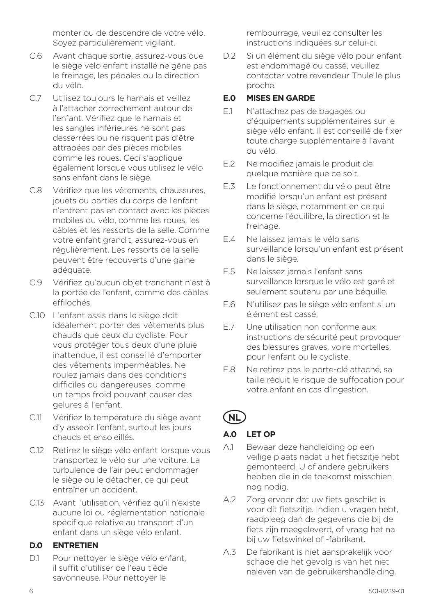monter ou de descendre de votre vélo. Soyez particulièrement vigilant.

- C.6 Avant chaque sortie, assurez-vous que le siège vélo enfant installé ne gêne pas le freinage, les pédales ou la direction du vélo.
- C.7 Utilisez toujours le harnais et veillez à l'attacher correctement autour de l'enfant. Vérifiez que le harnais et les sangles inférieures ne sont pas desserrées ou ne risquent pas d'être attrapées par des pièces mobiles comme les roues. Ceci s'applique également lorsque vous utilisez le vélo sans enfant dans le siège.
- C.8 Vérifiez que les vêtements, chaussures, jouets ou parties du corps de l'enfant n'entrent pas en contact avec les pièces mobiles du vélo, comme les roues, les câbles et les ressorts de la selle. Comme votre enfant grandit, assurez-vous en régulièrement. Les ressorts de la selle peuvent être recouverts d'une gaine adéquate.
- C.9 Vérifiez qu'aucun objet tranchant n'est à la portée de l'enfant, comme des câbles effilochés.
- C.10 L'enfant assis dans le siège doit idéalement porter des vêtements plus chauds que ceux du cycliste. Pour vous protéger tous deux d'une pluie inattendue, il est conseillé d'emporter des vêtements imperméables. Ne roulez jamais dans des conditions difficiles ou dangereuses, comme un temps froid pouvant causer des gelures à l'enfant.
- C.11 Vérifiez la température du siège avant d'y asseoir l'enfant, surtout les jours chauds et ensoleillés.
- C.12 Retirez le siège vélo enfant lorsque vous transportez le vélo sur une voiture. La turbulence de l'air peut endommager le siège ou le détacher, ce qui peut entraîner un accident.
- C.13 Avant l'utilisation, vérifiez qu'il n'existe aucune loi ou réglementation nationale spécifique relative au transport d'un enfant dans un siège vélo enfant.

#### **D.0 ENTRETIEN**

D.1 Pour nettover le siège vélo enfant. il suffit d'utiliser de l'eau tiède savonneuse. Pour nettoyer le

rembourrage, veuillez consulter les instructions indiquées sur celui-ci.

D.2 Si un élément du siège vélo pour enfant est endommagé ou cassé, veuillez contacter votre revendeur Thule le plus proche.

#### **E.0 MISES EN GARDE**

- E.1 N'attachez pas de bagages ou d'équipements supplémentaires sur le siège vélo enfant. Il est conseillé de fixer toute charge supplémentaire à l'avant du vélo.
- E.2 Ne modifiez jamais le produit de quelque manière que ce soit.
- E.3 Le fonctionnement du vélo peut être modifié lorsqu'un enfant est présent dans le siège, notamment en ce qui concerne l'équilibre, la direction et le freinage.
- E.4 Ne laissez jamais le vélo sans surveillance lorsqu'un enfant est présent dans le siège.
- E.5 Ne laissez jamais l'enfant sans surveillance lorsque le vélo est garé et seulement soutenu par une béquille.
- E.6 N'utilisez pas le siège vélo enfant si un élément est cassé.
- E.7 Une utilisation non conforme aux instructions de sécurité peut provoquer des blessures graves, voire mortelles, pour l'enfant ou le cycliste.
- E.8 Ne retirez pas le porte-clé attaché, sa taille réduit le risque de suffocation pour votre enfant en cas d'ingestion.

# **NL**

## **A.0 LET OP**

- A.1 Bewaar deze handleiding op een veilige plaats nadat u het fietszitje hebt gemonteerd. U of andere gebruikers hebben die in de toekomst misschien nog nodig.
- A.2 Zorg ervoor dat uw fiets geschikt is voor dit fietszitje. Indien u vragen hebt, raadpleeg dan de gegevens die bij de fiets zijn meegeleverd, of vraag het na bij uw fietswinkel of -fabrikant.
- A.3 De fabrikant is niet aansprakelijk voor schade die het gevolg is van het niet naleven van de gebruikershandleiding.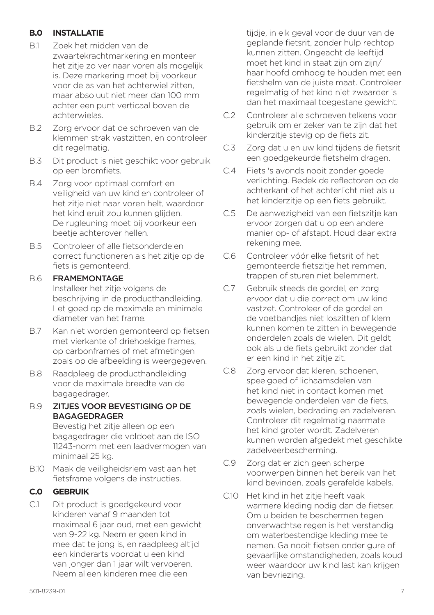#### **B.0 INSTALLATIE**

- B.1 Zoek het midden van de zwaartekrachtmarkering en monteer het zitje zo ver naar voren als mogelijk is. Deze markering moet bij voorkeur voor de as van het achterwiel zitten, maar absoluut niet meer dan 100 mm achter een punt verticaal boven de achterwielas.
- B.2 Zorg ervoor dat de schroeven van de klemmen strak vastzitten, en controleer dit regelmatig.
- B.3 Dit product is niet geschikt voor gebruik op een bromfiets.
- B.4 Zorg voor optimaal comfort en veiligheid van uw kind en controleer of het zitje niet naar voren helt, waardoor het kind eruit zou kunnen glijden. De rugleuning moet bij voorkeur een beetje achterover hellen.
- B.5 Controleer of alle fietsonderdelen correct functioneren als het zitje op de fiets is gemonteerd.

#### B.6 FRAMEMONTAGE

Installeer het zitje volgens de beschrijving in de producthandleiding. Let goed op de maximale en minimale diameter van het frame.

- B.7 Kan niet worden gemonteerd op fietsen met vierkante of driehoekige frames, op carbonframes of met afmetingen zoals op de afbeelding is weergegeven.
- B.8 Raadpleeg de producthandleiding voor de maximale breedte van de bagagedrager.
- B.9 ZITJES VOOR BEVESTIGING OP DE BAGAGEDRAGER

Bevestig het zitje alleen op een bagagedrager die voldoet aan de ISO 11243-norm met een laadvermogen van minimaal 25 kg.

B.10 Maak de veiligheidsriem vast aan het fietsframe volgens de instructies.

#### **C.0 GEBRUIK**

C.1 Dit product is goedgekeurd voor kinderen vanaf 9 maanden tot maximaal 6 jaar oud, met een gewicht van 9-22 kg. Neem er geen kind in mee dat te jong is, en raadpleeg altijd een kinderarts voordat u een kind van jonger dan 1 jaar wilt vervoeren. Neem alleen kinderen mee die een

tijdje, in elk geval voor de duur van de geplande fietsrit, zonder hulp rechtop kunnen zitten. Ongeacht de leeftijd moet het kind in staat zijn om zijn/ haar hoofd omhoog te houden met een fietshelm van de juiste maat. Controleer regelmatig of het kind niet zwaarder is dan het maximaal toegestane gewicht.

- C.2 Controleer alle schroeven telkens voor gebruik om er zeker van te zijn dat het kinderzitje stevig op de fiets zit.
- C.3 Zorg dat u en uw kind tijdens de fietsrit een goedgekeurde fietshelm dragen.
- C.4 Fiets 's avonds nooit zonder goede verlichting. Bedek de reflectoren op de achterkant of het achterlicht niet als u het kinderzitje op een fiets gebruikt.
- C.5 De aanwezigheid van een fietszitje kan ervoor zorgen dat u op een andere manier op- of afstapt. Houd daar extra rekening mee.
- C.6 Controleer vóór elke fietsrit of het gemonteerde fietszitje het remmen, trappen of sturen niet belemmert.
- C.7 Gebruik steeds de gordel, en zorg ervoor dat u die correct om uw kind vastzet. Controleer of de gordel en de voetbandjes niet loszitten of klem kunnen komen te zitten in bewegende onderdelen zoals de wielen. Dit geldt ook als u de fiets gebruikt zonder dat er een kind in het zitje zit.
- C.8 Zorg ervoor dat kleren, schoenen, speelgoed of lichaamsdelen van het kind niet in contact komen met bewegende onderdelen van de fiets, zoals wielen, bedrading en zadelveren. Controleer dit regelmatig naarmate het kind groter wordt. Zadelveren kunnen worden afgedekt met geschikte zadelveerbescherming.
- C.9 Zorg dat er zich geen scherpe voorwerpen binnen het bereik van het kind bevinden, zoals gerafelde kabels.
- C.10 Het kind in het zitje heeft vaak warmere kleding nodig dan de fietser. Om u beiden te beschermen tegen onverwachtse regen is het verstandig om waterbestendige kleding mee te nemen. Ga nooit fietsen onder gure of gevaarlijke omstandigheden, zoals koud weer waardoor uw kind last kan krijgen van bevriezing.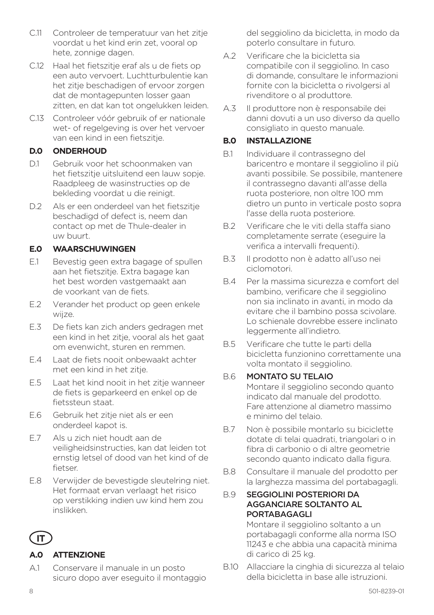- C.11 Controleer de temperatuur van het zitje voordat u het kind erin zet, vooral op hete, zonnige dagen.
- C.12 Haal het fietszitje eraf als u de fiets op een auto vervoert. Luchtturbulentie kan het zitje beschadigen of ervoor zorgen dat de montagepunten losser gaan zitten, en dat kan tot ongelukken leiden.
- C.13 Controleer vóór gebruik of er nationale wet- of regelgeving is over het vervoer van een kind in een fietszitje.

#### **D.0 ONDERHOUD**

- D.1 Gebruik voor het schoonmaken van het fietszitje uitsluitend een lauw sopje. Raadpleeg de wasinstructies op de bekleding voordat u die reinigt.
- D.2 Als er een onderdeel van het fietszitie beschadigd of defect is, neem dan contact op met de Thule-dealer in uw buurt.

## **E.0 WAARSCHUWINGEN**

- E.1 Bevestig geen extra bagage of spullen aan het fietszitje. Extra bagage kan het best worden vastgemaakt aan de voorkant van de fiets.
- E.2 Verander het product op geen enkele wijze.
- E.3 De fiets kan zich anders gedragen met een kind in het zitje, vooral als het gaat om evenwicht, sturen en remmen.
- E.4 Laat de fiets nooit onbewaakt achter met een kind in het zitje.
- E.5 Laat het kind nooit in het zitje wanneer de fiets is geparkeerd en enkel op de fietssteun staat.
- E.6 Gebruik het zitje niet als er een onderdeel kapot is.
- E.7 Als u zich niet houdt aan de veiligheidsinstructies, kan dat leiden tot ernstig letsel of dood van het kind of de fietser.
- E.8 Verwijder de bevestigde sleutelring niet. Het formaat ervan verlaagt het risico op verstikking indien uw kind hem zou inslikken.

# **IT**

## **A.0 ATTENZIONE**

A.1 Conservare il manuale in un posto sicuro dopo aver eseguito il montaggio del seggiolino da bicicletta, in modo da poterlo consultare in futuro.

- A.2 Verificare che la bicicletta sia compatibile con il seggiolino. In caso di domande, consultare le informazioni fornite con la bicicletta o rivolgersi al rivenditore o al produttore.
- A.3 Il produttore non è responsabile dei danni dovuti a un uso diverso da quello consigliato in questo manuale.

# **B.0 INSTALLAZIONE**

- B.1 Individuare il contrassegno del baricentro e montare il seggiolino il più avanti possibile. Se possibile, mantenere il contrassegno davanti all'asse della ruota posteriore, non oltre 100 mm dietro un punto in verticale posto sopra l'asse della ruota posteriore.
- B.2 Verificare che le viti della staffa siano completamente serrate (eseguire la verifica a intervalli frequenti).
- B.3 Il prodotto non è adatto all'uso nei ciclomotori.
- B.4 Per la massima sicurezza e comfort del bambino, verificare che il seggiolino non sia inclinato in avanti, in modo da evitare che il bambino possa scivolare. Lo schienale dovrebbe essere inclinato leggermente all'indietro.
- B.5 Verificare che tutte le parti della bicicletta funzionino correttamente una volta montato il seggiolino.

## B.6 MONTATO SU TELAIO

Montare il seggiolino secondo quanto indicato dal manuale del prodotto. Fare attenzione al diametro massimo e minimo del telaio.

- B.7 Non è possibile montarlo su biciclette dotate di telai quadrati, triangolari o in fibra di carbonio o di altre geometrie secondo quanto indicato dalla figura.
- B.8 Consultare il manuale del prodotto per la larghezza massima del portabagagli.
- B.9 SEGGIOLINI POSTERIORI DA AGGANCIARE SOLTANTO AL PORTABAGAGLI

Montare il seggiolino soltanto a un portabagagli conforme alla norma ISO 11243 e che abbia una capacità minima di carico di 25 kg.

B.10 Allacciare la cinghia di sicurezza al telaio della bicicletta in base alle istruzioni.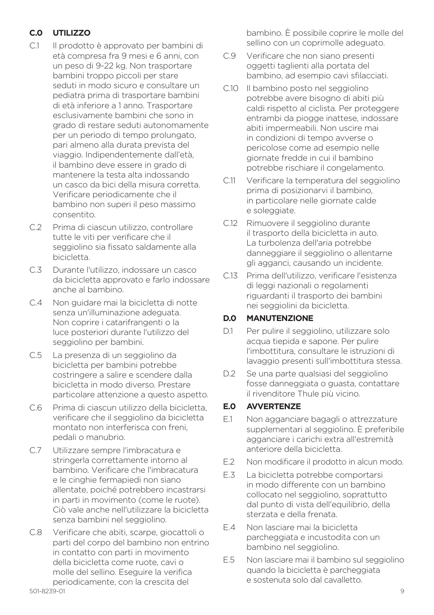# **C.0 UTILIZZO**

- C.1 Il prodotto è approvato per bambini di età compresa fra 9 mesi e 6 anni, con un peso di 9-22 kg. Non trasportare bambini troppo piccoli per stare seduti in modo sicuro e consultare un pediatra prima di trasportare bambini di età inferiore a 1 anno. Trasportare esclusivamente bambini che sono in grado di restare seduti autonomamente per un periodo di tempo prolungato, pari almeno alla durata prevista del viaggio. Indipendentemente dall'età, il bambino deve essere in grado di mantenere la testa alta indossando un casco da bici della misura corretta. Verificare periodicamente che il bambino non superi il peso massimo consentito.
- C.2 Prima di ciascun utilizzo, controllare tutte le viti per verificare che il seggiolino sia fissato saldamente alla bicicletta.
- C.3 Durante l'utilizzo, indossare un casco da bicicletta approvato e farlo indossare anche al bambino.
- C.4 Non guidare mai la bicicletta di notte senza un'illuminazione adeguata. Non coprire i catarifrangenti o la luce posteriori durante l'utilizzo del seggiolino per bambini.
- C.5 La presenza di un seggiolino da bicicletta per bambini potrebbe costringere a salire e scendere dalla bicicletta in modo diverso. Prestare particolare attenzione a questo aspetto.
- C.6 Prima di ciascun utilizzo della bicicletta, verificare che il seggiolino da bicicletta montato non interferisca con freni, pedali o manubrio.
- C.7 Utilizzare sempre l'imbracatura e stringerla correttamente intorno al bambino. Verificare che l'imbracatura e le cinghie fermapiedi non siano allentate, poiché potrebbero incastrarsi in parti in movimento (come le ruote). Ciò vale anche nell'utilizzare la bicicletta senza bambini nel seggiolino.
- C.8 Verificare che abiti, scarpe, giocattoli o parti del corpo del bambino non entrino in contatto con parti in movimento della bicicletta come ruote, cavi o molle del sellino. Eseguire la verifica periodicamente, con la crescita del

bambino. È possibile coprire le molle del sellino con un coprimolle adeguato.

- C.9 Verificare che non siano presenti oggetti taglienti alla portata del bambino, ad esempio cavi sfilacciati.
- C.10 Il bambino posto nel seggiolino potrebbe avere bisogno di abiti più caldi rispetto al ciclista. Per proteggere entrambi da piogge inattese, indossare abiti impermeabili. Non uscire mai in condizioni di tempo avverse o pericolose come ad esempio nelle giornate fredde in cui il bambino potrebbe rischiare il congelamento.
- C.11 Verificare la temperatura del seggiolino prima di posizionarvi il bambino, in particolare nelle giornate calde e soleggiate.
- C.12 Rimuovere il seggiolino durante il trasporto della bicicletta in auto. La turbolenza dell'aria potrebbe danneggiare il seggiolino o allentarne gli agganci, causando un incidente.
- C.13 Prima dell'utilizzo, verificare l'esistenza di leggi nazionali o regolamenti riguardanti il trasporto dei bambini nei seggiolini da bicicletta.

#### **D.0 MANUTENZIONE**

- D.1 Per pulire il seggiolino, utilizzare solo acqua tiepida e sapone. Per pulire l'imbottitura, consultare le istruzioni di lavaggio presenti sull'imbottitura stessa.
- D.2 Se una parte qualsiasi del seggiolino fosse danneggiata o guasta, contattare il rivenditore Thule più vicino.

## **E.0 AVVERTENZE**

- E.1 Non agganciare bagagli o attrezzature supplementari al seggiolino. È preferibile agganciare i carichi extra all'estremità anteriore della bicicletta.
- E.2 Non modificare il prodotto in alcun modo.
- E.3 La bicicletta potrebbe comportarsi in modo differente con un bambino collocato nel seggiolino, soprattutto dal punto di vista dell'equilibrio, della sterzata e della frenata.
- E.4 Non lasciare mai la bicicletta parcheggiata e incustodita con un bambino nel seggiolino.
- E.5 Non lasciare mai il bambino sul seggiolino quando la bicicletta è parcheggiata e sostenuta solo dal cavalletto.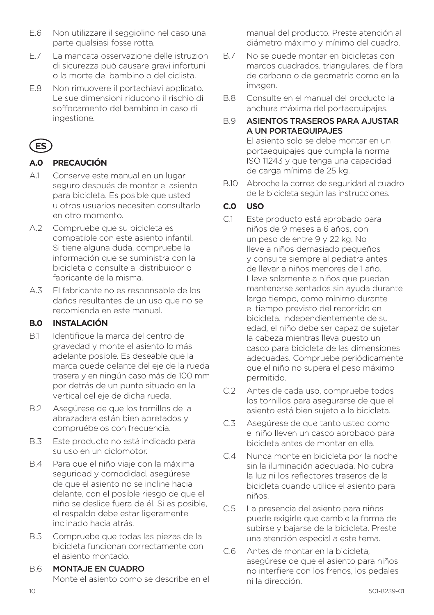- E.6 Non utilizzare il seggiolino nel caso una parte qualsiasi fosse rotta.
- E.7 La mancata osservazione delle istruzioni di sicurezza può causare gravi infortuni o la morte del bambino o del ciclista.
- E.8 Non rimuovere il portachiavi applicato. Le sue dimensioni riducono il rischio di soffocamento del bambino in caso di ingestione.

# **ES**

# **A.0 PRECAUCIÓN**

- A.1 Conserve este manual en un lugar seguro después de montar el asiento para bicicleta. Es posible que usted u otros usuarios necesiten consultarlo en otro momento.
- A.2 Compruebe que su bicicleta es compatible con este asiento infantil. Si tiene alguna duda, compruebe la información que se suministra con la bicicleta o consulte al distribuidor o fabricante de la misma.
- A.3 El fabricante no es responsable de los daños resultantes de un uso que no se recomienda en este manual.

# **B.0 INSTALACIÓN**

- B.1 Identifique la marca del centro de gravedad y monte el asiento lo más adelante posible. Es deseable que la marca quede delante del eje de la rueda trasera y en ningún caso más de 100 mm por detrás de un punto situado en la vertical del eje de dicha rueda.
- B.2 Asegúrese de que los tornillos de la abrazadera están bien apretados y compruébelos con frecuencia.
- B.3 Este producto no está indicado para su uso en un ciclomotor.
- B.4 Para que el niño viaje con la máxima seguridad y comodidad, asegúrese de que el asiento no se incline hacia delante, con el posible riesgo de que el niño se deslice fuera de él. Si es posible, el respaldo debe estar ligeramente inclinado hacia atrás.
- B.5 Compruebe que todas las piezas de la bicicleta funcionan correctamente con el asiento montado.
- B.6 MONTA IF EN CUADRO Monte el asiento como se describe en el

manual del producto. Preste atención al diámetro máximo y mínimo del cuadro.

- B.7 No se puede montar en bicicletas con marcos cuadrados, triangulares, de fibra de carbono o de geometría como en la imagen.
- B.8 Consulte en el manual del producto la anchura máxima del portaequipajes.

## B.9 ASIENTOS TRASEROS PARA AJUSTAR A UN PORTAEQUIPAJES

El asiento solo se debe montar en un portaequipajes que cumpla la norma ISO 11243 y que tenga una capacidad de carga mínima de 25 kg.

B.10 Abroche la correa de seguridad al cuadro de la bicicleta según las instrucciones.

# **C.0 USO**

- C.1 Este producto está aprobado para niños de 9 meses a 6 años, con un peso de entre 9 y 22 kg. No lleve a niños demasiado pequeños y consulte siempre al pediatra antes de llevar a niños menores de 1 año. Lleve solamente a niños que puedan mantenerse sentados sin ayuda durante largo tiempo, como mínimo durante el tiempo previsto del recorrido en bicicleta. Independientemente de su edad, el niño debe ser capaz de sujetar la cabeza mientras lleva puesto un casco para bicicleta de las dimensiones adecuadas. Compruebe periódicamente que el niño no supera el peso máximo permitido.
- C.2 Antes de cada uso, compruebe todos los tornillos para asegurarse de que el asiento está bien sujeto a la bicicleta.
- C.3 Asegúrese de que tanto usted como el niño lleven un casco aprobado para bicicleta antes de montar en ella.
- C.4 Nunca monte en bicicleta por la noche sin la iluminación adecuada. No cubra la luz ni los reflectores traseros de la bicicleta cuando utilice el asiento para niños.
- C.5 La presencia del asiento para niños puede exigirle que cambie la forma de subirse y bajarse de la bicicleta. Preste una atención especial a este tema.
- C.6 Antes de montar en la bicicleta, asegúrese de que el asiento para niños no interfiere con los frenos, los pedales ni la dirección.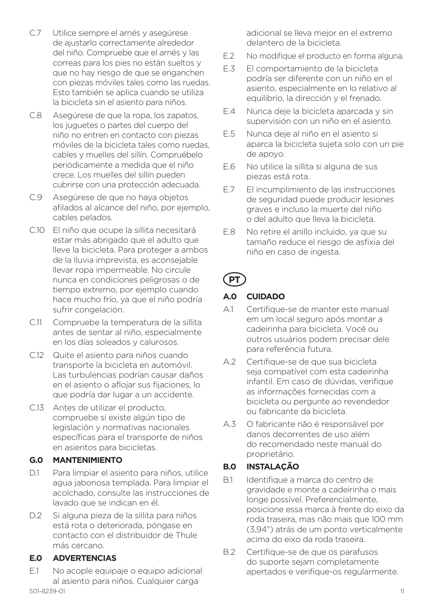- C.7 Utilice siempre el arnés y asegúrese de ajustarlo correctamente alrededor del niño. Compruebe que el arnés y las correas para los pies no están sueltos y que no hay riesgo de que se enganchen con piezas móviles tales como las ruedas. Esto también se aplica cuando se utiliza la bicicleta sin el asiento para niños.
- C.8 Asegúrese de que la ropa, los zapatos, los juguetes o partes del cuerpo del niño no entren en contacto con piezas móviles de la bicicleta tales como ruedas, cables y muelles del sillín. Compruébelo periódicamente a medida que el niño crece. Los muelles del sillín pueden cubrirse con una protección adecuada.
- C.9 Asegúrese de que no haya objetos afilados al alcance del niño, por ejemplo, cables pelados.
- C.10 El niño que ocupe la sillita necesitará estar más abrigado que el adulto que lleve la bicicleta. Para proteger a ambos de la lluvia imprevista, es aconsejable llevar ropa impermeable. No circule nunca en condiciones peligrosas o de tiempo extremo, por ejemplo cuando hace mucho frío, ya que el niño podría sufrir congelación.
- C.11 Compruebe la temperatura de la sillita antes de sentar al niño, especialmente en los días soleados y calurosos.
- C.12 Quite el asiento para niños cuando transporte la bicicleta en automóvil. Las turbulencias podrían causar daños en el asiento o aflojar sus fijaciones, lo que podría dar lugar a un accidente.
- C.13 Antes de utilizar el producto, compruebe si existe algún tipo de legislación y normativas nacionales específicas para el transporte de niños en asientos para bicicletas.

#### **G.0 MANTENIMIENTO**

- D.1 Para limpiar el asiento para niños, utilice agua jabonosa templada. Para limpiar el acolchado, consulte las instrucciones de lavado que se indican en él.
- D.2 Si alguna pieza de la sillita para niños está rota o deteriorada, póngase en contacto con el distribuidor de Thule más cercano.

## **E.0 ADVERTENCIAS**

501-8239-01 11 E.1 No acople equipaje o equipo adicional al asiento para niños. Cualquier carga

adicional se lleva mejor en el extremo delantero de la bicicleta.

- E.2 No modifique el producto en forma alguna.
- E.3 El comportamiento de la bicicleta podría ser diferente con un niño en el asiento, especialmente en lo relativo al equilibrio, la dirección y el frenado.
- E.4 Nunca deje la bicicleta aparcada y sin supervisión con un niño en el asiento.
- E.5 Nunca deje al niño en el asiento si aparca la bicicleta sujeta solo con un pie de apoyo.
- E.6 No utilice la sillita si alguna de sus piezas está rota.
- E.7 El incumplimiento de las instrucciones de seguridad puede producir lesiones graves e incluso la muerte del niño o del adulto que lleva la bicicleta.
- E.8 No retire el anillo incluido, ya que su tamaño reduce el riesgo de asfixia del niño en caso de ingesta.

# **PT**

## **A.0 CUIDADO**

- A.1 Certifique-se de manter este manual em um local seguro após montar a cadeirinha para bicicleta. Você ou outros usuários podem precisar dele para referência futura.
- A.2 Certifique-se de que sua bicicleta seja compatível com esta cadeirinha infantil. Em caso de dúvidas, verifique as informações fornecidas com a bicicleta ou pergunte ao revendedor ou fabricante da bicicleta.
- A.3 O fabricante não é responsável por danos decorrentes de uso além do recomendado neste manual do proprietário.

## **B.0 INSTALAÇÃO**

- B.1 Identifique a marca do centro de gravidade e monte a cadeirinha o mais longe possível. Preferencialmente, posicione essa marca à frente do eixo da roda traseira, mas não mais que 100 mm (3,94") atrás de um ponto verticalmente acima do eixo da roda traseira.
- B.2 Certifique-se de que os parafusos do suporte sejam completamente apertados e verifique-os regularmente.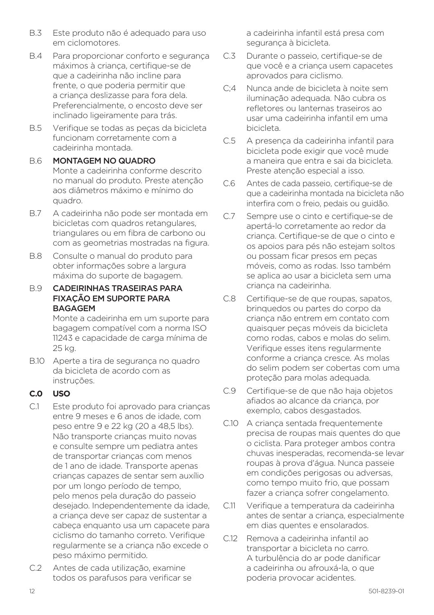- B.3 Este produto não é adequado para uso em ciclomotores.
- B.4 Para proporcionar conforto e segurança máximos à criança, certifique-se de que a cadeirinha não incline para frente, o que poderia permitir que a criança deslizasse para fora dela. Preferencialmente, o encosto deve ser inclinado ligeiramente para trás.
- B.5 Verifique se todas as peças da bicicleta funcionam corretamente com a cadeirinha montada.

#### B.6 MONTAGEM NO QUADRO Monte a cadeirinha conforme descrito no manual do produto. Preste atenção aos diâmetros máximo e mínimo do quadro.

- B.7 A cadeirinha não pode ser montada em bicicletas com quadros retangulares, triangulares ou em fibra de carbono ou com as geometrias mostradas na figura.
- B.8 Consulte o manual do produto para obter informações sobre a largura máxima do suporte de bagagem.
- B.9 CADEIRINHAS TRASEIRAS PARA FIXAÇÃO EM SUPORTE PARA BAGAGEM

Monte a cadeirinha em um suporte para bagagem compatível com a norma ISO 11243 e capacidade de carga mínima de 25 kg.

B.10 Aperte a tira de segurança no quadro da bicicleta de acordo com as instruções.

## **C.0 USO**

- C.1 Este produto foi aprovado para crianças entre 9 meses e 6 anos de idade, com peso entre 9 e 22 kg (20 a 48,5 lbs). Não transporte crianças muito novas e consulte sempre um pediatra antes de transportar crianças com menos de 1 ano de idade. Transporte apenas crianças capazes de sentar sem auxílio por um longo período de tempo, pelo menos pela duração do passeio desejado. Independentemente da idade, a criança deve ser capaz de sustentar a cabeça enquanto usa um capacete para ciclismo do tamanho correto. Verifique regularmente se a criança não excede o peso máximo permitido.
- C.2 Antes de cada utilização, examine todos os parafusos para verificar se

a cadeirinha infantil está presa com segurança à bicicleta.

- C.3 Durante o passeio, certifique-se de que você e a criança usem capacetes aprovados para ciclismo.
- C;4 Nunca ande de bicicleta à noite sem iluminação adequada. Não cubra os refletores ou lanternas traseiros ao usar uma cadeirinha infantil em uma bicicleta.
- C.5 A presença da cadeirinha infantil para bicicleta pode exigir que você mude a maneira que entra e sai da bicicleta. Preste atenção especial a isso.
- C.6 Antes de cada passeio, certifique-se de que a cadeirinha montada na bicicleta não interfira com o freio, pedais ou guidão.
- C.7 Sempre use o cinto e certifique-se de apertá-lo corretamente ao redor da criança. Certifique-se de que o cinto e os apoios para pés não estejam soltos ou possam ficar presos em peças móveis, como as rodas. Isso também se aplica ao usar a bicicleta sem uma criança na cadeirinha.
- C.8 Certifique-se de que roupas, sapatos, brinquedos ou partes do corpo da criança não entrem em contato com quaisquer peças móveis da bicicleta como rodas, cabos e molas do selim. Verifique esses itens regularmente conforme a criança cresce. As molas do selim podem ser cobertas com uma proteção para molas adequada.
- C.9 Certifique-se de que não haja objetos afiados ao alcance da criança, por exemplo, cabos desgastados.
- C.10 A crianca sentada frequentemente precisa de roupas mais quentes do que o ciclista. Para proteger ambos contra chuvas inesperadas, recomenda-se levar roupas à prova d'água. Nunca passeie em condições perigosas ou adversas, como tempo muito frio, que possam fazer a criança sofrer congelamento.
- C.11 Verifique a temperatura da cadeirinha antes de sentar a criança, especialmente em dias quentes e ensolarados.
- C.12 Remova a cadeirinha infantil ao transportar a bicicleta no carro. A turbulência do ar pode danificar a cadeirinha ou afrouxá-la, o que poderia provocar acidentes.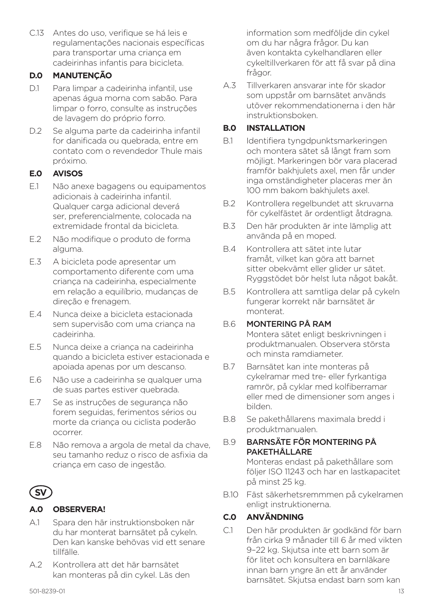C.13 Antes do uso, verifique se há leis e regulamentações nacionais específicas para transportar uma criança em cadeirinhas infantis para bicicleta.

#### **D.0 MANUTENÇÃO**

- D.1 Para limpar a cadeirinha infantil, use apenas água morna com sabão. Para limpar o forro, consulte as instruções de lavagem do próprio forro.
- D.2 Se alguma parte da cadeirinha infantil for danificada ou quebrada, entre em contato com o revendedor Thule mais próximo.

## **E.0 AVISOS**

- E.1 Não anexe bagagens ou equipamentos adicionais à cadeirinha infantil. Qualquer carga adicional deverá ser, preferencialmente, colocada na extremidade frontal da bicicleta.
- E.2 Não modifique o produto de forma alguma.
- E.3 A bicicleta pode apresentar um comportamento diferente com uma criança na cadeirinha, especialmente em relação a equilíbrio, mudanças de direção e frenagem.
- E.4 Nunca deixe a bicicleta estacionada sem supervisão com uma criança na cadeirinha.
- E.5 Nunca deixe a criança na cadeirinha quando a bicicleta estiver estacionada e apoiada apenas por um descanso.
- E.6 Não use a cadeirinha se qualquer uma de suas partes estiver quebrada.
- E.7 Se as instruções de segurança não forem seguidas, ferimentos sérios ou morte da criança ou ciclista poderão ocorrer.
- E.8 Não remova a argola de metal da chave, seu tamanho reduz o risco de asfixia da criança em caso de ingestão.



## **A.0 OBSERVERA!**

- A.1 Spara den här instruktionsboken när du har monterat barnsätet på cykeln. Den kan kanske behövas vid ett senare tillfälle.
- A.2 Kontrollera att det här barnsätet kan monteras på din cykel. Läs den

information som medföljde din cykel om du har några frågor. Du kan även kontakta cykelhandlaren eller cykeltillverkaren för att få svar på dina frågor.

A.3 Tillverkaren ansvarar inte för skador som uppstår om barnsätet används utöver rekommendationerna i den här instruktionsboken.

#### **B.0 INSTALLATION**

- B.1 Identifiera tyngdpunktsmarkeringen och montera sätet så långt fram som möjligt. Markeringen bör vara placerad framför bakhjulets axel, men får under inga omständigheter placeras mer än 100 mm bakom bakhjulets axel.
- B.2 Kontrollera regelbundet att skruvarna för cykelfästet är ordentligt åtdragna.
- B.3 Den här produkten är inte lämplig att använda på en moped.
- B.4 Kontrollera att sätet inte lutar framåt, vilket kan göra att barnet sitter obekvämt eller glider ur sätet. Ryggstödet bör helst luta något bakåt.
- B.5 Kontrollera att samtliga delar på cykeln fungerar korrekt när barnsätet är monterat.

#### B.6 MONTERING PÅ RAM

Montera sätet enligt beskrivningen i produktmanualen. Observera största och minsta ramdiameter.

- B.7 Barnsätet kan inte monteras på cykelramar med tre- eller fyrkantiga ramrör, på cyklar med kolfiberramar eller med de dimensioner som anges i bilden.
- B.8 Se pakethållarens maximala bredd i produktmanualen.

#### B.9 BARNSÄTE FÖR MONTERING PÅ PAKETHÅLLARE

Monteras endast på pakethållare som följer ISO 11243 och har en lastkapacitet på minst 25 kg.

B.10 Fäst säkerhetsremmmen på cykelramen enligt instruktionerna.

## **C.0 ANVÄNDNING**

C.1 Den här produkten är godkänd för barn från cirka 9 månader till 6 år med vikten 9–22 kg. Skjutsa inte ett barn som är för litet och konsultera en barnläkare innan barn yngre än ett år använder barnsätet. Skjutsa endast barn som kan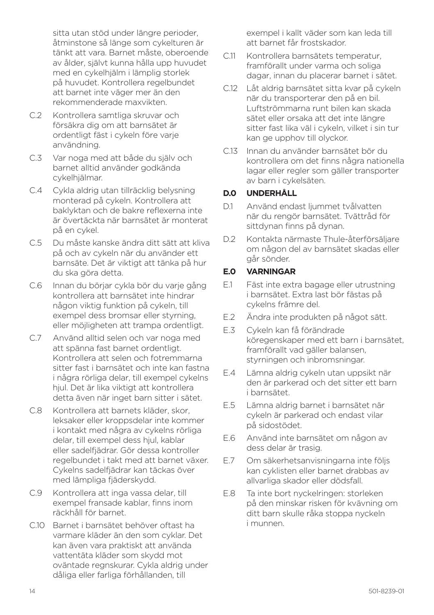sitta utan stöd under längre perioder åtminstone så länge som cykelturen är tänkt att vara. Barnet måste, oberoende av ålder, självt kunna hålla upp huvudet med en cykelhjälm i lämplig storlek på huvudet. Kontrollera regelbundet att barnet inte väger mer än den rekommenderade maxvikten.

- C.2 Kontrollera samtliga skruvar och försäkra dig om att barnsätet är ordentligt fäst i cykeln före varje användning.
- C.3 Var noga med att både du själv och barnet alltid använder godkända cykelhjälmar.
- C.4 Cykla aldrig utan tillräcklig belysning monterad på cykeln. Kontrollera att baklyktan och de bakre reflexerna inte är övertäckta när barnsätet är monterat på en cykel.
- C.5 Du måste kanske ändra ditt sätt att kliva på och av cykeln när du använder ett barnsäte. Det är viktigt att tänka på hur du ska göra detta.
- C.6 Innan du börjar cykla bör du varje gång kontrollera att barnsätet inte hindrar någon viktig funktion på cykeln, till exempel dess bromsar eller styrning, eller möjligheten att trampa ordentligt.
- C.7 Använd alltid selen och var noga med att spänna fast barnet ordentligt. Kontrollera att selen och fotremmarna sitter fast i barnsätet och inte kan fastna i några rörliga delar, till exempel cykelns hiul. Det är lika viktigt att kontrollera detta även när inget barn sitter i sätet.
- C.8 Kontrollera att barnets kläder, skor, leksaker eller kroppsdelar inte kommer i kontakt med några av cykelns rörliga delar, till exempel dess hjul, kablar eller sadelfjädrar. Gör dessa kontroller regelbundet i takt med att barnet växer. Cykelns sadelfjädrar kan täckas över med lämpliga fjäderskydd.
- C.9 Kontrollera att inga vassa delar, till exempel fransade kablar, finns inom räckhåll för barnet.
- C.10 Barnet i barnsätet behöver oftast ha varmare kläder än den som cyklar. Det kan även vara praktiskt att använda vattentäta kläder som skydd mot oväntade regnskurar. Cykla aldrig under dåliga eller farliga förhållanden, till

exempel i kallt väder som kan leda till att barnet får frostskador.

- C.11 Kontrollera barnsätets temperatur, framförallt under varma och soliga dagar, innan du placerar barnet i sätet.
- C.12 Låt aldrig barnsätet sitta kvar på cykeln när du transporterar den på en bil. Luftströmmarna runt bilen kan skada sätet eller orsaka att det inte längre sitter fast lika väl i cykeln, vilket i sin tur kan ge upphov till olyckor.
- C.13 Innan du använder barnsätet bör du kontrollera om det finns några nationella lagar eller regler som gäller transporter av barn i cykelsäten.

#### **D.0 UNDERHÅLL**

- D.1 Använd endast ljummet tvålvatten när du rengör barnsätet. Tvättråd för sittdynan finns på dynan.
- D.2 Kontakta närmaste Thule-återförsäljare om någon del av barnsätet skadas eller går sönder.

#### **E.0 VARNINGAR**

- E.1 Fäst inte extra bagage eller utrustning i barnsätet. Extra last bör fästas på cykelns främre del.
- E.2 Ändra inte produkten på något sätt.
- E.3 Cykeln kan få förändrade köregenskaper med ett barn i barnsätet, framförallt vad gäller balansen, styrningen och inbromsningar.
- E.4 Lämna aldrig cykeln utan uppsikt när den är parkerad och det sitter ett barn i barnsätet.
- E.5 Lämna aldrig barnet i barnsätet när cykeln är parkerad och endast vilar på sidostödet.
- E.6 Använd inte barnsätet om någon av dess delar är trasig.
- E.7 Om säkerhetsanvisningarna inte följs kan cyklisten eller barnet drabbas av allvarliga skador eller dödsfall.
- E.8 Ta inte bort nyckelringen: storleken på den minskar risken för kvävning om ditt barn skulle råka stoppa nyckeln i munnen.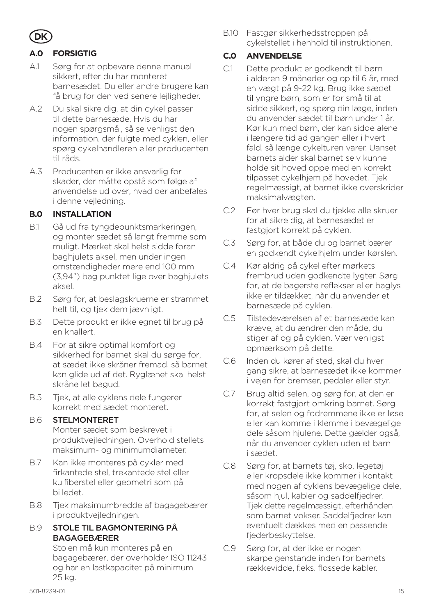

#### **A.0 FORSIGTIG**

- A.1 Sørg for at opbevare denne manual sikkert, efter du har monteret barnesædet. Du eller andre brugere kan få brug for den ved senere lejligheder.
- A.2 Du skal sikre dig, at din cykel passer til dette barnesæde. Hvis du har nogen spørgsmål, så se venligst den information, der fulgte med cyklen, eller spørg cykelhandleren eller producenten til råds.
- A.3 Producenten er ikke ansvarlig for skader, der måtte opstå som følge af anvendelse ud over, hvad der anbefales i denne vejledning.

#### **B.0 INSTALLATION**

- B.1 Gå ud fra tyngdepunktsmarkeringen, og monter sædet så langt fremme som muligt. Mærket skal helst sidde foran baghjulets aksel, men under ingen omstændigheder mere end 100 mm (3,94") bag punktet lige over baghjulets aksel.
- B.2 Sørg for, at beslagskruerne er strammet helt til, og tjek dem jævnligt.
- B.3 Dette produkt er ikke egnet til brug på en knallert.
- B.4 For at sikre optimal komfort og sikkerhed for barnet skal du sørge for, at sædet ikke skråner fremad, så barnet kan glide ud af det. Ryglænet skal helst skråne let bagud.
- B.5 Tjek, at alle cyklens dele fungerer korrekt med sædet monteret.

#### B.6 STELMONTERET

Monter sædet som beskrevet i produktvejledningen. Overhold stellets maksimum- og minimumdiameter.

- B.7 Kan ikke monteres på cykler med firkantede stel, trekantede stel eller kulfiberstel eller geometri som på billedet.
- B.8 Tjek maksimumbredde af bagagebærer i produktvejledningen.

#### B.9 STOLE TIL BAGMONTERING PÅ **BAGAGEBÆRER**

Stolen må kun monteres på en bagagebærer, der overholder ISO 11243 og har en lastkapacitet på minimum 25 kg.

B.10 Fastgør sikkerhedsstroppen på cykelstellet i henhold til instruktionen.

#### **C.0 ANVENDELSE**

- C.1 Dette produkt er godkendt til børn i alderen 9 måneder og op til 6 år, med en vægt på 9-22 kg. Brug ikke sædet til yngre børn, som er for små til at sidde sikkert, og spørg din læge, inden du anvender sædet til børn under 1 år. Kør kun med børn, der kan sidde alene i længere tid ad gangen eller i hvert fald, så længe cykelturen varer. Uanset barnets alder skal barnet selv kunne holde sit hoved oppe med en korrekt tilpasset cykelhjem på hovedet. Tjek regelmæssigt, at barnet ikke overskrider maksimalvægten.
- C.2 Før hver brug skal du tjekke alle skruer for at sikre dig, at barnesædet er fastgjort korrekt på cyklen.
- C.3 Sørg for, at både du og barnet bærer en godkendt cykelhjelm under kørslen.
- C.4 Kør aldrig på cykel efter mørkets frembrud uden godkendte lygter. Sørg for, at de bagerste reflekser eller baglys ikke er tildækket, når du anvender et barnesæde på cyklen.
- C.5 Tilstedeværelsen af et barnesæde kan kræve, at du ændrer den måde, du stiger af og på cyklen. Vær venligst opmærksom på dette.
- C.6 Inden du kører af sted, skal du hver gang sikre, at barnesædet ikke kommer i vejen for bremser, pedaler eller styr.
- C.7 Brug altid selen, og sørg for, at den er korrekt fastgjort omkring barnet. Sørg for, at selen og fodremmene ikke er løse eller kan komme i klemme i bevægelige dele såsom hjulene. Dette gælder også, når du anvender cyklen uden et barn i sædet.
- C.8 Sørg for, at barnets tøj, sko, legetøj eller kropsdele ikke kommer i kontakt med nogen af cyklens bevægelige dele, såsom hjul, kabler og saddelfjedrer. Tjek dette regelmæssigt, efterhånden som barnet vokser. Saddelfjedrer kan eventuelt dækkes med en passende fjederbeskyttelse.
- C.9 Sørg for, at der ikke er nogen skarpe genstande inden for barnets rækkevidde, f.eks. flossede kabler.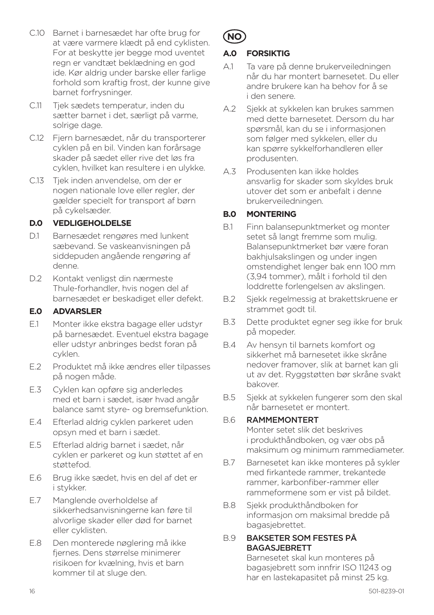- C.10 Barnet i barnesædet har ofte brug for at være varmere klædt på end cyklisten. For at beskytte jer begge mod uventet regn er vandtæt beklædning en god ide. Kør aldrig under barske eller farlige forhold som kraftig frost, der kunne give barnet forfrysninger.
- C.11 Tjek sædets temperatur, inden du sætter barnet i det, særligt på varme, solrige dage.
- C.12 Fjern barnesædet, når du transporterer cyklen på en bil. Vinden kan forårsage skader på sædet eller rive det løs fra cyklen, hvilket kan resultere i en ulykke.
- C.13 Tjek inden anvendelse, om der er nogen nationale love eller regler, der gælder specielt for transport af børn på cykelsæder.

#### **D.0 VEDLIGEHOLDELSE**

- D.1 Barnesædet rengøres med lunkent sæbevand. Se vaskeanvisningen på siddepuden angående rengøring af denne.
- D.2 Kontakt venligst din nærmeste Thule-forhandler, hvis nogen del af barnesædet er beskadiget eller defekt.

#### **E.0 ADVARSLER**

- E.1 Monter ikke ekstra bagage eller udstyr på barnesædet. Eventuel ekstra bagage eller udstyr anbringes bedst foran på cyklen.
- E.2 Produktet må ikke ændres eller tilpasses på nogen måde.
- E.3 Cyklen kan opføre sig anderledes med et barn i sædet, især hvad angår balance samt styre- og bremsefunktion.
- E.4 Efterlad aldrig cyklen parkeret uden opsyn med et barn i sædet.
- E.5 Efterlad aldrig barnet i sædet, når cyklen er parkeret og kun støttet af en støttefod.
- E.6 Brug ikke sædet, hvis en del af det er i stykker.
- E.7 Manglende overholdelse af sikkerhedsanvisningerne kan føre til alvorlige skader eller død for barnet eller cyklisten.
- E.8 Den monterede nøglering må ikke fiernes. Dens størrelse minimerer risikoen for kvælning, hvis et barn kommer til at sluge den.



#### **A.0 FORSIKTIG**

- A.1 Ta vare på denne brukerveiledningen når du har montert barnesetet. Du eller andre brukere kan ha behov for å se i den senere.
- A.2 Sjekk at sykkelen kan brukes sammen med dette barnesetet. Dersom du har spørsmål, kan du se i informasjonen som følger med sykkelen, eller du kan spørre sykkelforhandleren eller produsenten.
- A.3 Produsenten kan ikke holdes ansvarlig for skader som skyldes bruk utover det som er anbefalt i denne brukerveiledningen.

#### **B.0 MONTERING**

- B.1 Finn balansepunktmerket og monter setet så langt fremme som mulig. Balansepunktmerket bør være foran bakhjulsakslingen og under ingen omstendighet lenger bak enn 100 mm (3,94 tommer), målt i forhold til den loddrette forlengelsen av akslingen.
- B.2 Sjekk regelmessig at brakettskruene er strammet godt til.
- B.3 Dette produktet egner seg ikke for bruk på mopeder.
- B.4 Av hensyn til barnets komfort og sikkerhet må barnesetet ikke skråne nedover framover, slik at barnet kan gli ut av det. Ryggstøtten bør skråne svakt bakover.
- B.5 Sjekk at sykkelen fungerer som den skal når barnesetet er montert.

#### B.6 RAMMEMONTERT

Monter setet slik det beskrives i produkthåndboken, og vær obs på maksimum og minimum rammediameter.

- B.7 Barnesetet kan ikke monteres på sykler med firkantede rammer, trekantede rammer, karbonfiber-rammer eller rammeformene som er vist på bildet.
- B.8 Sjekk produkthåndboken for informasjon om maksimal bredde på bagasjebrettet.

#### B.9 BAKSETER SOM FESTES PÅ BAGASJEBRETT

Barnesetet skal kun monteres på bagasjebrett som innfrir ISO 11243 og har en lastekapasitet på minst 25 kg.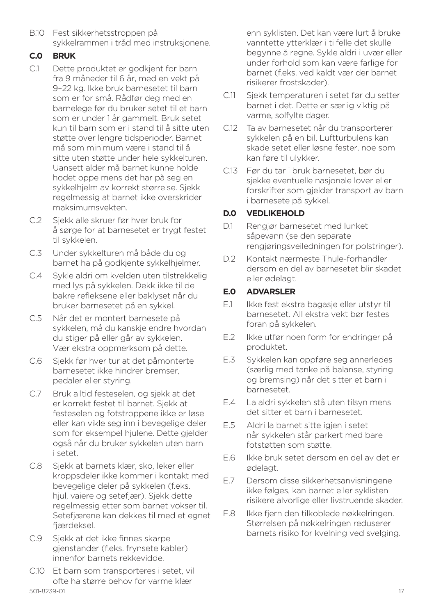B.10 Fest sikkerhetsstroppen på sykkelrammen i tråd med instruksjonene.

#### **C.0 BRUK**

- C.1 Dette produktet er godkjent for barn fra 9 måneder til 6 år, med en vekt på 9–22 kg. Ikke bruk barnesetet til barn som er for små. Rådfør deg med en barnelege før du bruker setet til et barn som er under 1 år gammelt. Bruk setet kun til barn som er i stand til å sitte uten støtte over lengre tidsperioder. Barnet må som minimum være i stand til å sitte uten støtte under hele sykkelturen. Uansett alder må barnet kunne holde hodet oppe mens det har på seg en sykkelhjelm av korrekt størrelse. Sjekk regelmessig at barnet ikke overskrider maksimumsvekten.
- C.2 Sjekk alle skruer før hver bruk for å sørge for at barnesetet er trygt festet til sykkelen.
- C.3 Under sykkelturen må både du og barnet ha på godkjente sykkelhjelmer.
- C.4 Sykle aldri om kvelden uten tilstrekkelig med lys på sykkelen. Dekk ikke til de bakre refleksene eller baklyset når du bruker barnesetet på en sykkel.
- C.5 Når det er montert barnesete på sykkelen, må du kanskje endre hvordan du stiger på eller går av sykkelen. Vær ekstra oppmerksom på dette.
- C.6 Sjekk før hver tur at det påmonterte barnesetet ikke hindrer bremser, pedaler eller styring.
- C.7 Bruk alltid festeselen, og sjekk at det er korrekt festet til barnet. Sjekk at festeselen og fotstroppene ikke er løse eller kan vikle seg inn i bevegelige deler som for eksempel hjulene. Dette gjelder også når du bruker sykkelen uten barn i setet.
- C.8 Sjekk at barnets klær, sko, leker eller kroppsdeler ikke kommer i kontakt med bevegelige deler på sykkelen (f.eks. hjul, vaiere og setefjær). Sjekk dette regelmessig etter som barnet vokser til. Setefjærene kan dekkes til med et egnet fjærdeksel.
- C.9 Sjekk at det ikke finnes skarpe gjenstander (f.eks. frynsete kabler) innenfor barnets rekkevidde.
- 501-8239-01 17 C.10 Et barn som transporteres i setet, vil ofte ha større behov for varme klær

enn syklisten. Det kan være lurt å bruke vanntette ytterklær i tilfelle det skulle begynne å regne. Sykle aldri i uvær eller under forhold som kan være farlige for barnet (f.eks. ved kaldt vær der barnet risikerer frostskader).

- C.11 Sjekk temperaturen i setet før du setter barnet i det. Dette er særlig viktig på varme, solfylte dager.
- C.12 Ta av barnesetet når du transporterer sykkelen på en bil. Luftturbulens kan skade setet eller løsne fester, noe som kan føre til ulykker.
- C.13 Før du tar i bruk barnesetet, bør du sjekke eventuelle nasjonale lover eller forskrifter som gjelder transport av barn i barnesete på sykkel.

#### **D.0 VEDLIKEHOLD**

- D.1 Rengjør barnesetet med lunket såpevann (se den separate rengjøringsveiledningen for polstringer).
- D.2 Kontakt nærmeste Thule-forhandler dersom en del av barnesetet blir skadet eller ødelagt.

#### **E.0 ADVARSLER**

- E.1 Ikke fest ekstra bagasje eller utstyr til barnesetet. All ekstra vekt bør festes foran på sykkelen.
- E.2 Ikke utfør noen form for endringer på produktet.
- E.3 Sykkelen kan oppføre seg annerledes (særlig med tanke på balanse, styring og bremsing) når det sitter et barn i barnesetet.
- E.4 La aldri sykkelen stå uten tilsyn mens det sitter et barn i barnesetet.
- E.5 Aldri la barnet sitte igjen i setet når sykkelen står parkert med bare fotstøtten som støtte.
- E.6 Ikke bruk setet dersom en del av det er ødelagt.
- E.7 Dersom disse sikkerhetsanvisningene ikke følges, kan barnet eller syklisten risikere alvorlige eller livstruende skader.
- E.8 Ikke fjern den tilkoblede nøkkelringen. Størrelsen på nøkkelringen reduserer barnets risiko for kvelning ved svelging.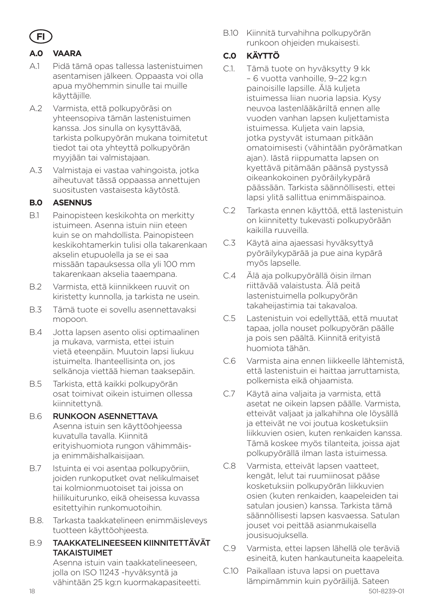

#### **A.0 VAARA**

- A.1 Pidä tämä opas tallessa lastenistuimen asentamisen jälkeen. Oppaasta voi olla apua myöhemmin sinulle tai muille käyttäjille.
- A.2 Varmista, että polkupyöräsi on yhteensopiva tämän lastenistuimen kanssa. Jos sinulla on kysyttävää, tarkista polkupyörän mukana toimitetut tiedot tai ota yhteyttä polkupyörän myyjään tai valmistajaan.
- A.3 Valmistaja ei vastaa vahingoista, jotka aiheutuvat tässä oppaassa annettujen suositusten vastaisesta käytöstä.

#### **B.0 ASENNUS**

- B.1 Painopisteen keskikohta on merkitty istuimeen. Asenna istuin niin eteen kuin se on mahdollista. Painopisteen keskikohtamerkin tulisi olla takarenkaan akselin etupuolella ja se ei saa missään tapauksessa olla yli 100 mm takarenkaan akselia taaempana.
- B.2 Varmista, että kiinnikkeen ruuvit on kiristetty kunnolla, ja tarkista ne usein.
- B.3 Tämä tuote ei sovellu asennettavaksi mopoon.
- B.4 Jotta lapsen asento olisi optimaalinen ja mukava, varmista, ettei istuin vietä eteenpäin. Muutoin lapsi liukuu istuimelta. Ihanteellisinta on, jos selkänoja viettää hieman taaksepäin.
- B.5 Tarkista, että kaikki polkupyörän osat toimivat oikein istuimen ollessa kiinnitettynä.

#### B.6 RUNKOON ASENNETTAVA

Asenna istuin sen käyttöohjeessa kuvatulla tavalla. Kiinnitä erityishuomiota rungon vähimmäisja enimmäishalkaisijaan.

- B.7 Istuinta ei voi asentaa polkupyöriin, joiden runkoputket ovat nelikulmaiset tai kolmionmuotoiset tai joissa on hiilikuiturunko, eikä oheisessa kuvassa esitettyihin runkomuotoihin.
- B.8. Tarkasta taakkatelineen enimmäisleveys tuotteen käyttöohjeesta.

#### B.9 TAAKKATELINEESEEN KIINNITETTÄVÄT TAKAISTUIMET

Asenna istuin vain taakkatelineeseen, jolla on ISO 11243 -hyväksyntä ja vähintään 25 kg:n kuormakapasiteetti. B.10 Kiinnitä turvahihna polkupyörän runkoon ohjeiden mukaisesti.

#### **C.0 KÄYTTÖ**

- C.1. Tämä tuote on hyväksytty 9 kk – 6 vuotta vanhoille, 9–22 kg:n painoisille lapsille. Älä kuljeta istuimessa liian nuoria lapsia. Kysy neuvoa lastenlääkäriltä ennen alle vuoden vanhan lapsen kuljettamista istuimessa. Kuljeta vain lapsia, jotka pystyvät istumaan pitkään omatoimisesti (vähintään pyörämatkan ajan). Iästä riippumatta lapsen on kyettävä pitämään päänsä pystyssä oikeankokoinen pyöräilykypärä päässään. Tarkista säännöllisesti, ettei lapsi ylitä sallittua enimmäispainoa.
- C.2 Tarkasta ennen käyttöä, että lastenistuin on kiinnitetty tukevasti polkupyörään kaikilla ruuveilla.
- C.3 Käytä aina ajaessasi hyväksyttyä pyöräilykypärää ja pue aina kypärä myös lapselle.
- C.4 Älä aja polkupyörällä öisin ilman riittävää valaistusta. Älä peitä lastenistuimella polkupyörän takaheijastimia tai takavaloa.
- C.5 Lastenistuin voi edellyttää, että muutat tapaa, jolla nouset polkupyörän päälle ja pois sen päältä. Kiinnitä erityistä huomiota tähän.
- C.6 Varmista aina ennen liikkeelle lähtemistä, että lastenistuin ei haittaa jarruttamista, polkemista eikä ohjaamista.
- C.7 Käytä aina valjaita ja varmista, että asetat ne oikein lapsen päälle. Varmista, etteivät valjaat ja jalkahihna ole löysällä ja etteivät ne voi joutua kosketuksiin liikkuvien osien, kuten renkaiden kanssa. Tämä koskee myös tilanteita, joissa ajat polkupyörällä ilman lasta istuimessa.
- C.8 Varmista, etteivät lapsen vaatteet, kengät, lelut tai ruumiinosat pääse kosketuksiin polkupyörän liikkuvien osien (kuten renkaiden, kaapeleiden tai satulan jousien) kanssa. Tarkista tämä säännöllisesti lapsen kasvaessa. Satulan jouset voi peittää asianmukaisella jousisuojuksella.
- C.9 Varmista, ettei lapsen lähellä ole teräviä esineitä, kuten hankautuneita kaapeleita.
- C.10 Paikallaan istuva lapsi on puettava lämpimämmin kuin pyöräilijä. Sateen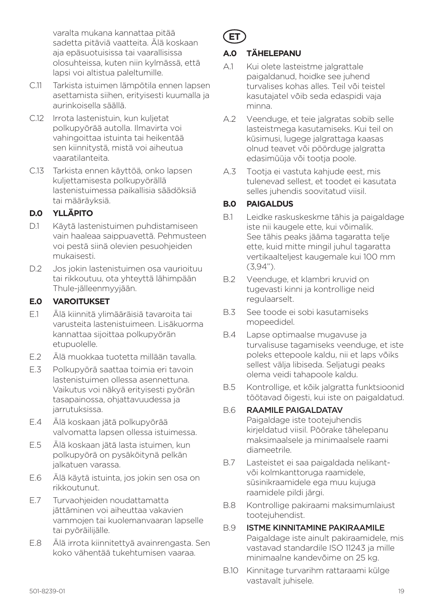varalta mukana kannattaa pitää sadetta pitäviä vaatteita. Älä koskaan aja epäsuotuisissa tai vaarallisissa olosuhteissa, kuten niin kylmässä, että lapsi voi altistua paleltumille.

- C.11 Tarkista istuimen lämpötila ennen lapsen asettamista siihen, erityisesti kuumalla ja aurinkoisella säällä.
- C.12 Irrota lastenistuin, kun kuljetat polkupyörää autolla. Ilmavirta voi vahingoittaa istuinta tai heikentää sen kiinnitystä, mistä voi aiheutua vaaratilanteita.
- C.13 Tarkista ennen käyttöä, onko lapsen kuljettamisesta polkupyörällä lastenistuimessa paikallisia säädöksiä tai määräyksiä.

## **D.0 YLLÄPITO**

- D.1 Käytä lastenistuimen puhdistamiseen vain haaleaa saippuavettä. Pehmusteen voi pestä siinä olevien pesuohjeiden mukaisesti.
- D.2 Jos jokin lastenistuimen osa vaurioituu tai rikkoutuu, ota yhteyttä lähimpään Thule-jälleenmyyjään.

#### **E.0 VAROITUKSET**

- E.1 Älä kiinnitä ylimääräisiä tavaroita tai varusteita lastenistuimeen. Lisäkuorma kannattaa sijoittaa polkupyörän etupuolelle.
- E.2 Älä muokkaa tuotetta millään tavalla.
- E.3 Polkupyörä saattaa toimia eri tavoin lastenistuimen ollessa asennettuna. Vaikutus voi näkyä erityisesti pyörän tasapainossa, ohjattavuudessa ja jarrutuksissa.
- E.4 Älä koskaan jätä polkupyörää valvomatta lapsen ollessa istuimessa.
- E.5 Älä koskaan jätä lasta istuimen, kun polkupyörä on pysäköitynä pelkän jalkatuen varassa.
- E.6 Älä käytä istuinta, jos jokin sen osa on rikkoutunut.
- E.7 Turvaohjeiden noudattamatta jättäminen voi aiheuttaa vakavien vammojen tai kuolemanvaaran lapselle tai pyöräilijälle.
- E.8 Älä irrota kiinnitettyä avainrengasta. Sen koko vähentää tukehtumisen vaaraa.

# **ET**

## **A.0 TÄHELEPANU**

- A.1 Kui olete lasteistme jalgrattale paigaldanud, hoidke see juhend turvalises kohas alles. Teil või teistel kasutajatel võib seda edaspidi vaja minna.
- A.2 Veenduge, et teie jalgratas sobib selle lasteistmega kasutamiseks. Kui teil on küsimusi, lugege jalgrattaga kaasas olnud teavet või pöörduge jalgratta edasimüüja või tootja poole.
- A.3 Tootja ei vastuta kahjude eest, mis tulenevad sellest, et toodet ei kasutata selles juhendis soovitatud viisil.

#### **B.0 PAIGALDUS**

- B.1 Leidke raskuskeskme tähis ja paigaldage iste nii kaugele ette, kui võimalik. See tähis peaks jääma tagaratta telje ette, kuid mitte mingil juhul tagaratta vertikaalteljest kaugemale kui 100 mm (3,94").
- B.2 Veenduge, et klambri kruvid on tugevasti kinni ja kontrollige neid regulaarselt.
- B.3 See toode ei sobi kasutamiseks mopeedidel.
- B.4 Lapse optimaalse mugavuse ja turvalisuse tagamiseks veenduge, et iste poleks ettepoole kaldu, nii et laps võiks sellest välja libiseda. Seljatugi peaks olema veidi tahapoole kaldu.
- B.5 Kontrollige, et kõik jalgratta funktsioonid töötavad õigesti, kui iste on paigaldatud.

# B.6 RAAMILE PAIGALDATAV

Paigaldage iste tootejuhendis kirjeldatud viisil. Pöörake tähelepanu maksimaalsele ja minimaalsele raami diameetrile.

- B.7 Lasteistet ei saa paigaldada nelikantvõi kolmkanttoruga raamidele, süsinikraamidele ega muu kujuga raamidele pildi järgi.
- B.8 Kontrollige pakiraami maksimumlaiust tootejuhendist.

#### B.9 ISTME KINNITAMINE PAKIRAAMILE Paigaldage iste ainult pakiraamidele, mis vastavad standardile ISO 11243 ja mille minimaalne kandevõime on 25 kg.

B.10 Kinnitage turvarihm rattaraami külge vastavalt juhisele.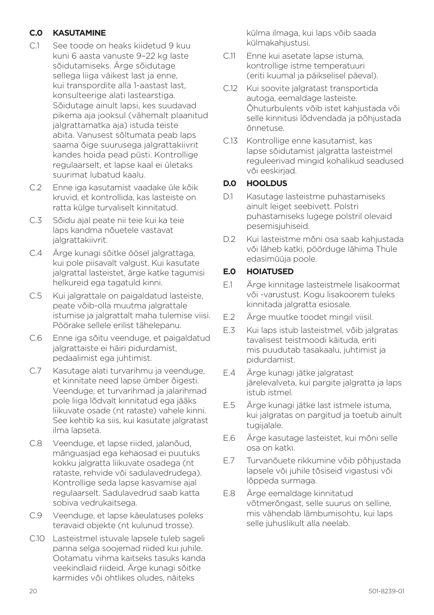#### **C.0 KASUTAMINE**

- C.1 See toode on heaks kiidetud 9 kuu kuni 6 aasta vanuste 9–22 kg laste sõidutamiseks. Ärge sõidutage sellega liiga väikest last ja enne, kui transpordite alla 1-aastast last, konsulteerige alati lastearstiga. Sõidutage ainult lapsi, kes suudavad pikema aja jooksul (vähemalt plaanitud jalgrattamatka aja) istuda teiste abita. Vanusest sõltumata peab laps saama õige suurusega jalgrattakiivrit kandes hoida pead püsti. Kontrollige regulaarselt, et lapse kaal ei ületaks suurimat lubatud kaalu.
- C.2 Enne iga kasutamist vaadake üle kõik kruvid, et kontrollida, kas lasteiste on ratta külge turvaliselt kinnitatud.
- C.3 Sõidu ajal peate nii teie kui ka teie laps kandma nõuetele vastavat jalgrattakiivrit.
- C.4 Ärge kunagi sõitke öösel jalgrattaga, kui pole piisavalt valgust. Kui kasutate jalgrattal lasteistet, ärge katke tagumisi helkureid ega tagatuld kinni.
- C.5 Kui jalgrattale on paigaldatud lasteiste, peate võib-olla muutma jalgrattale istumise ja jalgrattalt maha tulemise viisi. Pöörake sellele erilist tähelepanu.
- C.6 Enne iga sõitu veenduge, et paigaldatud jalgrattaiste ei häiri pidurdamist, pedaalimist ega juhtimist.
- C.7 Kasutage alati turvarihmu ja veenduge, et kinnitate need lapse ümber õigesti. Veenduge, et turvarihmad ja jalarihmad pole liiga lõdvalt kinnitatud ega jääks liikuvate osade (nt rataste) vahele kinni. See kehtib ka siis, kui kasutate jalgratast ilma lapseta.
- C.8 Veenduge, et lapse riided, jalanõud, mänguasjad ega kehaosad ei puutuks kokku jalgratta liikuvate osadega (nt rataste, rehvide või sadulavedrudega). Kontrollige seda lapse kasvamise ajal regulaarselt. Sadulavedrud saab katta sobiva vedrukaitsega.
- C.9 Veenduge, et lapse käeulatuses poleks teravaid objekte (nt kulunud trosse).
- C.10 Lasteistmel istuvale lapsele tuleb sageli panna selga soojemad riided kui juhile. Ootamatu vihma kaitseks tasuks kanda veekindlaid riideid. Ärge kunagi sõitke karmides või ohtlikes oludes, näiteks

külma ilmaga, kui laps võib saada külmakahjustusi.

- C.11 Enne kui asetate lapse istuma, kontrollige istme temperatuuri (eriti kuumal ja päikselisel päeval).
- C.12 Kui soovite jalgratast transportida autoga, eemaldage lasteiste. Õhuturbulents võib istet kahjustada või selle kinnitusi lõdvendada ja põhjustada õnnetuse.
- C.13 Kontrollige enne kasutamist, kas lapse sõidutamist jalgratta lasteistmel reguleerivad mingid kohalikud seadused või eeskirjad.

#### **D.0 HOOLDUS**

- D.1 Kasutage lasteistme puhastamiseks ainult leiget seebivett. Polstri puhastamiseks lugege polstril olevaid pesemisjuhiseid.
- D.2 Kui lasteistme mõni osa saab kahjustada või läheb katki, pöörduge lähima Thule edasimüüja poole.

#### **E.0 HOIATUSED**

- E.1 Ärge kinnitage lasteistmele lisakoormat või -varustust. Kogu lisakoorem tuleks kinnitada jalgratta esiosale.
- E.2 Ärge muutke toodet mingil viisil.
- E.3 Kui laps istub lasteistmel, võib jalgratas tavalisest teistmoodi käituda, eriti mis puudutab tasakaalu, juhtimist ja pidurdamist.
- E.4 Ärge kunagi jätke jalgratast järelevalveta, kui pargite jalgratta ja laps istub istmel.
- E.5 Ärge kunagi jätke last istmele istuma, kui jalgratas on pargitud ja toetub ainult tugijalale.
- E.6 Ärge kasutage lasteistet, kui mõni selle osa on katki.
- E.7 Turvanõuete rikkumine võib põhjustada lapsele või juhile tõsiseid vigastusi või lõppeda surmaga.
- E.8 Ärge eemaldage kinnitatud võtmerõngast, selle suurus on selline, mis vähendab lämbumisohtu, kui laps selle juhuslikult alla neelab.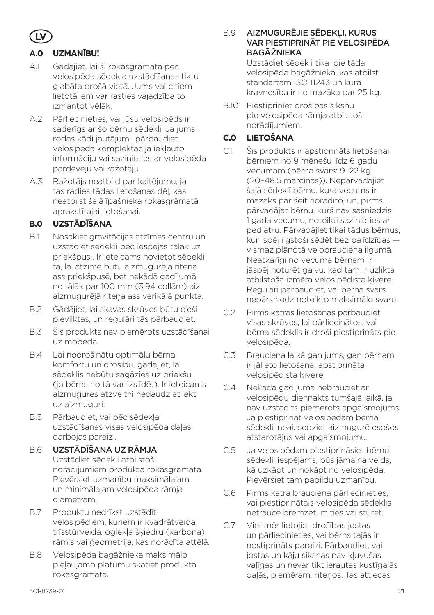

#### **A.0 UZMANĪBU!**

- A.1 Gādājiet, lai šī rokasgrāmata pēc velosipēda sēdekļa uzstādīšanas tiktu glabāta drošā vietā. Jums vai citiem lietotājiem var rasties vajadzība to izmantot vēlāk.
- A.2 Pārliecinieties, vai jūsu velosipēds ir saderīgs ar šo bērnu sēdekli. Ja jums rodas kādi jautājumi, pārbaudiet velosipēda komplektācijā iekļauto informāciju vai sazinieties ar velosipēda pārdevēju vai ražotāju.
- A.3 Ražotājs neatbild par kaitējumu, ja tas radies tādas lietošanas dēļ, kas neatbilst šajā īpašnieka rokasgrāmatā aprakstītajai lietošanai.

#### **B.0 UZSTĀDĪŠANA**

- B.1 Nosakiet gravitācijas atzīmes centru un uzstādiet sēdekli pēc iespējas tālāk uz priekšpusi. Ir ieteicams novietot sēdekli tā, lai atzīme būtu aizmugurējā riteņa ass priekšpusē, bet nekādā gadījumā ne tālāk par 100 mm (3,94 collām) aiz aizmugurējā riteņa ass verikālā punkta.
- B.2 Gādājiet, lai skavas skrūves būtu cieši pievilktas, un regulāri tās pārbaudiet.
- B.3 Šis produkts nav piemērots uzstādīšanai uz mopēda.
- B.4 Lai nodrošinātu optimālu bērna komfortu un drošību, gādājiet, lai sēdeklis nebūtu sagāzies uz priekšu (jo bērns no tā var izslīdēt). Ir ieteicams aizmugures atzveltni nedaudz atliekt uz aizmuguri.
- B.5 Pārbaudiet, vai pēc sēdekļa uzstādīšanas visas velosipēda daļas darbojas pareizi.
- B.6 UZSTĀDĪŠANA UZ RĀMJA Uzstādiet sēdekli atbilstoši norādījumiem produkta rokasgrāmatā. Pievērsiet uzmanību maksimālajam un minimālajam velosipēda rāmja diametram.
- B.7 Produktu nedrīkst uzstādīt velosipēdiem, kuriem ir kvadrātveida, trīsstūrveida, oglekļa šķiedru (karbona) rāmis vai ģeometrija, kas norādīta attēlā.
- B.8 Velosipēda bagāžnieka maksimālo pieļaujamo platumu skatiet produkta rokasgrāmatā.

B.9 AIZMUGURĒJIE SĒDEKĻI, KURUS VAR PIESTIPRINĀT PIE VELOSIPĒDA BAGĀŽNIEKA

Uzstādiet sēdekli tikai pie tāda velosipēda bagāžnieka, kas atbilst standartam ISO 11243 un kura kravnesība ir ne mazāka par 25 kg.

B.10 Piestipriniet drošības siksnu pie velosipēda rāmja atbilstoši norādījumiem.

## **C.0 LIETOŠANA**

- C.1 Šis produkts ir apstiprināts lietošanai bērniem no 9 mēnešu līdz 6 gadu vecumam (bērna svars: 9–22 kg (20–48,5 mārciņas)). Nepārvadājiet šajā sēdeklī bērnu, kura vecums ir mazāks par šeit norādīto, un, pirms pārvadājat bērnu, kurš nav sasniedzis 1 gada vecumu, noteikti sazinieties ar pediatru. Pārvadājiet tikai tādus bērnus, kuri spēj ilgstoši sēdēt bez palīdzības vismaz plānotā velobrauciena ilgumā. Neatkarīgi no vecuma bērnam ir jāspēj noturēt galvu, kad tam ir uzlikta atbilstoša izmēra velosipēdista ķivere. Regulāri pārbaudiet, vai bērna svars nepārsniedz noteikto maksimālo svaru.
- C.2 Pirms katras lietošanas pārbaudiet visas skrūves, lai pārliecinātos, vai bērna sēdeklis ir droši piestiprināts pie velosipēda.
- C.3 Brauciena laikā gan jums, gan bērnam ir jālieto lietošanai apstiprināta velosipēdista ķivere.
- C.4 Nekādā gadījumā nebrauciet ar velosipēdu diennakts tumšajā laikā, ja nav uzstādīts piemērots apgaismojums. Ja piestiprināt velosipēdam bērna sēdekli, neaizsedziet aizmugurē esošos atstarotājus vai apgaismojumu.
- C.5 Ja velosipēdam piestiprināsiet bērnu sēdekli, iespējams, būs jāmaina veids, kā uzkāpt un nokāpt no velosipēda. Pievērsiet tam papildu uzmanību.
- C.6 Pirms katra brauciena pārliecinieties, vai piestiprinātais velosipēda sēdeklis netraucē bremzēt, mīties vai stūrēt.
- C.7 Vienmēr lietojiet drošības jostas un pārliecinieties, vai bērns tajās ir nostiprināts pareizi. Pārbaudiet, vai jostas un kāju siksnas nav kļuvušas vaļīgas un nevar tikt ierautas kustīgajās daļās, piemēram, ritenos. Tas attiecas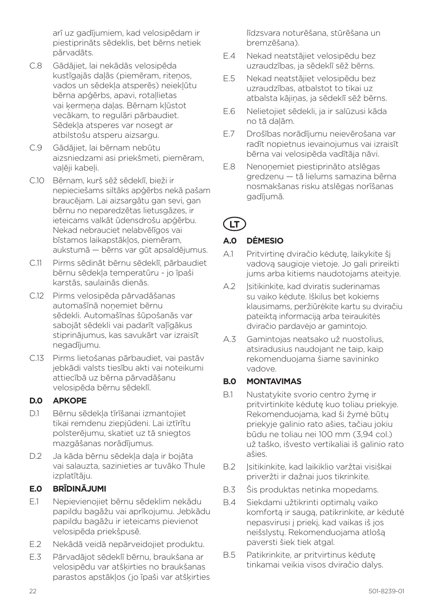arī uz gadījumiem, kad velosipēdam ir piestiprināts sēdeklis, bet bērns netiek pārvadāts.

- C.8 Gādājiet, lai nekādās velosipēda kustīgajās daļās (piemēram, ritenos, vados un sēdekļa atsperēs) neiekļūtu bērna apģērbs, apavi, rotaļlietas vai ķermeņa daļas. Bērnam kļūstot vecākam, to regulāri pārbaudiet. Sēdekļa atsperes var nosegt ar atbilstošu atsperu aizsargu.
- C.9 Gādājiet, lai bērnam nebūtu aizsniedzami asi priekšmeti, piemēram, valēji kabeli.
- C.10 Bērnam, kurš sēž sēdeklī, bieži ir nepieciešams siltāks apģērbs nekā pašam braucējam. Lai aizsargātu gan sevi, gan bērnu no neparedzētas lietusgāzes, ir ieteicams valkāt ūdensdrošu apģērbu. Nekad nebrauciet nelabvēlīgos vai bīstamos laikapstākļos, piemēram, aukstumā — bērns var gūt apsaldējumus.
- C.11 Pirms sēdināt bērnu sēdeklī, pārbaudiet bērnu sēdekļa temperatūru - jo īpaši karstās, saulainās dienās.
- C.12 Pirms velosipēda pārvadāšanas automašīnā noņemiet bērnu sēdekli. Automašīnas šūpošanās var sabojāt sēdekli vai padarīt vaļīgākus stiprinājumus, kas savukārt var izraisīt negadījumu.
- C.13 Pirms lietošanas pārbaudiet, vai pastāv jebkādi valsts tiesību akti vai noteikumi attiecībā uz bērna pārvadāšanu velosipēda bērnu sēdeklī.

#### **D.0 APKOPE**

- D.1 Bērnu sēdekļa tīrīšanai izmantojiet tikai remdenu ziepjūdeni. Lai iztīrītu polsterējumu, skatiet uz tā sniegtos mazgāšanas norādījumus.
- D.2 Ja kāda bērnu sēdekļa daļa ir bojāta vai salauzta, sazinieties ar tuvāko Thule izplatītāju.

#### **E.0 BRĪDINĀJUMI**

- E.1 Nepievienojiet bērnu sēdeklim nekādu papildu bagāžu vai aprīkojumu. Jebkādu papildu bagāžu ir ieteicams pievienot velosipēda priekšpusē.
- E.2 Nekādā veidā nepārveidojiet produktu.
- E.3 Pārvadājot sēdeklī bērnu, braukšana ar velosipēdu var atšķirties no braukšanas parastos apstākļos (jo īpaši var atšķirties

līdzsvara noturēšana, stūrēšana un bremzēšana).

- E.4 Nekad neatstājiet velosipēdu bez uzraudzības, ja sēdeklī sēž bērns.
- E.5 Nekad neatstājiet velosipēdu bez uzraudzības, atbalstot to tikai uz atbalsta kājiņas, ja sēdeklī sēž bērns.
- E.6 Nelietojiet sēdekli, ja ir salūzusi kāda no tā daļām.
- E.7 Drošības norādījumu neievērošana var radīt nopietnus ievainojumus vai izraisīt bērna vai velosipēda vadītāja nāvi.
- E.8 Nenoņemiet piestiprināto atslēgas gredzenu — tā lielums samazina bērna nosmakšanas risku atslēgas norīšanas gadījumā.

# **LT**

# **A.0 DĖMESIO**

- A.1 Pritvirtinę dviračio kėdutę, laikykite šį vadovą saugioje vietoje. Jo gali prireikti jums arba kitiems naudotojams ateityje.
- A.2 Isitikinkite, kad dviratis suderinamas su vaiko kėdute. Iškilus bet kokiems klausimams, peržiūrėkite kartu su dviračiu pateiktą informaciją arba teiraukitės dviračio pardavėjo ar gamintojo.
- A.3 Gamintojas neatsako už nuostolius, atsiradusius naudojant ne taip, kaip rekomenduojama šiame savininko vadove.

## **B.0 MONTAVIMAS**

- B.1 Nustatykite svorio centro žymę ir pritvirtinkite kėdutę kuo toliau priekyje. Rekomenduojama, kad ši žymė būtų priekyje galinio rato ašies, tačiau jokiu būdu ne toliau nei 100 mm (3,94 col.) už taško, išvesto vertikaliai iš galinio rato ašies.
- B.2 Isitikinkite, kad laikiklio varžtai visiškai priveržti ir dažnai juos tikrinkite.
- B.3 Šis produktas netinka mopedams.
- B.4 Siekdami užtikrinti optimalų vaiko komfortą ir saugą, patikrinkite, ar kėdutė nepasvirusi į priekį, kad vaikas iš jos neišslystų. Rekomenduojama atlošą paversti šiek tiek atgal.
- B.5 Patikrinkite, ar pritvirtinus kėdutę tinkamai veikia visos dviračio dalys.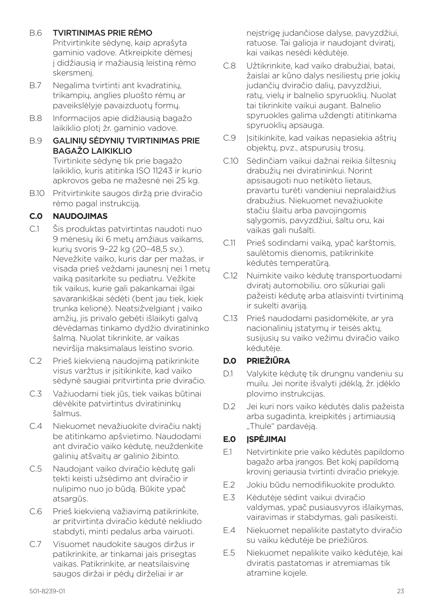#### B.6 TVIRTINIMAS PRIE RĖMO

Pritvirtinkite sėdynę, kaip aprašyta gaminio vadove. Atkreipkite dėmesį į didžiausią ir mažiausią leistiną rėmo skersmenį.

- B.7 Negalima tvirtinti ant kvadratinių, trikampių, anglies pluošto rėmų ar paveikslėlyje pavaizduotų formų.
- B.8 Informacijos apie didžiausią bagažo laikiklio plotį žr. gaminio vadove.
- B.9 GALINIŲ SĖDYNIŲ TVIRTINIMAS PRIE BAGAŽO LAIKIKLIO Tvirtinkite sėdynę tik prie bagažo laikiklio, kuris atitinka ISO 11243 ir kurio apkrovos geba ne mažesnė nei 25 kg.
- B.10 Pritvirtinkite saugos diržą prie dviračio rėmo pagal instrukciją.

# **C.0 NAUDOJIMAS**

- C.1 Šis produktas patvirtintas naudoti nuo 9 mėnesių iki 6 metų amžiaus vaikams, kurių svoris 9–22 kg (20–48,5 sv.). Nevežkite vaiko, kuris dar per mažas, ir visada prieš veždami jaunesnį nei 1 metų vaiką pasitarkite su pediatru. Vežkite tik vaikus, kurie gali pakankamai ilgai savarankiškai sėdėti (bent jau tiek, kiek trunka kelionė). Neatsižvelgiant į vaiko amžių, jis privalo gebėti išlaikyti galvą dėvėdamas tinkamo dydžio dviratininko šalmą. Nuolat tikrinkite, ar vaikas neviršija maksimalaus leistino svorio.
- C.2 Prieš kiekvieną naudojimą patikrinkite visus varžtus ir įsitikinkite, kad vaiko sėdynė saugiai pritvirtinta prie dviračio.
- C.3 Važiuodami tiek jūs, tiek vaikas būtinai dėvėkite patvirtintus dviratininkų šalmus.
- C.4 Niekuomet nevažiuokite dviračiu naktį be atitinkamo apšvietimo. Naudodami ant dviračio vaiko kėdutę, neuždenkite galinių atšvaitų ar galinio žibinto.
- C.5 Naudojant vaiko dviračio kėdutę gali tekti keisti užsėdimo ant dviračio ir nulipimo nuo jo būdą. Būkite ypač atsargūs.
- C.6 Prieš kiekvieną važiavimą patikrinkite, ar pritvirtinta dviračio kėdutė nekliudo stabdyti, minti pedalus arba vairuoti.
- C.7 Visuomet naudokite saugos diržus ir patikrinkite, ar tinkamai jais prisegtas vaikas. Patikrinkite, ar neatsilaisvinę saugos diržai ir pėdų dirželiai ir ar

neįstrigę judančiose dalyse, pavyzdžiui, ratuose. Tai galioja ir naudojant dviratį, kai vaikas nesėdi kėdutėje.

- C.8 Užtikrinkite, kad vaiko drabužiai, batai, žaislai ar kūno dalys nesiliestų prie jokių judančių dviračio dalių, pavyzdžiui, ratų, vielų ir balnelio spyruoklių. Nuolat tai tikrinkite vaikui augant. Balnelio spyruokles galima uždengti atitinkama spyruoklių apsauga.
- C.9 Įsitikinkite, kad vaikas nepasiekia aštrių objektų, pvz., atspurusių trosų.
- C.10 Sėdinčiam vaikui dažnai reikia šiltesnių drabužių nei dviratininkui. Norint apsisaugoti nuo netikėto lietaus, pravartu turėti vandeniui nepralaidžius drabužius. Niekuomet nevažiuokite stačiu šlaitu arba pavojingomis sąlygomis, pavyzdžiui, šaltu oru, kai vaikas gali nušalti.
- C.11 Prieš sodindami vaiką, ypač karštomis, saulėtomis dienomis, patikrinkite kėdutės temperatūrą.
- C.12 Nuimkite vaiko kėdutę transportuodami dviratį automobiliu. oro sūkuriai gali pažeisti kėdutę arba atlaisvinti tvirtinimą ir sukelti avariją.
- C.13 Prieš naudodami pasidomėkite, ar yra nacionalinių įstatymų ir teisės aktų, susijusių su vaiko vežimu dviračio vaiko kėdutėje.

## **D.0 PRIEŽIŪRA**

- D.1 Valykite kėdutę tik drungnu vandeniu su muilu. Jei norite išvalyti įdėklą, žr. įdėklo plovimo instrukcijas.
- D.2 Jei kuri nors vaiko kėdutės dalis pažeista arba sugadinta, kreipkitės į artimiausią "Thule" pardavėją.

## **E.0 ĮSPĖJIMAI**

- E.1 Netvirtinkite prie vaiko kėdutės papildomo bagažo arba įrangos. Bet kokį papildomą krovinį geriausia tvirtinti dviračio priekyje.
- E.2 Jokiu būdu nemodifikuokite produkto.
- E.3 Kėdutėje sėdint vaikui dviračio valdymas, ypač pusiausvyros išlaikymas, vairavimas ir stabdymas, gali pasikeisti.
- E.4 Niekuomet nepalikite pastatyto dviračio su vaiku kėdutėje be priežiūros.
- E.5 Niekuomet nepalikite vaiko kėdutėje, kai dviratis pastatomas ir atremiamas tik atramine kojele.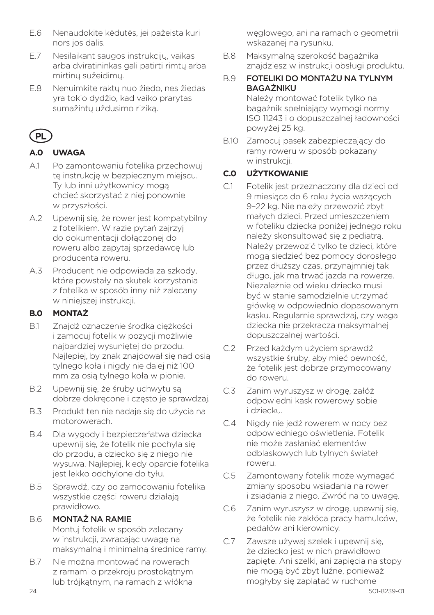- E.6 Nenaudokite kėdutės, jei pažeista kuri nors jos dalis.
- E.7 Nesilaikant saugos instrukcijų, vaikas arba dviratininkas gali patirti rimtų arba mirtinų sužeidimų.
- E.8 Nenuimkite raktų nuo žiedo, nes žiedas yra tokio dydžio, kad vaiko prarytas sumažintų uždusimo riziką.

# **PL**

# **A.0 UWAGA**

- A.1 Po zamontowaniu fotelika przechowuj te instrukcję w bezpiecznym miejscu. Ty lub inni użytkownicy mogą chcieć skorzystać z niej ponownie w przyszłości.
- A.2 Upewnij się, że rower jest kompatybilny z fotelikiem. W razie pytań zajrzyj do dokumentacji dołączonej do roweru albo zapytaj sprzedawcę lub producenta roweru.
- A.3 Producent nie odpowiada za szkody, które powstały na skutek korzystania z fotelika w sposób inny niż zalecany w niniejszej instrukcji.

## **B.0 MONTAŻ**

- B.1 Znajdź oznaczenie środka ciężkości i zamocuj fotelik w pozycji możliwie najbardziej wysuniętej do przodu. Najlepiej, by znak znajdował się nad osią tylnego koła i nigdy nie dalej niż 100 mm za osią tylnego koła w pionie.
- B.2 Upewnij się, że śruby uchwytu są dobrze dokręcone i często je sprawdzaj.
- B.3 Produkt ten nie nadaje się do użycia na motorowerach.
- B.4 Dla wygody i bezpieczeństwa dziecka upewnij się, że fotelik nie pochyla się do przodu, a dziecko się z niego nie wysuwa. Najlepiej, kiedy oparcie fotelika jest lekko odchylone do tyłu.
- B.5 Sprawdź, czy po zamocowaniu fotelika wszystkie części roweru działają prawidłowo.

## B.6 MONTAŻ NA RAMIE

Montuj fotelik w sposób zalecany w instrukcji, zwracając uwagę na maksymalną i minimalną średnicę ramy.

B.7 Nie można montować na rowerach z ramami o przekroju prostokątnym lub trójkątnym, na ramach z włókna

węglowego, ani na ramach o geometrii wskazanej na rysunku.

- B.8 Maksymalną szerokość bagażnika znajdziesz w instrukcji obsługi produktu.
- B.9 FOTELIKI DO MONTAŻU NA TYLNYM **BAGAŻNIKU**

Należy montować fotelik tylko na bagażnik spełniający wymogi normy ISO 11243 i o dopuszczalnej ładowności powyżej 25 kg.

B.10 Zamocuj pasek zabezpieczający do ramy roweru w sposób pokazany w instrukcji.

# **C.0 UŻYTKOWANIE**

- C.1 Fotelik jest przeznaczony dla dzieci od 9 miesiąca do 6 roku życia ważących 9–22 kg. Nie należy przewozić zbyt małych dzieci. Przed umieszczeniem w foteliku dziecka poniżej jednego roku należy skonsultować się z pediatrą. Należy przewozić tylko te dzieci, które mogą siedzieć bez pomocy dorosłego przez dłuższy czas, przynajmniej tak długo, jak ma trwać jazda na rowerze. Niezależnie od wieku dziecko musi być w stanie samodzielnie utrzymać główkę w odpowiednio dopasowanym kasku. Regularnie sprawdzaj, czy waga dziecka nie przekracza maksymalnej dopuszczalnej wartości.
- C.2 Przed każdym użyciem sprawdź wszystkie śruby, aby mieć pewność, że fotelik jest dobrze przymocowany do roweru.
- C.3 Zanim wyruszysz w drogę, załóż odpowiedni kask rowerowy sobie i dziecku.
- C.4 Nigdy nie jedź rowerem w nocy bez odpowiedniego oświetlenia. Fotelik nie może zasłaniać elementów odblaskowych lub tylnych świateł roweru.
- C.5 Zamontowany fotelik może wymagać zmiany sposobu wsiadania na rower i zsiadania z niego. Zwróć na to uwagę.
- C.6 Zanim wyruszysz w drogę, upewnij się, że fotelik nie zakłóca pracy hamulców, pedałów ani kierownicy.
- C.7 Zawsze używaj szelek i upewnij się, że dziecko jest w nich prawidłowo zapięte. Ani szelki, ani zapięcia na stopy nie mogą być zbyt luźne, ponieważ mogłyby się zaplątać w ruchome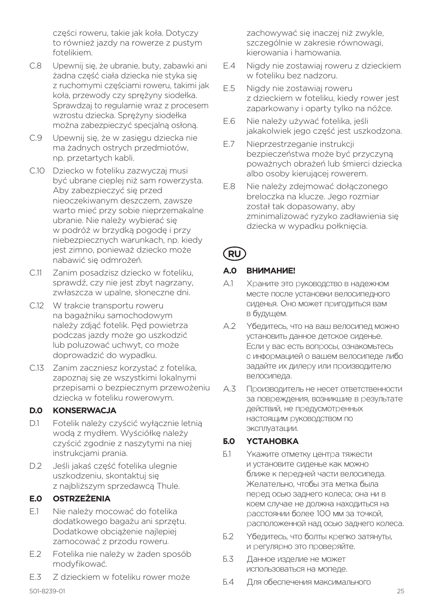części roweru, takie jak koła. Dotyczy to również jazdy na rowerze z pustym fotelikiem.

- C.8 Upewnij się, że ubranie, buty, zabawki ani żadna część ciała dziecka nie styka się z ruchomymi częściami roweru, takimi jak koła, przewody czy sprężyny siodełka. Sprawdzaj to regularnie wraz z procesem wzrostu dziecka. Sprężyny siodełka można zabezpieczyć specjalną osłoną.
- C.9 Upewnij się, że w zasięgu dziecka nie ma żadnych ostrych przedmiotów, np. przetartych kabli.
- C.10 Dziecko w foteliku zazwyczaj musi być ubrane cieplej niż sam rowerzysta. Aby zabezpieczyć się przed nieoczekiwanym deszczem, zawsze warto mieć przy sobie nieprzemakalne ubranie. Nie należy wybierać się w podróż w brzydką pogodę i przy niebezpiecznych warunkach, np. kiedy jest zimno, ponieważ dziecko może nabawić się odmrożeń.
- C.11 Zanim posadzisz dziecko w foteliku, sprawdź, czy nie jest zbyt nagrzany, zwłaszcza w upalne, słoneczne dni.
- C.12 W trakcie transportu roweru na bagażniku samochodowym należy zdjąć fotelik. Pęd powietrza podczas jazdy może go uszkodzić lub poluzować uchwyt, co może doprowadzić do wypadku.
- C.13 Zanim zaczniesz korzystać z fotelika, zapoznaj się ze wszystkimi lokalnymi przepisami o bezpiecznym przewożeniu dziecka w foteliku rowerowym.

#### **D.0 KONSERWACJA**

- D.1 Fotelik należy czyścić wyłącznie letnią wodą z mydłem. Wyściółkę należy czyścić zgodnie z naszytymi na niej instrukcjami prania.
- D.2 Jeśli jakaś część fotelika ulegnie uszkodzeniu, skontaktuj się z najbliższym sprzedawcą Thule.

## **E.0 OSTRZEŻENIA**

- E.1 Nie należy mocować do fotelika dodatkowego bagażu ani sprzętu. Dodatkowe obciążenie najlepiej zamocować z przodu roweru.
- E.2 Fotelika nie należy w żaden sposób modyfikować.
- E.3 Z dzieckiem w foteliku rower może

zachowywać się inaczej niż zwykle, szczególnie w zakresie równowagi, kierowania i hamowania.

- E.4 Nigdy nie zostawiaj roweru z dzieckiem w foteliku bez nadzoru.
- E.5 Nigdy nie zostawiaj roweru z dzieckiem w foteliku, kiedy rower jest zaparkowany i oparty tylko na nóżce.
- E.6 Nie należy używać fotelika, jeśli jakakolwiek jego część jest uszkodzona.
- E.7 Nieprzestrzeganie instrukcji bezpieczeństwa może być przyczyną poważnych obrażeń lub śmierci dziecka albo osoby kierującej rowerem.
- E.8 Nie należy zdejmować dołączonego breloczka na klucze. Jego rozmiar został tak dopasowany, aby zminimalizować ryzyko zadławienia się dziecka w wypadku połknięcia.

# **RU**

#### **А.0 ВНИМАНИЕ!**

- А.1 Храните это руководство в надежном месте после установки велосипедного сиденья. Оно может пригодиться вам в будущем.
- А.2 Убедитесь, что на ваш велосипед можно установить данное детское сиденье. Если у вас есть вопросы, ознакомьтесь с информацией о вашем велосипеде либо задайте их дилеру или производителю велосипеда.
- А.3 Производитель не несет ответственности за повреждения, возникшие в результате действий, не предусмотренных настоящим руководством по эксплуатации.

#### **Б.0 УСТАНОВКА**

- Б.1 Укажите отметку центра тяжести и установите сиденье как можно ближе к передней части велосипеда. Желательно, чтобы эта метка была перед осью заднего колеса; она ни в коем случае не должна находиться на расстоянии более 100 мм за точкой, расположенной над осью заднего колеса.
- Б.2 Убедитесь, что болты крепко затянуты, и регулярно это проверяйте.
- Б.3 Данное изделие не может использоваться на мопеде.
- Б.4 Для обеспечения максимального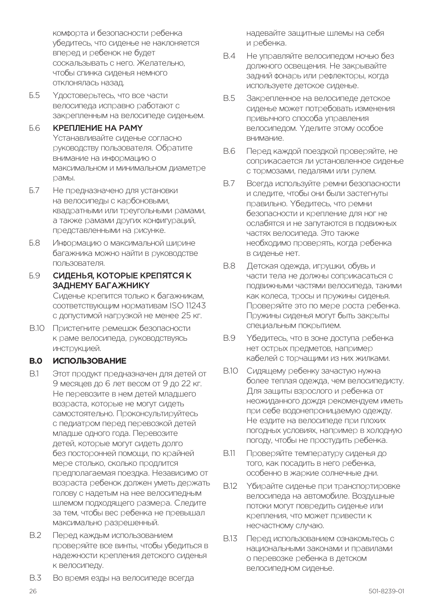комфорта и безопасности ребенка убедитесь, что сиденье не наклоняется вперед и ребенок не будет соскальзывать с него. Желательно, чтобы спинка сиденья немного отклонялась назад.

Б.5 Удостоверьтесь, что все части велосипеда исправно работают с закрепленным на велосипеде сиденьем.

#### Б.6 КРЕПЛЕНИЕ НА РАМУ Устанавливайте сиденье согласно руководству пользователя. Обратите внимание на информацию о максимальном и минимальном диаметре рамы.

- Б.7 Не предназначено для установки на велосипеды с карбоновыми, квадратными или треугольными рамами, а также рамами других конфигураций, представленными на рисунке.
- Б.8 Информацию о максимальной ширине багажника можно найти в руководстве пользователя.
- Б.9 СИДЕНЬЯ, КОТОРЫЕ КРЕПЯТСЯ К ЗАДНЕМУ БАГАЖНИКУ Сиденье крепится только к багажникам,

соответствующим нормативам ISO 11243 с допустимой нагрузкой не менее 25 кг.

B.10 Пристегните ремешок безопасности к раме велосипеда, руководствуясь инструкцией.

#### **В.0 ИСПОЛЬЗОВАНИЕ**

- В.1 Этот продукт предназначен для детей от 9 месяцев до 6 лет весом от 9 до 22 кг. Не перевозите в нем детей младшего возраста, которые не могут сидеть самостоятельно. Проконсультируйтесь с педиатром перед перевозкой детей младше одного года. Перевозите детей, которые могут сидеть долго без посторонней помощи, по крайней мере столько, сколько продлится предполагаемая поездка. Независимо от возраста ребенок должен уметь держать голову с надетым на нее велосипедным шлемом подходящего размера. Следите за тем, чтобы вес ребенка не превышал максимально разрешенный.
- В.2 Перед каждым использованием проверяйте все винты, чтобы убедиться в надежности крепления детского сиденья к велосипеду.
- В.3 Во время езды на велосипеде всегда

надевайте защитные шлемы на себя и ребенка.

- В.4 Не управляйте велосипедом ночью без должного освещения. Не закрывайте задний фонарь или рефлекторы, когда используете детское сиденье.
- В.5 Закрепленное на велосипеде детское сиденье может потребовать изменения привычного способа управления велосипедом. Уделите этому особое внимание.
- В.6 Перед каждой поездкой проверяйте, не соприкасается ли установленное сиденье с тормозами, педалями или рулем.
- В.7 Всегда используйте ремни безопасности и следите, чтобы они были застегнуты правильно. Убедитесь, что ремни безопасности и крепление для ног не ослабятся и не запутаются в подвижных частях велосипеда. Это также необходимо проверять, когда ребенка в сиденье нет.
- В.8 Детская одежда, игрушки, обувь и части тела не должны соприкасаться с подвижными частями велосипеда, такими как колеса, тросы и пружины сиденья. Проверяйте это по мере роста ребенка. Пружины сиденья могут быть закрыты специальным покрытием.
- В.9 Убедитесь, что в зоне доступа ребенка нет острых предметов, например кабелей с торчащими из них жилками.
- В.10 Сидящему ребенку зачастую нужна более теплая одежда, чем велосипедисту. Для защиты взрослого и ребенка от неожиданного дождя рекомендуем иметь при себе водонепроницаемую одежду. Не ездите на велосипеде при плохих погодных условиях, например в холодную погоду, чтобы не простудить ребенка.
- В.11 Проверяйте температуру сиденья до того, как посадить в него ребенка, особенно в жаркие солнечные дни.
- В.12 Убирайте сиденье при транспортировке велосипеда на автомобиле. Воздушные потоки могут повредить сиденье или крепления, что может привести к несчастному случаю.
- В.13 Перед использованием ознакомьтесь с национальными законами и правилами о перевозке ребенка в детском велосипедном сиденье.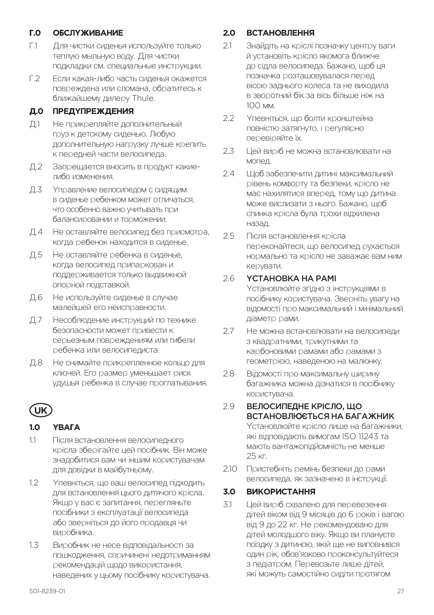#### **Г.0 ОБСЛУЖИВАНИЕ**

- Г.1 Для чистки сиденья используйте только теплую мыльную воду. Для чистки подкладки см. специальные инструкции.
- Г.2 Если какая-либо часть сиденья окажется повреждена или сломана, обратитесь к ближайшему дилеру Thule.

#### **Д.0 ПРЕДУПРЕЖДЕНИЯ**

- Д.1 Не прикрепляйте дополнительный груз к детскому сиденью. Любую дополнительную нагрузку лучше крепить к передней части велосипеда.
- Д.2 Запрещается вносить в продукт какиелибо изменения.
- Д.3 Управление велосипедом с сидящим в сиденье ребенком может отличаться, что особенно важно учитывать при балансировании и торможении.
- Д.4 Не оставляйте велосипед без присмотра, когда ребенок находится в сиденье.
- Д.5 Не оставляйте ребенка в сиденье, когда велосипед припаркован и поддерживается только выдвижной опорной подставкой.
- Д.6 Не используйте сиденье в случае малейшей его неисправности.
- Д.7 Несоблюдение инструкций по технике безопасности может привести к серьезным повреждениям или гибели ребенка или велосипедиста.
- Д.8 Не снимайте прикрепленное кольцо для ключей. Его размер уменьшает риск удушья ребенка в случае проглатывания.

# **UK**

## **1.0 УВАГА**

- 1.1 Після встановлення велосипедного крісла зберігайте цей посібник. Він може знадобитися вам чи іншим користувачам для довідки в майбутньому.
- 1.2 Упевніться, що ваш велосипед підходить для встановлення цього дитячого крісла. Якщо у вас є запитання, перегляньте посібники з експлуатації велосипеда або зверніться до його продавця чи виробника.
- 1.3 Виробник не несе відповідальності за пошкодження, спричинені недотриманням рекомендацій щодо використання, наведених у цьому посібнику користувача.

#### **2.0 ВСТАНОВЛЕННЯ**

- 2.1 Знайдіть на кріслі позначку центру ваги й установіть крісло якомога ближче до сідла велосипеда. Бажано, щоб ця позначка розташовувалася перед віссю заднього колеса та не виходила в зворотний бік за вісь більше ніж на 100 мм.
- 2.2 Упевніться, що болти кронштейна повністю затягнуто, і регулярно перевіряйте їх.
- 2.3 Цей виріб не можна встановлювати на мопед.
- 2.4 Ноб забезпечити литині максимальний рівень комфорту та безпеки, крісло не має нахилятися вперед, тому що дитина може вислизати з нього. Бажано, щоб спинка крісла була трохи відхилена назад.
- 2.5 Після встановлення крісла переконайтеся, що велосипед рухається нормально та крісло не заважає вам ним керувати.

#### 2.6 УСТАНОВКА НА РАМІ

Установлюйте згідно з інструкціями в посібнику користувача. Зверніть увагу на відомості про максимальний і мінімальний діаметр рами.

- 2.7 Не можна встановлювати на велосипеди з квадратними, трикутними та карбоновими рамами або рамами з геометрією, наведеною на малюнку.
- 2.8 Відомості про максимальну ширину багажника можна дізнатися в посібнику користувача.

#### 2.9 ВЕЛОСИПЕДНЕ КРІСЛО, ЩО ВСТАНОВЛЮЄТЬСЯ НА БАГАЖНИК

Установлюйте крісло лише на багажники, які відповідають вимогам ISO 11243 та мають вантажопідйомність не менше 25 кг.

2.10 Пристебніть ремінь безпеки до рами велосипеда, як зазначено в інструкції.

#### **3.0 ВИКОРИСТАННЯ**

3.1 Цей виріб схвалено для перевезення дітей віком від 9 місяців до 6 років і вагою від 9 до 22 кг. Не рекомендовано для дітей молодшого віку. Якщо ви плануєте поїздку з дитиною, якій ще не виповнився один рік, обов'язково проконсультуйтеся з педіатром. Перевозьте лише дітей, які можуть самостійно сидіти протягом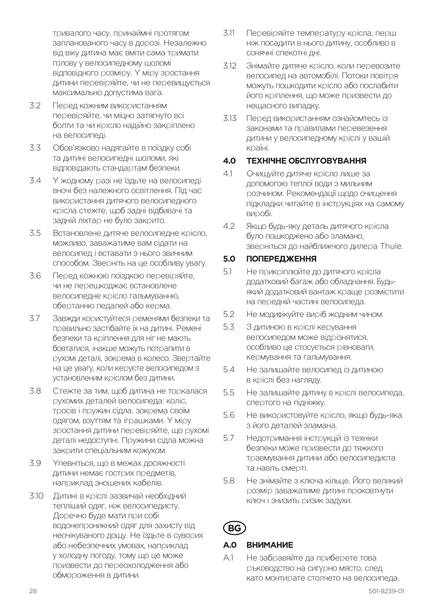тривалого часу, принаймні протягом запланованого часу в дорозі. Незалежно від віку дитина має вміти сама тримати голову у велосипедному шоломі відповідного розміру. У міру зростання дитини перевіряйте, чи не перевищується максимально допустима вага.

- 3.2 Перед кожним використанням перевіряйте, чи міцно затягнуто всі болти та чи крісло надійно закріплено на велосипеді.
- 3.3 Обов'язково надягайте в поїздку собі та дитині велосипедні шоломи, які відповідають стандартам безпеки.
- 3.4 У жодному разі не їздьте на велосипеді вночі без належного освітлення. Під час використання дитячого велосипедного крісла стежте, щоб задні відбивачі та задній ліхтар не було закрито.
- 3.5 Встановлене дитяче велосипедне крісло, можливо, заважатиме вам сідати на велосипед і вставати з нього звичним способом. Зверніть на це особливу увагу.
- 3.6 Перед кожною поїздкою перевіряйте, чи не перешкоджає встановлене велосипедне крісло гальмуванню, обертанню педалей або керма.
- 3.7 Завжди користуйтеся ременями безпеки та правильно застібайте їх на дитині. Ремені безпеки та кріплення для ніг не мають бовтатися, інакше можуть потрапити в рухомі деталі, зокрема в колесо. Звертайте на це увагу, коли керуєте велосипедом з установленим кріслом без дитини.
- 3.8 Стежте за тим, щоб дитина не торкалася рухомих деталей велосипеда: коліс, тросів і пружин сідла, зокрема своїм одягом, взуттям та іграшками. У міру зростання дитини перевіряйте, що рухомі деталі недоступні. Пружини сідла можна закрити спеціальним кожухом.
- 3.9 Упевніться, що в межах досяжності дитини немає гострих предметів, наприклад зношених кабелів.
- 3.10 Дитині в кріслі зазвичай необхідний тепліший одяг, ніж велосипедисту. Доречно буде мати при собі водонепроникний одяг для захисту від неочікуваного дощу. Не їздьте в суворих або небезпечних умовах, наприклад у холодну погоду, тому що це може призвести до переохолодження або обмороження в дитини.
- 3.11 Перевіряйте температуру крісла, перш ніж посадити в нього дитину, особливо в сонячні спекотні дні.
- 3.12 Знімайте дитяче крісло, коли перевозите велосипед на автомобілі. Потоки повітря можуть пошкодити крісло або послабити його кріплення, що може призвести до нещасного випадку.
- 3.13 Перед використанням ознайомтесь із законами та правилами перевезення дитини у велосипедному кріслі у вашій країні.

#### **4.0 ТЕХНІЧНЕ ОБСЛУГОВУВАННЯ**

- 4.1 Очищуйте дитяче крісло лише за допомогою теплої води з мильним розчином. Рекомендації щодо очищення підкладки читайте в інструкціях на самому виробі.
- 4.2 Якщо будь-яку деталь дитячого крісла було пошкоджено або зламано, зверніться до найближчого дилера Thule.

#### **5.0 ПОПЕРЕДЖЕННЯ**

- 5.1 Не прикріплюйте до дитячого крісла додатковий багаж або обладнання. Будьякий додатковий вантаж краще розмістити на передній частині велосипеда.
- 5.2 Не модифікуйте виріб жодним чином.
- 5.3 З дитиною в кріслі керування велосипедом може відрізнятися, особливо це стосується рівноваги, кермування та гальмування.
- 5.4 Не залишайте велосипед із дитиною в кріслі без нагляду.
- 5.5 Не залишайте дитину в кріслі велосипеда, спертого на підніжку.
- 5.6 Не використовуйте крісло, якщо будь-яка з його деталей зламана.
- 5.7 Недотримання інструкцій із техніки безпеки може призвести до тяжкого травмування дитини або велосипедиста та навіть смерті.
- 5.8 Не знімайте з ключа кільце. Його великий розмір заважатиме дитині проковтнути ключ і знизить ризик задухи.

# **BG**

#### **A.0 ВНИМАНИЕ**

A.1 Не забравяйте да приберете това ръководство на сигурно място, след като монтирате столчето на велосипеда.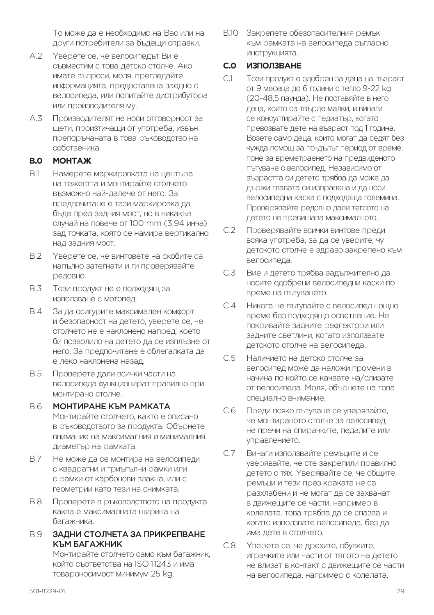То може да е необходимо на Вас или на други потребители за бъдещи справки.

- A.2 Уверете се, че велосипедът Ви е съвместим с това детско столче. Ако имате въпроси, моля, прегледайте информацията, предоставена заедно с велосипеда, или попитайте дистрибутора или производителя му.
- A.3 Производителят не носи отговорност за щети, произтичащи от употреба, извън препоръчаната в това ръководство на собственика.

#### **B.0 МОНТАЖ**

- B.1 Намерете маркировката на центъра на тежестта и монтирайте столчето възможно най-далече от него. За предпочитане е тази маркировка да бъде пред задния мост, но в никакъв случай на повече от 100 mm (3,94 инча) зад точката, която се намира вертикално над задния мост.
- B.2 Уверете се, че винтовете на скобите са напълно затегнати и ги проверявайте редовно.
- B.3 Този продукт не е подходящ за използване с мотопед.
- B.4 За да осигурите максимален комфорт и безопасност на детето, уверете се, че столчето не е наклонено напред, което би позволило на детето да се изплъзне от него. За предпочитане е облегалката да е леко наклонена назад.
- B.5 Проверете дали всички части на велосипеда функционират правилно при монтирано столче.

#### B.6 МОНТИРАНЕ КЪМ РАМКАТА

- Монтирайте столчето, както е описано в ръководството за продукта. Обърнете внимание на максималния и минималния диаметър на рамката.
- B.7 Не може да се монтира на велосипеди с квадратни и триъгълни рамки или с рамки от карбонови влакна, или с геометрии като тези на снимката.
- B.8 Проверете в ръководството на продукта каква е максималната ширина на багажника.

#### B.9 ЗАДНИ СТОЛЧЕТА ЗА ПРИКРЕПВАНЕ КЪМ БАГАЖНИК

Монтирайте столчето само към багажник, който съответства на ISO 11243 и има товароносимост минимум 25 kg.

B.10 Закрепете обезопасителния ремък към рамката на велосипеда съгласно инструкцията.

#### **C.0 ИЗПОЛЗВАНЕ**

- C.1 Този продукт е одобрен за деца на възраст от 9 месеца до 6 години с тегло 9-22 kg (20-48,5 паунда). Не поставяйте в него деца, които са твърде малки, и винаги се консултирайте с педиатър, когато превозвате дете на възраст под 1 година. Возете само деца, които могат да седят без чужда помощ за по-дълъг период от време, поне за времетраенето на предвиденото пътуване с велосипед. Независимо от възрастта си детето трябва да може да държи главата си изправена и да носи велосипедна каска с подходяща големина. Проверявайте редовно дали теглото на детето не превишава максималното.
- C.2 Проверявайте всички винтове преди всяка употреба, за да се уверите, чу детското столче е здраво закрепено към велосипеда.
- C.3 Вие и детето трябва задължително да носите одобрени велосипедни каски по време на пътуването.
- C.4 Никога не пътувайте с велосипед нощно време без подходящо осветление. Не покривайте задните рефлектори или задните светлини, когато използвате детското столче на велосипеда.
- C.5 Наличието на детско столче за велосипед може да наложи промени в начина по който се качвате на/слизате от велосипеда. Моля, обърнете на това специално внимание.
- C.6 Преди всяко пътуване се уверявайте, че монтираното столче за велосипед не пречи на спирачките, педалите или управлението.
- C.7 Винаги използвайте ремъците и се уверявайте, че сте закрепили правилно детето с тях. Уверявайте се, че общите ремъци и тези през краката не са разхлабени и не могат да се захванат в движещите се части, например в колелата. това трябва да се спазва и когато използвате велосипеда, без да има дете в столчето.
- C.8 Уверете се, че дрехите, обувките, играчките или части от тялото на детето не влизат в контакт с движещите се части на велосипеда, например с колелата,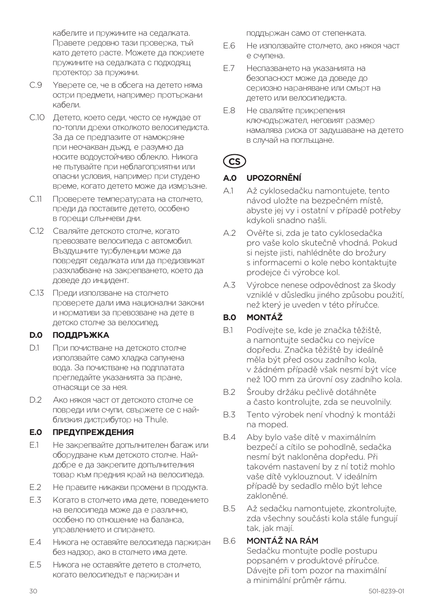кабелите и пружините на седалката. Правете редовно тази проверка, тъй като детето расте. Можете да покриете пружините на седалката с подходящ протектор за пружини.

- C.9 Уверете се, че в обсега на детето няма остри предмети, например протъркани кабели.
- C.10 Детето, което седи, често се нуждае от по-топли дрехи отколкото велосипедиста. За да се предпазите от намокряне при неочакван дъжд, е разумно да носите водоустойчиво облекло. Никога не пътувайте при неблагоприятни или опасни условия, например при студено време, когато детето може да измръзне.
- C.11 Проверете температурата на столчето, преди да поставите детето, особено в горещи слънчеви дни.
- C.12 Сваляйте детското столче, когато превозвате велосипеда с автомобил. Въздушните турбуленции може да повредят седалката или да предизвикат разхлабване на закрепването, което да доведе до инцидент.
- C.13 Преди използване на столчето проверете дали има национални закони и нормативи за превозване на дете в детско столче за велосипед.

#### **D.0 ПОДДРЪЖКА**

- D.1 При почистване на детското столче използвайте само хладка сапунена вода. За почистване на подплатата прегледайте указанията за пране, отнасящи се за нея.
- D.2 Ако някоя част от детското столче се повреди или счупи, свържете се с найблизкия дистрибутор на Thule.

#### **E.0 ПРЕДУПРЕЖДЕНИЯ**

- E.1 Не закрепвайте допълнителен багаж или оборудване към детското столче. Найдобре е да закрепите допълнителния товар към предния край на велосипеда.
- E.2 Не правите никакви промени в продукта.
- E.3 Когато в столчето има дете, поведението на велосипеда може да е различно, особено по отношение на баланса, управлението и спирането.
- E.4 Никога не оставяйте велосипеда паркиран без надзор, ако в столчето има дете.
- E.5 Никога не оставяйте детето в столчето, когато велосипедът е паркиран и

поддържан само от степенката.

- E.6 Не използвайте столчето, ако някоя част е счупена.
- E.7 Неспазването на указанията на безопасност може да доведе до сериозно нараняване или смърт на детето или велосипедиста.
- E.8 Не сваляйте прикрепения ключодържател, неговият размер намалява риска от задушаване на детето в случай на поглъщане.

# **CS**

#### **A.0 UPOZORNĚNÍ**

- A.1 Až cyklosedačku namontujete, tento návod uložte na bezpečném místě, abyste jej vy i ostatní v případě potřeby kdykoli snadno našli.
- A.2 Ověřte si, zda je tato cyklosedačka pro vaše kolo skutečně vhodná. Pokud si nejste jisti, nahlédněte do brožury s informacemi o kole nebo kontaktujte prodejce či výrobce kol.
- A.3 Výrobce nenese odpovědnost za škody vzniklé v důsledku jiného způsobu použití, než který je uveden v této příručce.

# **B.0 MONTÁŽ**

- B.1 Podívejte se, kde je značka těžiště, a namontujte sedačku co nejvíce dopředu. Značka těžiště by ideálně měla být před osou zadního kola, v žádném případě však nesmí být více než 100 mm za úrovní osy zadního kola.
- B.2 Šrouby držáku pečlivě dotáhněte a často kontrolujte, zda se neuvolnily.
- B.3 Tento výrobek není vhodný k montáži na moped.
- B.4 Aby bylo vaše dítě v maximálním bezpečí a cítilo se pohodlně, sedačka nesmí být nakloněna dopředu. Při takovém nastavení by z ní totiž mohlo vaše dítě vyklouznout. V ideálním případě by sedadlo mělo být lehce zakloněné.
- B.5 Až sedačku namontujete, zkontrolujte, zda všechny součásti kola stále fungují tak, jak mají.

#### B.6 MONTÁŽ NA RÁM

Sedačku montujte podle postupu popsaném v produktové příručce. Dávejte při tom pozor na maximální a minimální průměr rámu.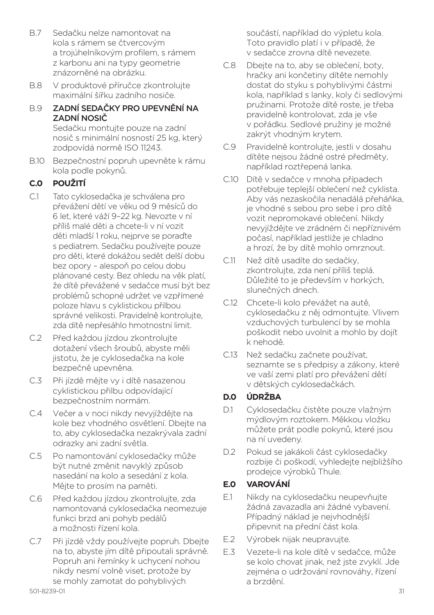- B.7 Sedačku nelze namontovat na kola s rámem se čtvercovým a trojúhelníkovým profilem, s rámem z karbonu ani na typy geometrie znázorněné na obrázku.
- B.8 V produktové příručce zkontrolujte maximální šířku zadního nosiče.
- B.9 ZADNÍ SEDAČKY PRO UPEVNĚNÍ NA ZADNÍ NOSIČ

Sedačku montujte pouze na zadní nosič s minimální nosností 25 kg, který zodpovídá normě ISO 11243.

B.10 Bezpečnostní popruh upevněte k rámu kola podle pokynů.

# **C.0 POUŽITÍ**

- C.1 Tato cyklosedačka je schválena pro převážení dětí ve věku od 9 měsíců do 6 let, které váží 9–22 kg. Nevozte v ní příliš malé děti a chcete-li v ní vozit děti mladší 1 roku, nejprve se poraďte s pediatrem. Sedačku používejte pouze pro děti, které dokážou sedět delší dobu bez opory – alespoň po celou dobu plánované cesty. Bez ohledu na věk platí, že dítě převážené v sedačce musí být bez problémů schopné udržet ve vzpřímené poloze hlavu s cyklistickou přilbou správné velikosti. Pravidelně kontrolujte, zda dítě nepřesáhlo hmotnostní limit.
- C.2 Před každou jízdou zkontrolujte dotažení všech šroubů, abyste měli jistotu, že je cyklosedačka na kole bezpečně upevněna.
- C.3 Při jízdě mějte vy i dítě nasazenou cyklistickou přilbu odpovídající bezpečnostním normám.
- C.4 Večer a v noci nikdy nevyjíždějte na kole bez vhodného osvětlení. Dbejte na to, aby cyklosedačka nezakrývala zadní odrazky ani zadní světla.
- C.5 Po namontování cyklosedačky může být nutné změnit navyklý způsob nasedání na kolo a sesedání z kola. Mějte to prosím na paměti.
- C.6 Před každou jízdou zkontrolujte, zda namontovaná cyklosedačka neomezuje funkci brzd ani pohyb pedálů a možnosti řízení kola.
- C.7 Při jízdě vždy používejte popruh. Dbejte na to, abyste jím dítě připoutali správně. Popruh ani řemínky k uchycení nohou nikdy nesmí volně viset, protože by se mohly zamotat do pohyblivých

součástí, například do výpletu kola. Toto pravidlo platí i v případě, že v sedačce zrovna dítě nevezete.

- C.8 Dbejte na to, aby se oblečení, boty, hračky ani končetiny dítěte nemohly dostat do styku s pohyblivými částmi kola, například s lanky, koly či sedlovými pružinami. Protože dítě roste, je třeba pravidelně kontrolovat, zda je vše v pořádku. Sedlové pružiny je možné zakrýt vhodným krytem.
- C.9 Pravidelně kontrolujte, jestli v dosahu dítěte nejsou žádné ostré předměty, například roztřepená lanka.
- C.10 Dítě v sedačce v mnoha případech potřebuje teplejší oblečení než cyklista. Aby vás nezaskočila nenadálá přeháňka, je vhodné s sebou pro sebe i pro dítě vozit nepromokavé oblečení. Nikdy nevyjíždějte ve zrádném či nepříznivém počasí, například jestliže je chladno a hrozí, že by dítě mohlo omrznout.
- C.11 Než dítě usadíte do sedačky, zkontrolujte, zda není příliš teplá. Důležité to je především v horkých, slunečných dnech.
- C.12 Chcete-li kolo převážet na autě, cyklosedačku z něj odmontujte. Vlivem vzduchových turbulencí by se mohla poškodit nebo uvolnit a mohlo by dojít k nehodě.
- C.13 Než sedačku začnete používat, seznamte se s předpisy a zákony, které ve vaší zemi platí pro převážení dětí v dětských cyklosedačkách.

## **D.0 ÚDRŽBA**

- D.1 Cyklosedačku čistěte pouze vlažným mýdlovým roztokem. Měkkou vložku můžete prát podle pokynů, které jsou na ní uvedeny.
- D.2 Pokud se jakákoli část cyklosedačky rozbije či poškodí, vyhledejte nejbližšího prodejce výrobků Thule.

## **E.0 VAROVÁNÍ**

- E.1 Nikdy na cyklosedačku neupevňujte žádná zavazadla ani žádné vybavení. Případný náklad je nejvhodnější připevnit na přední část kola.
- E.2 Výrobek nijak neupravujte.
- E.3 Vezete-li na kole dítě v sedačce, může se kolo chovat jinak, než jste zvyklí. Jde zejména o udržování rovnováhy, řízení a brzdění.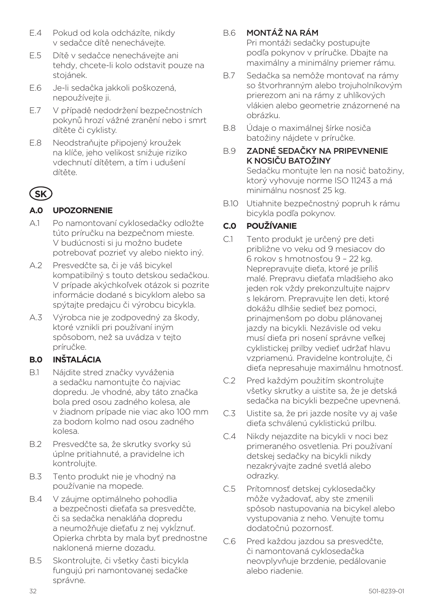- E.4 Pokud od kola odcházíte, nikdy v sedačce dítě nenechávejte.
- E.5 Dítě v sedačce nenechávejte ani tehdy, chcete-li kolo odstavit pouze na stojánek.
- E.6 Je-li sedačka jakkoli poškozená, nepoužívejte ji.
- E.7 V případě nedodržení bezpečnostních pokynů hrozí vážné zranění nebo i smrt dítěte či cyklisty.
- E.8 Neodstraňujte připojený kroužek na klíče, jeho velikost snižuje riziko vdechnutí dítětem, a tím i udušení dítěte.

# **SK**

# **A.0 UPOZORNENIE**

- A.1 Po namontovaní cyklosedačky odložte túto príručku na bezpečnom mieste. V budúcnosti si ju možno budete potrebovať pozrieť vy alebo niekto iný.
- A.2 Presvedčte sa, či je váš bicykel kompatibilný s touto detskou sedačkou. V prípade akýchkoľvek otázok si pozrite informácie dodané s bicyklom alebo sa spýtajte predajcu či výrobcu bicykla.
- A.3 Výrobca nie je zodpovedný za škody, ktoré vznikli pri používaní iným spôsobom, než sa uvádza v tejto príručke.

# **B.0 INŠTALÁCIA**

- B.1 Nájdite stred značky vyváženia a sedačku namontujte čo najviac dopredu. Je vhodné, aby táto značka bola pred osou zadného kolesa, ale v žiadnom prípade nie viac ako 100 mm za bodom kolmo nad osou zadného kolesa.
- B.2 Presvedčte sa, že skrutky svorky sú úplne pritiahnuté, a pravidelne ich kontrolujte.
- B.3 Tento produkt nie je vhodný na používanie na mopede.
- B.4 V záujme optimálneho pohodlia a bezpečnosti dieťaťa sa presvedčte, či sa sedačka nenakláňa dopredu a neumožňuje dieťaťu z nej vykĺznuť. Opierka chrbta by mala byť prednostne naklonená mierne dozadu.
- B.5 Skontrolujte, či všetky časti bicykla fungujú pri namontovanej sedačke správne.

# B.6 MONTÁŽ NA RÁM

Pri montáži sedačky postupujte podľa pokynov v príručke. Dbajte na maximálny a minimálny priemer rámu.

- B.7 Sedačka sa nemôže montovať na rámy so štvorhranným alebo trojuholníkovým prierezom ani na rámy z uhlíkových vlákien alebo geometrie znázornené na obrázku.
- B.8 Údaje o maximálnej šírke nosiča batožiny nájdete v príručke.
- B.9 ZADNÉ SEDAČKY NA PRIPEVNENIE K NOSIČU BATOŽINY Sedačku montujte len na nosič batožiny, ktorý vyhovuje norme ISO 11243 a má minimálnu nosnosť 25 kg.
- B.10 Utiahnite bezpečnostný popruh k rámu bicykla podľa pokynov.

# **C.0 POUŽÍVANIE**

- C.1 Tento produkt je určený pre deti približne vo veku od 9 mesiacov do 6 rokov s hmotnosťou 9 – 22 kg. Neprepravujte dieťa, ktoré je príliš malé. Prepravu dieťaťa mladšieho ako jeden rok vždy prekonzultujte najprv s lekárom. Prepravujte len deti, ktoré dokážu dlhšie sedieť bez pomoci, prinajmenšom po dobu plánovanej jazdy na bicykli. Nezávisle od veku musí dieťa pri nosení správne veľkej cyklistickej prilby vedieť udržať hlavu vzpriamenú. Pravidelne kontrolujte, či dieťa nepresahuje maximálnu hmotnosť.
- C.2 Pred každým použitím skontrolujte všetky skrutky a uistite sa, že je detská sedačka na bicykli bezpečne upevnená.
- C.3 Uistite sa, že pri jazde nosíte vy aj vaše dieťa schválenú cyklistickú prilbu.
- C.4 Nikdy nejazdite na bicykli v noci bez primeraného osvetlenia. Pri používaní detskej sedačky na bicykli nikdy nezakrývajte zadné svetlá alebo odrazky.
- C.5 Prítomnosť detskej cyklosedačky môže vyžadovať, aby ste zmenili spôsob nastupovania na bicykel alebo vystupovania z neho. Venujte tomu dodatočnú pozornosť.
- C.6 Pred každou jazdou sa presvedčte, či namontovaná cyklosedačka neovplyvňuje brzdenie, pedálovanie alebo riadenie.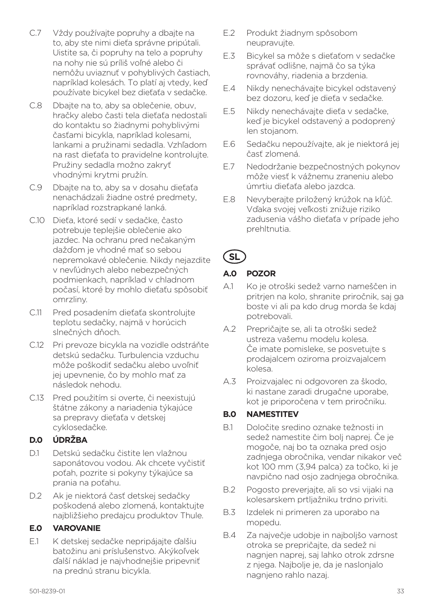- C.7 Vždy používajte popruhy a dbajte na to, aby ste nimi dieťa správne pripútali. Uistite sa, či popruhy na telo a popruhy na nohy nie sú príliš voľné alebo či nemôžu uviaznuť v pohyblivých častiach, napríklad kolesách. To platí aj vtedy, keď používate bicykel bez dieťaťa v sedačke.
- C.8 Dbajte na to, aby sa oblečenie, obuv, hračky alebo časti tela dieťaťa nedostali do kontaktu so žiadnymi pohyblivými časťami bicykla, napríklad kolesami, lankami a pružinami sedadla. Vzhľadom na rast dieťaťa to pravidelne kontrolujte. Pružiny sedadla možno zakryť vhodnými krytmi pružín.
- C.9 Dbajte na to, aby sa v dosahu dieťaťa nenachádzali žiadne ostré predmety, napríklad rozstrapkané lanká.
- C.10 Dieťa, ktoré sedí v sedačke, často potrebuje teplejšie oblečenie ako jazdec. Na ochranu pred nečakaným dažďom je vhodné mať so sebou nepremokavé oblečenie. Nikdy nejazdite v nevľúdnych alebo nebezpečných podmienkach, napríklad v chladnom počasí, ktoré by mohlo dieťaťu spôsobiť omrzliny.
- C.11 Pred posadením dieťaťa skontrolujte teplotu sedačky, najmä v horúcich slnečných dňoch.
- C.12 Pri prevoze bicykla na vozidle odstráňte detskú sedačku. Turbulencia vzduchu môže poškodiť sedačku alebo uvoľniť jej upevnenie, čo by mohlo mať za následok nehodu.
- C.13 Pred použitím si overte, či neexistujú štátne zákony a nariadenia týkajúce sa prepravy dieťaťa v detskej cyklosedačke.

#### **D.0 ÚDRŽBA**

- D.1 Detskú sedačku čistite len vlažnou saponátovou vodou. Ak chcete vyčistiť poťah, pozrite si pokyny týkajúce sa prania na poťahu.
- D.2 Ak je niektorá časť detskej sedačky poškodená alebo zlomená, kontaktujte najbližšieho predajcu produktov Thule.

## **E.0 VAROVANIE**

E.1 K detskej sedačke nepripájajte ďalšiu batožinu ani príslušenstvo. Akýkoľvek ďalší náklad je najvhodnejšie pripevniť na prednú stranu bicykla.

- E.2 Produkt žiadnym spôsobom neupravujte.
- E.3 Bicykel sa môže s dieťaťom v sedačke správať odlišne, najmä čo sa týka rovnováhy, riadenia a brzdenia.
- E.4 Nikdy nenechávajte bicykel odstavený bez dozoru, keď je dieťa v sedačke.
- E.5 Nikdy nenechávajte dieťa v sedačke, keď je bicykel odstavený a podoprený len stojanom.
- E.6 Sedačku nepoužívajte, ak je niektorá jej časť zlomená.
- E.7 Nedodržanie bezpečnostných pokynov môže viesť k vážnemu zraneniu alebo úmrtiu dieťaťa alebo jazdca.
- E.8 Nevyberajte priložený krúžok na kľúč. Vďaka svojej veľkosti znižuje riziko zadusenia vášho dieťaťa v prípade jeho prehltnutia.

# **SL**

# **A.0 POZOR**

- A.1 Ko je otroški sedež varno nameščen in pritrjen na kolo, shranite priročnik, saj ga boste vi ali pa kdo drug morda še kdaj potrebovali.
- A.2 Prepričajte se, ali ta otroški sedež ustreza vašemu modelu kolesa. Če imate pomisleke, se posvetujte s prodajalcem oziroma proizvajalcem kolesa.
- A.3 Proizvajalec ni odgovoren za škodo, ki nastane zaradi drugačne uporabe, kot je priporočena v tem priročniku.

## **B.0 NAMESTITEV**

- B.1 Določite sredino oznake težnosti in sedež namestite čim bolj naprej. Če je mogoče, naj bo ta oznaka pred osjo zadnjega obročnika, vendar nikakor več kot 100 mm (3,94 palca) za točko, ki je navpično nad osjo zadnjega obročnika.
- B.2 Pogosto preverjajte, ali so vsi vijaki na kolesarskem prtljažniku trdno priviti.
- B.3 Izdelek ni primeren za uporabo na mopedu.
- B.4 Za največje udobje in najboljšo varnost otroka se prepričajte, da sedež ni nagnjen naprej, saj lahko otrok zdrsne z njega. Najbolje je, da je naslonjalo nagnjeno rahlo nazaj.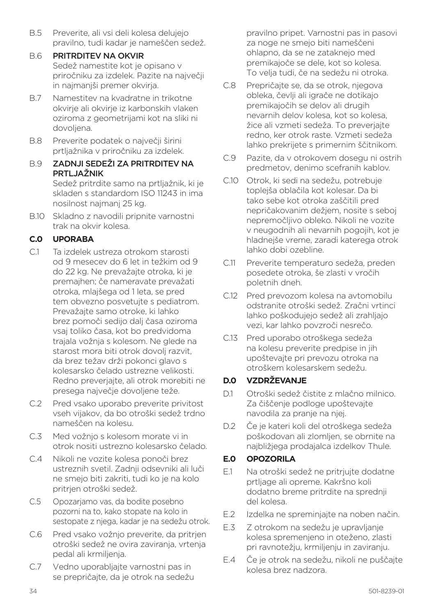- B.5 Preverite, ali vsi deli kolesa delujejo pravilno, tudi kadar je nameščen sedež.
- B.6 PRITRDITEV NA OKVIR Sedež namestite kot je opisano v priročniku za izdelek. Pazite na največji in najmanjši premer okvirja.
- B.7 Namestitev na kvadratne in trikotne okvirje ali okvirje iz karbonskih vlaken oziroma z geometrijami kot na sliki ni dovoljena.
- B.8 Preverite podatek o največji širini prtljažnika v priročniku za izdelek.
- B.9 ZADNJI SEDEŽI ZA PRITRDITEV NA PRTLJAŽNIK Sedež pritrdite samo na prtljažnik, ki je skladen s standardom ISO 11243 in ima nosilnost najmanj 25 kg.
- B.10 Skladno z navodili pripnite varnostni trak na okvir kolesa.

# **C.0 UPORABA**

- C.1 Ta izdelek ustreza otrokom starosti od 9 mesecev do 6 let in težkim od 9 do 22 kg. Ne prevažajte otroka, ki je premajhen; če nameravate prevažati otroka, mlajšega od 1 leta, se pred tem obvezno posvetujte s pediatrom. Prevažajte samo otroke, ki lahko brez pomoči sedijo dalj časa oziroma vsaj toliko časa, kot bo predvidoma trajala vožnja s kolesom. Ne glede na starost mora biti otrok dovolj razvit, da brez težav drži pokonci glavo s kolesarsko čelado ustrezne velikosti. Redno preverjajte, ali otrok morebiti ne presega največje dovoljene teže.
- C.2 Pred vsako uporabo preverite privitost vseh vijakov, da bo otroški sedež trdno nameščen na kolesu.
- C.3 Med vožnjo s kolesom morate vi in otrok nositi ustrezno kolesarsko čelado.
- C.4 Nikoli ne vozite kolesa ponoči brez ustreznih svetil. Zadnji odsevniki ali luči ne smejo biti zakriti, tudi ko je na kolo pritrjen otroški sedež.
- C.5 Opozarjamo vas, da bodite posebno pozorni na to, kako stopate na kolo in sestopate z njega, kadar je na sedežu otrok.
- C.6 Pred vsako vožnjo preverite, da pritrjen otroški sedež ne ovira zaviranja, vrtenja pedal ali krmiljenja.
- C.7 Vedno uporabljajte varnostni pas in se prepričajte, da je otrok na sedežu

pravilno pripet. Varnostni pas in pasovi za noge ne smejo biti nameščeni ohlapno, da se ne zataknejo med premikajoče se dele, kot so kolesa. To velja tudi, če na sedežu ni otroka.

- C.8 Prepričajte se, da se otrok, njegova obleka, čevlji ali igrače ne dotikajo premikajočih se delov ali drugih nevarnih delov kolesa, kot so kolesa, žice ali vzmeti sedeža. To preverjajte redno, ker otrok raste. Vzmeti sedeža lahko prekrijete s primernim ščitnikom.
- C.9 Pazite, da v otrokovem dosegu ni ostrih predmetov, denimo scefranih kablov.
- C.10 Otrok, ki sedi na sedežu, potrebuje toplejša oblačila kot kolesar. Da bi tako sebe kot otroka zaščitili pred nepričakovanim dežjem, nosite s seboj nepremočljivo obleko. Nikoli ne vozite v neugodnih ali nevarnih pogojih, kot je hladnejše vreme, zaradi katerega otrok lahko dobi ozebline.
- C.11 Preverite temperaturo sedeža, preden posedete otroka, še zlasti v vročih poletnih dneh.
- C.12 Pred prevozom kolesa na avtomobilu odstranite otroški sedež. Zračni vrtinci lahko poškodujejo sedež ali zrahljajo vezi, kar lahko povzroči nesrečo.
- C.13 Pred uporabo otroškega sedeža na kolesu preverite predpise in jih upoštevajte pri prevozu otroka na otroškem kolesarskem sedežu.

# **D.0 VZDRŽEVANJE**

- D.1 Otroški sedež čistite z mlačno milnico. Za čiščenje podloge upoštevajte navodila za pranje na njej.
- D.2 Če je kateri koli del otroškega sedeža poškodovan ali zlomljen, se obrnite na najbližjega prodajalca izdelkov Thule.

## **E.0 OPOZORILA**

- E.1 Na otroški sedež ne pritrjujte dodatne prtljage ali opreme. Kakršno koli dodatno breme pritrdite na sprednji del kolesa.
- E.2 Izdelka ne spreminjajte na noben način.
- E.3 Z otrokom na sedežu je upravljanje kolesa spremenjeno in oteženo, zlasti pri ravnotežju, krmiljenju in zaviranju.
- E.4 Če je otrok na sedežu, nikoli ne puščajte kolesa brez nadzora.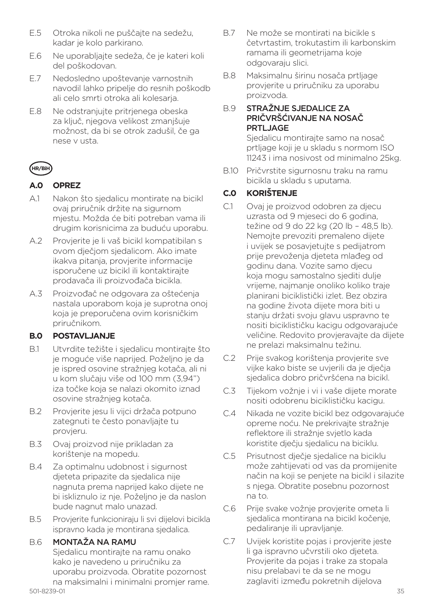- E.5 Otroka nikoli ne puščajte na sedežu, kadar je kolo parkirano.
- E.6 Ne uporabljajte sedeža, če je kateri koli del poškodovan.
- E.7 Nedosledno upoštevanje varnostnih navodil lahko pripelje do resnih poškodb ali celo smrti otroka ali kolesarja.
- E.8 Ne odstranjujte pritrjenega obeska za ključ, njegova velikost zmanjšuje možnost, da bi se otrok zadušil, če ga nese v usta.

# **HR/BiH**

# **A.0 OPREZ**

- A.1 Nakon što sjedalicu montirate na bicikl ovaj priručnik držite na sigurnom mjestu. Možda će biti potreban vama ili drugim korisnicima za buduću uporabu.
- A.2 Provjerite je li vaš bicikl kompatibilan s ovom dječjom sjedalicom. Ako imate ikakva pitanja, provjerite informacije isporučene uz bicikl ili kontaktirajte prodavača ili proizvođača bicikla.
- A.3 Proizvođač ne odgovara za oštećenja nastala uporabom koja je suprotna onoj koja je preporučena ovim korisničkim priručnikom.

## **B.0 POSTAVLJANJE**

- B.1 Utvrdite težište i sjedalicu montirajte što je moguće više naprijed. Poželjno je da je ispred osovine stražnjeg kotača, ali ni u kom slučaju više od 100 mm (3,94") iza točke koja se nalazi okomito iznad osovine stražnjeg kotača.
- B.2 Provjerite jesu li vijci držača potpuno zategnuti te često ponavljajte tu provjeru.
- B.3 Ovaj proizvod nije prikladan za korištenje na mopedu.
- B.4 Za optimalnu udobnost i sigurnost djeteta pripazite da sjedalica nije nagnuta prema naprijed kako dijete ne bi iskliznulo iz nje. Poželjno je da naslon bude nagnut malo unazad.
- B.5 Provjerite funkcioniraju li svi dijelovi bicikla ispravno kada je montirana sjedalica.

# B.6 MONTAŽA NA RAMU

Sjedalicu montirajte na ramu onako kako je navedeno u priručniku za uporabu proizvoda. Obratite pozornost na maksimalni i minimalni promjer rame.

- B.7 Ne može se montirati na bicikle s četvrtastim, trokutastim ili karbonskim ramama ili geometrijama koje odgovaraju slici.
- B.8 Maksimalnu širinu nosača prtljage provjerite u priručniku za uporabu proizvoda.

#### B.9 STRAŽNJE SJEDALICE ZA PRIČVRŠĆIVANJE NA NOSAČ PRTLJAGE

Sjedalicu montirajte samo na nosač prtljage koji je u skladu s normom ISO 11243 i ima nosivost od minimalno 25kg.

B.10 Pričvrstite sigurnosnu traku na ramu bicikla u skladu s uputama.

# **C.0 KORIŠTENJE**

- C.1 Ovaj je proizvod odobren za djecu uzrasta od 9 mjeseci do 6 godina, težine od 9 do 22 kg (20 lb – 48,5 lb). Nemojte prevoziti premaleno dijete i uvijek se posavjetujte s pedijatrom prije prevoženja djeteta mlađeg od godinu dana. Vozite samo djecu koja mogu samostalno sjediti dulje vrijeme, najmanje onoliko koliko traje planirani biciklistički izlet. Bez obzira na godine života dijete mora biti u stanju držati svoju glavu uspravno te nositi biciklističku kacigu odgovarajuće veličine. Redovito provjeravajte da dijete ne prelazi maksimalnu težinu.
- C.2 Prije svakog korištenja provjerite sve vijke kako biste se uvjerili da je dječja sjedalica dobro pričvršćena na bicikl.
- C.3 Tijekom vožnje i vi i vaše dijete morate nositi odobrenu biciklističku kacigu.
- C.4 Nikada ne vozite bicikl bez odgovarajuće opreme noću. Ne prekrivajte stražnje reflektore ili stražnje svjetlo kada koristite dječju sjedalicu na biciklu.
- C.5 Prisutnost dječje sjedalice na biciklu može zahtijevati od vas da promijenite način na koji se penjete na bicikl i silazite s njega. Obratite posebnu pozornost na to.
- C.6 Prije svake vožnje provjerite ometa li sjedalica montirana na bicikl kočenje, pedaliranje ili upravljanje.
- C.7 Uvijek koristite pojas i provjerite jeste li ga ispravno učvrstili oko djeteta. Provjerite da pojas i trake za stopala nisu prelabavi te da se ne mogu zaglaviti između pokretnih dijelova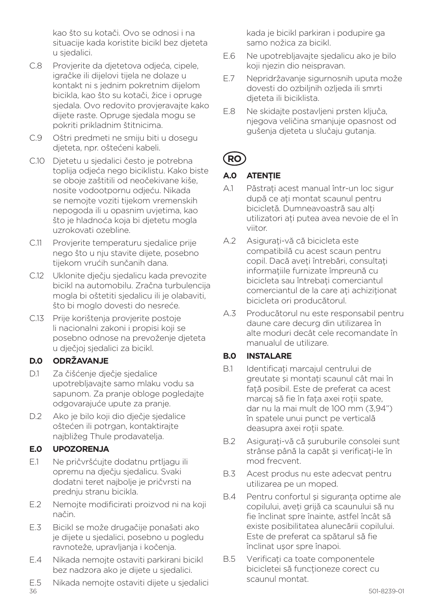kao što su kotači. Ovo se odnosi i na situacije kada koristite bicikl bez djeteta u sjedalici.

- C.8 Provjerite da djetetova odjeća, cipele, igračke ili dijelovi tijela ne dolaze u kontakt ni s jednim pokretnim dijelom bicikla, kao što su kotači, žice i opruge sjedala. Ovo redovito provjeravajte kako dijete raste. Opruge sjedala mogu se pokriti prikladnim štitnicima.
- C.9 Oštri predmeti ne smiju biti u dosegu djeteta, npr. oštećeni kabeli.
- C.10 Djetetu u sjedalici često je potrebna toplija odjeća nego biciklistu. Kako biste se oboje zaštitili od neočekivane kiše, nosite vodootpornu odjeću. Nikada se nemojte voziti tijekom vremenskih nepogoda ili u opasnim uvjetima, kao što je hladnoća koja bi djetetu mogla uzrokovati ozebline.
- C.11 Provjerite temperaturu sjedalice prije nego što u nju stavite dijete, posebno tijekom vrućih sunčanih dana.
- C.12 Uklonite dječju sjedalicu kada prevozite bicikl na automobilu. Zračna turbulencija mogla bi oštetiti sjedalicu ili je olabaviti, što bi moglo dovesti do nesreće.
- C.13 Prije korištenja provjerite postoje li nacionalni zakoni i propisi koji se posebno odnose na prevoženje djeteta u dječjoj sjedalici za bicikl.

## **D.0 ODRŽAVANJE**

- D.1 Za čišćenje dječje sjedalice upotrebljavajte samo mlaku vodu sa sapunom. Za pranje obloge pogledajte odgovarajuće upute za pranje.
- D.2 Ako je bilo koji dio dječje sjedalice oštećen ili potrgan, kontaktirajte najbližeg Thule prodavatelja.

## **E.0 UPOZORENJA**

- E.1 Ne pričvršćujte dodatnu prtljagu ili opremu na dječju sjedalicu. Svaki dodatni teret najbolje je pričvrsti na prednju stranu bicikla.
- E.2 Nemojte modificirati proizvod ni na koji način.
- E.3 Bicikl se može drugačije ponašati ako je dijete u sjedalici, posebno u pogledu ravnoteže, upravljanja i kočenja.
- E.4 Nikada nemojte ostaviti parkirani bicikl bez nadzora ako je dijete u sjedalici.
- 36 501-8239-01 E.5 Nikada nemojte ostaviti dijete u sjedalici

kada je bicikl parkiran i podupire ga samo nožica za bicikl.

- E.6 Ne upotrebljavajte sjedalicu ako je bilo koji njezin dio neispravan.
- E.7 Nepridržavanje sigurnosnih uputa može dovesti do ozbiljnih ozljeda ili smrti djeteta ili biciklista.
- E.8 Ne skidajte postavljeni prsten ključa, njegova veličina smanjuje opasnost od gušenja djeteta u slučaju gutanja.

# **RO**

#### **A.0 ATENŢIE**

- A.1 Păstrati acest manual într-un loc sigur după ce aţi montat scaunul pentru bicicletă. Dumneavoastră sau alti utilizatori aţi putea avea nevoie de el în viitor.
- A.2 Asigurati-vă că bicicleta este compatibilă cu acest scaun pentru copil. Dacă aveţi întrebări, consultaţi informațiile furnizate împreună cu bicicleta sau întrebati comerciantul comerciantul de la care ati achizitionat bicicleta ori producătorul.
- A.3 Producătorul nu este responsabil pentru daune care decurg din utilizarea în alte moduri decât cele recomandate în manualul de utilizare.

## **B.0 INSTALARE**

- B.1 Identificati marcajul centrului de greutate și montați scaunul cât mai în fată posibil. Este de preferat ca acest marcaj să fie în fata axei roții spate, dar nu la mai mult de 100 mm (3,94") în spatele unui punct pe verticală deasupra axei rotii spate.
- B.2 Asigurati-vă că suruburile consolei sunt strânse până la capăt și verificați-le în mod frecvent.
- B.3 Acest produs nu este adecvat pentru utilizarea pe un moped.
- B.4 Pentru confortul și siguranta optime ale copilului, aveţi grijă ca scaunului să nu fie înclinat spre înainte, astfel încât să existe posibilitatea alunecării copilului. Este de preferat ca spătarul să fie înclinat uşor spre înapoi.
- B.5 Verificati ca toate componentele bicicletei să functioneze corect cu scaunul montat.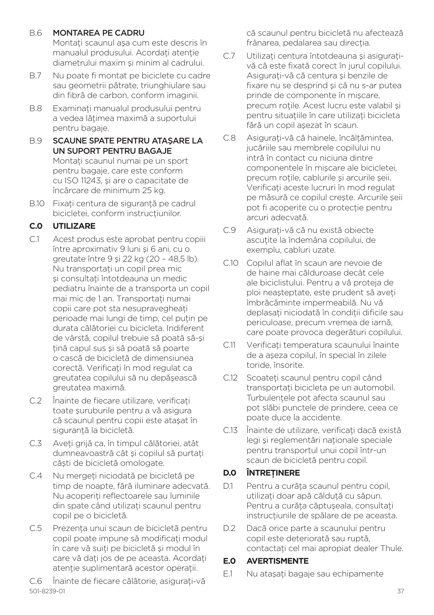#### B.6 MONTAREA PE CADRU

Montati scaunul asa cum este descris în manualul produsului. Acordati atentie diametrului maxim şi minim al cadrului.

- B.7 Nu poate fi montat pe biciclete cu cadre sau geometrii pătrate, triunghiulare sau din fibră de carbon, conform imaginii.
- B.8 Examinati manualul produsului pentru a vedea lătimea maximă a suportului pentru bagaje.
- B.9 SCAUNE SPATE PENTRU ATAŞARE LA UN SUPORT PENTRU BAGAJE Montati scaunul numai pe un sport pentru bagaje, care este conform cu ISO 11243, şi are o capacitate de încărcare de minimum 25 kg.
- B.10 Fixati centura de sigurantă pe cadrul bicicletei, conform instructiunilor.

# **C.0 UTILIZARE**

- C.1 Acest produs este aprobat pentru copiii între aproximativ 9 luni şi 6 ani, cu o greutate între 9 şi 22 kg (20 – 48,5 lb). Nu transportaţi un copil prea mic si consultati întotdeauna un medic pediatru înainte de a transporta un copil mai mic de 1 an. Transportati numai copii care pot sta nesupravegheati perioade mai lungi de timp, cel putin pe durata călătoriei cu bicicleta. Indiferent de vârstă, copilul trebuie să poată să-şi ţină capul sus şi să poată să poarte o cască de bicicletă de dimensiunea corectă. Verificați în mod regulat ca greutatea copilului să nu depăşească greutatea maximă.
- C.2 Înainte de fiecare utilizare, verificați toate şuruburile pentru a vă asigura că scaunul pentru copii este ataşat în siguranță la bicicletă.
- C.3 Aveţi grijă ca, în timpul călătoriei, atât dumneavoastră cât și copilul să purtați căşti de bicicletă omologate.
- C.4 Nu mergeți niciodată pe bicicletă pe timp de noapte, fără iluminare adecvată. Nu acoperiti reflectoarele sau luminile din spate când utilizați scaunul pentru copil pe o bicicletă.
- C.5 Prezenta unui scaun de bicicletă pentru copil poate impune să modificati modul în care vă suiţi pe bicicletă şi modul în care vă dați jos de pe aceasta. Acordați atenție suplimentară acestor operații.

501-8239-01 37 C.6 Înainte de fiecare călătorie, asigurati-vă

că scaunul pentru bicicletă nu afectează frânarea, pedalarea sau directia.

- C.7 Utilizaţi centura întotdeauna şi asiguraţivă că este fixată corect în jurul copilului. Asigurați-vă că centura și benzile de fixare nu se desprind şi că nu s-ar putea prinde de componente în mişcare, precum rotile. Acest lucru este valabil și pentru situaţiile în care utilizaţi bicicleta fără un copil aşezat în scaun.
- C.8 Asigurati-vă că hainele, încăltămintea, jucăriile sau membrele copilului nu intră în contact cu niciuna dintre componentele în mişcare ale bicicletei, precum rotile, cablurile și arcurile șeii. Verificati aceste lucruri în mod regulat pe măsură ce copilul creşte. Arcurile şeii pot fi acoperite cu o protecţie pentru arcuri adecvată.
- C.9 Asigurati-vă că nu există obiecte ascutite la îndemâna copilului, de exemplu, cabluri uzate.
- C.10 Copilul aflat în scaun are nevoie de de haine mai călduroase decât cele ale biciclistului. Pentru a vă proteja de ploi neasteptate, este prudent să aveți îmbrăcăminte impermeabilă. Nu vă deplasati niciodată în conditii dificile sau periculoase, precum vremea de iarnă, care poate provoca degerături copilului.
- C.11 Verificati temperatura scaunului înainte de a aşeza copilul, în special în zilele toride, însorite.
- C.12 Scoateti scaunul pentru copil când transportati bicicleta pe un automobil. Turbulentele pot afecta scaunul sau pot slăbi punctele de prindere, ceea ce poate duce la accidente.
- C.13 Înainte de utilizare, verificați dacă există legi şi reglementări naţionale speciale pentru transportul unui copil într-un scaun de bicicletă pentru copil.

## **D.0 ÎNTREŢINERE**

- D.1 Pentru a curăța scaunul pentru copil. utilizați doar apă căldută cu săpun. Pentru a curăta căptuseala, consultați instructiunile de spălare de pe aceasta.
- D.2 Dacă orice parte a scaunului pentru copil este deteriorată sau ruptă, contactaţi cel mai apropiat dealer Thule.

## **E.0 AVERTISMENTE**

E.1 Nu ataşaţi bagaje sau echipamente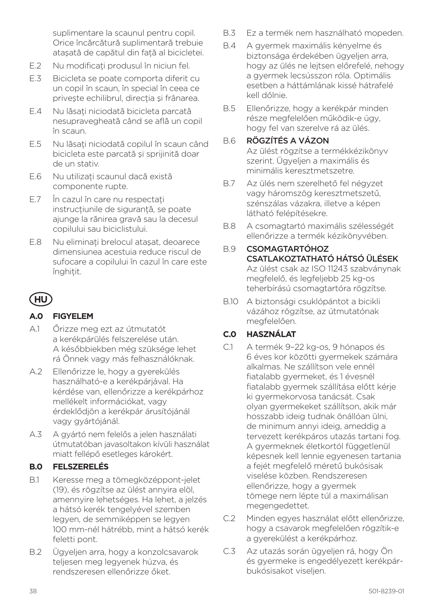suplimentare la scaunul pentru copil. Orice încărcătură suplimentară trebuie atașată de capătul din față al bicicletei.

- E.2 Nu modificati produsul în niciun fel.
- E.3 Bicicleta se poate comporta diferit cu un copil în scaun, în special în ceea ce privește echilibrul, direcția și frânarea.
- E.4 Nu lăsați niciodată bicicleta parcată nesupravegheată când se află un copil în scaun.
- E.5 Nu lăsaţi niciodată copilul în scaun când bicicleta este parcată şi sprijinită doar de un stativ.
- E.6 Nu utilizați scaunul dacă există componente rupte.
- E.7 În cazul în care nu respectati instructiunile de sigurantă, se poate ajunge la rănirea gravă sau la decesul copilului sau biciclistului.
- E.8 Nu eliminati brelocul ataşat, deoarece dimensiunea acestuia reduce riscul de sufocare a copilului în cazul în care este înghitit.

# **HU**

## **A.0 FIGYELEM**

- A.1 Őrizze meg ezt az útmutatót a kerékpárülés felszerelése után. A későbbiekben még szüksége lehet rá Önnek vagy más felhasználóknak.
- A.2 Ellenőrizze le, hogy a gyerekülés használható-e a kerékpárjával. Ha kérdése van, ellenőrizze a kerékpárhoz mellékelt információkat, vagy érdeklődjön a kerékpár árusítójánál vagy gyártójánál.
- A.3 A gyártó nem felelős a jelen használati útmutatóban javasoltakon kívüli használat miatt fellépő esetleges károkért.

## **B.0 FELSZERELÉS**

- B.1 Keresse meg a tömegközéppont-jelet (19), és rögzítse az ülést annyira elöl, amennyire lehetséges. Ha lehet, a jelzés a hátsó kerék tengelyével szemben legyen, de semmiképpen se legyen 100 mm-nél hátrébb, mint a hátsó kerék feletti pont.
- B.2 Ügyeljen arra, hogy a konzolcsavarok teljesen meg legyenek húzva, és rendszeresen ellenőrizze őket.
- B.3 Ez a termék nem használható mopeden.
- B.4 A gyermek maximális kényelme és biztonsága érdekében ügyeljen arra, hogy az ülés ne lejtsen előrefelé, nehogy a gyermek lecsússzon róla. Optimális esetben a háttámlának kissé hátrafelé kell dőlnie.
- B.5 Ellenőrizze, hogy a kerékpár minden része megfelelően működik-e úgy, hogy fel van szerelve rá az ülés.

# B.6 RÖGZÍTÉS A VÁZON

Az ülést rögzítse a termékkézikönyv szerint. Ügyeljen a maximális és minimális keresztmetszetre.

- B.7 Az ülés nem szerelhető fel négyzet vagy háromszög keresztmetszetű, szénszálas vázakra, illetve a képen látható felépítésekre.
- B.8 A csomagtartó maximális szélességét ellenőrizze a termék kézikönyvében.

#### B.9 CSOMAGTARTÓHOZ CSATLAKOZTATHATÓ HÁTSÓ ÜLÉSEK Az ülést csak az ISO 11243 szabványnak megfelelő, és legfeljebb 25 kg-os teherbírású csomagtartóra rögzítse.

B.10 A biztonsági csuklópántot a bicikli vázához rögzítse, az útmutatónak megfelelően.

# **C.0 HASZNÁLAT**

- C.1 A termék 9–22 kg-os, 9 hónapos és 6 éves kor közötti gyermekek számára alkalmas. Ne szállítson vele ennél fiatalabb gyermeket, és 1 évesnél fiatalabb gyermek szállítása előtt kérje ki gyermekorvosa tanácsát. Csak olyan gyermekeket szállítson, akik már hosszabb ideig tudnak önállóan ülni, de minimum annyi ideig, ameddig a tervezett kerékpáros utazás tartani fog. A gyermeknek életkortól függetlenül képesnek kell lennie egyenesen tartania a fejét megfelelő méretű bukósisak viselése közben. Rendszeresen ellenőrizze, hogy a gyermek tömege nem lépte túl a maximálisan megengedettet.
- C.2 Minden egyes használat előtt ellenőrizze, hogy a csavarok megfelelően rögzítik-e a gyerekülést a kerékpárhoz.
- C.3 Az utazás során ügyeljen rá, hogy Ön és gyermeke is engedélyezett kerékpárbukósisakot viseljen.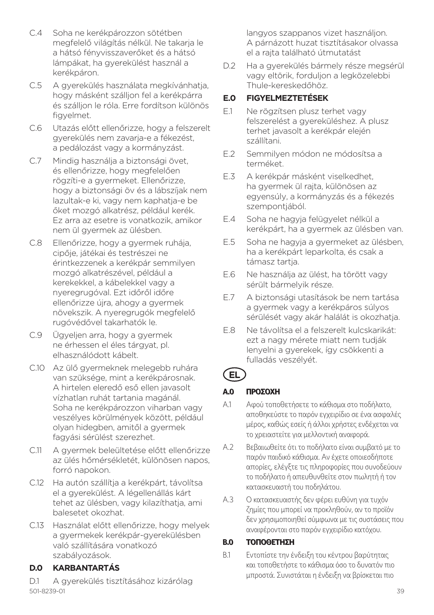- C.4 Soha ne kerékpározzon sötétben megfelelő világítás nélkül. Ne takarja le a hátsó fényvisszaverőket és a hátsó lámpákat, ha gyerekülést használ a kerékpáron.
- C.5 A gyerekülés használata megkívánhatja, hogy másként szálljon fel a kerékpárra és szálljon le róla. Erre fordítson különös figyelmet.
- C.6 Utazás előtt ellenőrizze, hogy a felszerelt gyerekülés nem zavarja-e a fékezést, a pedálozást vagy a kormányzást.
- C.7 Mindig használja a biztonsági övet, és ellenőrizze, hogy megfelelően rögzíti-e a gyermeket. Ellenőrizze, hogy a biztonsági öv és a lábszíjak nem lazultak-e ki, vagy nem kaphatja-e be őket mozgó alkatrész, például kerék. Ez arra az esetre is vonatkozik, amikor nem ül gyermek az ülésben.
- C.8 Ellenőrizze, hogy a gyermek ruhája, cipője, játékai és testrészei ne érintkezzenek a kerékpár semmilyen mozgó alkatrészével, például a kerekekkel, a kábelekkel vagy a nyeregrugóval. Ezt időről időre ellenőrizze újra, ahogy a gyermek növekszik. A nyeregrugók megfelelő rugóvédővel takarhatók le.
- C.9 Ügyeljen arra, hogy a gyermek ne érhessen el éles tárgyat, pl. elhasználódott kábelt.
- C.10 Az ülő gyermeknek melegebb ruhára van szüksége, mint a kerékpárosnak. A hirtelen eleredő eső ellen javasolt vízhatlan ruhát tartania magánál. Soha ne kerékpározzon viharban vagy veszélyes körülmények között, például olyan hidegben, amitől a gyermek fagyási sérülést szerezhet.
- C.11 A gyermek beleültetése előtt ellenőrizze az ülés hőmérsékletét, különösen napos, forró napokon.
- C.12 Ha autón szállítja a kerékpárt, távolítsa el a gyerekülést. A légellenállás kárt tehet az ülésben, vagy kilazíthatja, ami balesetet okozhat.
- C.13 Használat előtt ellenőrizze, hogy melyek a gyermekek kerékpár-gyerekülésben való szállítására vonatkozó szabályozások.

## **D.0 KARBANTARTÁS**

501-8239-01 39 D.1 A gyerekülés tisztításához kizárólag

langyos szappanos vizet használjon. A párnázott huzat tisztításakor olvassa el a rajta található útmutatást

D.2 Ha a gyerekülés bármely része megsérül vagy eltörik, forduljon a legközelebbi Thule-kereskedőhöz.

# **E.0 FIGYELMEZTETÉSEK**

- E.1 Ne rögzítsen plusz terhet vagy felszerelést a gyereküléshez. A plusz terhet javasolt a kerékpár elején szállítani.
- E.2 Semmilyen módon ne módosítsa a terméket.
- E.3 A kerékpár másként viselkedhet, ha gyermek ül rajta, különösen az egyensúly, a kormányzás és a fékezés szempontjából.
- E.4 Soha ne hagyja felügyelet nélkül a kerékpárt, ha a gyermek az ülésben van.
- E.5 Soha ne hagyja a gyermeket az ülésben, ha a kerékpárt leparkolta, és csak a támasz tartia.
- E.6 Ne használja az ülést, ha törött vagy sérült bármelyik része.
- E.7 A biztonsági utasítások be nem tartása a gyermek vagy a kerékpáros súlyos sérülését vagy akár halálát is okozhatja.
- E.8 Ne távolítsa el a felszerelt kulcskarikát: ezt a nagy mérete miatt nem tudják lenyelni a gyerekek, így csökkenti a fulladás veszélyét.

# **EL**

## *A.0 ΠΡΟΣΟΧΗ*

- *A.1 Αφού τοποθετήσετε το κάθισμα στο ποδήλατο, αποθηκεύστε το παρόν εγχειρίδιο σε ένα ασφαλές μέρος, καθώς εσείς ή άλλοι χρήστες ενδέχεται να το χρειαστείτε για μελλοντική αναφορά.*
- *A.2 Βεβαιωθείτε ότι το ποδήλατο είναι συμβατό με το παρόν παιδικό κάθισμα. Αν έχετε οποιεσδήποτε απορίες, ελέγξτε τις πληροφορίες που συνοδεύουν το ποδήλατο ή απευθυνθείτε στον πωλητή ή τον κατασκευαστή του ποδηλάτου.*
- *A.3 Ο κατασκευαστής δεν φέρει ευθύνη για τυχόν ζημίες που μπορεί να προκληθούν, αν το προϊόν δεν χρησιμοποιηθεί σύμφωνα με τις συστάσεις που αναφέρονται στο παρόν εγχειρίδιο κατόχου.*

## *B.0 ΤΟΠΟΘΕΤΗΣΗ*

*B.1 Εντοπίστε την ένδειξη του κέντρου βαρύτητας και τοποθετήστε το κάθισμα όσο το δυνατόν πιο μπροστά. Συνιστάται η ένδειξη να βρίσκεται πιο*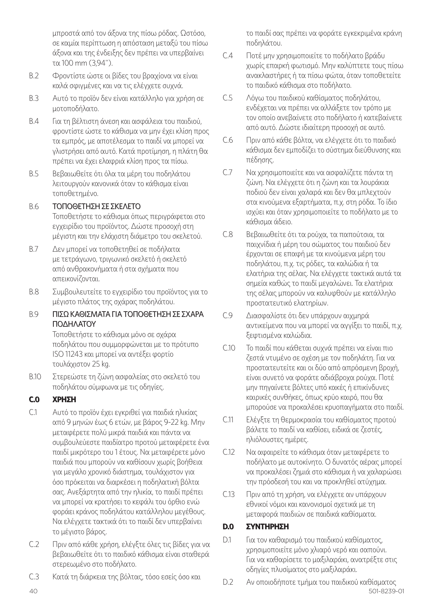*μπροστά από τον άξονα της πίσω ρόδας. Ωστόσο, σε καμία περίπτωση η απόσταση μεταξύ του πίσω άξονα και της ένδειξης δεν πρέπει να υπερβαίνει τα 100 mm (3,94").*

- *B.2 Φροντίστε ώστε οι βίδες του βραχίονα να είναι καλά σφιγμένες και να τις ελέγχετε συχνά.*
- *B.3 Αυτό το προϊόν δεν είναι κατάλληλο για χρήση σε μοτοποδήλατο.*
- *B.4 Για τη βέλτιστη άνεση και ασφάλεια του παιδιού, φροντίστε ώστε το κάθισμα να μην έχει κλίση προς τα εμπρός, με αποτέλεσμα το παιδί να μπορεί να γλιστρήσει από αυτό. Κατά προτίμηση, η πλάτη θα πρέπει να έχει ελαφριά κλίση προς τα πίσω.*
- *B.5 Βεβαιωθείτε ότι όλα τα μέρη του ποδηλάτου λειτουργούν κανονικά όταν το κάθισμα είναι τοποθετημένο.*

#### *B.6 ΤΟΠΟΘΕΤΗΣΗ ΣΕ ΣΚΕΛΕΤΟ*

*Τοποθετήστε το κάθισμα όπως περιγράφεται στο εγχειρίδιο του προϊόντος. Δώστε προσοχή στη μέγιστη και την ελάχιστη διάμετρο του σκελετού.*

- *B.7 Δεν μπορεί να τοποθετηθεί σε ποδήλατα με τετράγωνο, τριγωνικό σκελετό ή σκελετό από ανθρακονήματα ή στα σχήματα που απεικονίζονται.*
- *B.8 Συμβουλευτείτε το εγχειρίδιο του προϊόντος για το μέγιστο πλάτος της σχάρας ποδηλάτου.*

#### *B.9 ΠΙΣΩ ΚΑΘΙΣΜΑΤΑ ΓΙΑ ΤΟΠΟΘΕΤΗΣΗ ΣΕ ΣΧΑΡΑ ΠΟΔΗΛΑΤΟΥ*

*Τοποθετήστε το κάθισμα μόνο σε σχάρα ποδηλάτου που συμμορφώνεται με το πρότυπο ISO 11243 και μπορεί να αντέξει φορτίο τουλάχιστον 25 kg.*

*B.10 Στερεώστε τη ζώνη ασφαλείας στο σκελετό του ποδηλάτου σύμφωνα με τις οδηγίες.*

#### *C.0 ΧΡΗΣΗ*

- *C.1 Αυτό το προϊόν έχει εγκριθεί για παιδιά ηλικίας από 9 μηνών έως 6 ετών, με βάρος 9-22 kg. Μην μεταφέρετε πολύ μικρά παιδιά και πάντα να συμβουλεύεστε παιδίατρο προτού μεταφέρετε ένα παιδί μικρότερο του 1 έτους. Να μεταφέρετε μόνο παιδιά που μπορούν να καθίσουν χωρίς βοήθεια για μεγάλο χρονικό διάστημα, τουλάχιστον για όσο πρόκειται να διαρκέσει η ποδηλατική βόλτα σας. Ανεξάρτητα από την ηλικία, το παιδί πρέπει να μπορεί να κρατήσει το κεφάλι του όρθιο ενώ φοράει κράνος ποδηλάτου κατάλληλου μεγέθους. Να ελέγχετε τακτικά ότι το παιδί δεν υπερβαίνει το μέγιστο βάρος.*
- *C.2 Πριν από κάθε χρήση, ελέγξτε όλες τις βίδες για να βεβαιωθείτε ότι το παιδικό κάθισμα είναι σταθερά στερεωμένο στο ποδήλατο.*
- *C.3 Κατά τη διάρκεια της βόλτας, τόσο εσείς όσο και*

*το παιδί σας πρέπει να φοράτε εγκεκριμένα κράνη ποδηλάτου.* 

- *C.4 Ποτέ μην χρησιμοποιείτε το ποδήλατο βράδυ χωρίς επαρκή φωτισμό. Μην καλύπτετε τους πίσω ανακλαστήρες ή τα πίσω φώτα, όταν τοποθετείτε το παιδικό κάθισμα στο ποδήλατο.*
- *C.5 Λόγω του παιδικού καθίσματος ποδηλάτου, ενδέχεται να πρέπει να αλλάξετε τον τρόπο με τον οποίο ανεβαίνετε στο ποδήλατο ή κατεβαίνετε από αυτό. Δώστε ιδιαίτερη προσοχή σε αυτό.*
- *C.6 Πριν από κάθε βόλτα, να ελέγχετε ότι το παιδικό κάθισμα δεν εμποδίζει το σύστημα διεύθυνσης και πέδησης.*
- *C.7 Να χρησιμοποιείτε και να ασφαλίζετε πάντα τη ζώνη. Να ελέγχετε ότι η ζώνη και τα λουράκια ποδιού δεν είναι χαλαρά και δεν θα μπλεχτούν στα κινούμενα εξαρτήματα, π.χ. στη ρόδα. Το ίδιο ισχύει και όταν χρησιμοποιείτε το ποδήλατο με το κάθισμα άδειο.*
- *C.8 Βεβαιωθείτε ότι τα ρούχα, τα παπούτσια, τα παιχνίδια ή μέρη του σώματος του παιδιού δεν έρχονται σε επαφή με τα κινούμενα μέρη του ποδηλάτου, π.χ. τις ρόδες, τα καλώδια ή τα ελατήρια της σέλας. Να ελέγχετε τακτικά αυτά τα σημεία καθώς το παιδί μεγαλώνει. Τα ελατήρια της σέλας μπορούν να καλυφθούν με κατάλληλο προστατευτικό ελατηρίων.*
- *C.9 Διασφαλίστε ότι δεν υπάρχουν αιχμηρά αντικείμενα που να μπορεί να αγγίξει το παιδί, π.χ. ξεφτισμένα καλώδια.*
- *C.10 Το παιδί που κάθεται συχνά πρέπει να είναι πιο ζεστά ντυμένο σε σχέση με τον ποδηλάτη. Για να προστατευτείτε και οι δύο από απρόσμενη βροχή, είναι συνετό να φοράτε αδιάβροχα ρούχα. Ποτέ μην πηγαίνετε βόλτες υπό κακές ή επικίνδυνες καιρικές συνθήκες, όπως κρύο καιρό, που θα μπορούσε να προκαλέσει κρυοπαγήματα στο παιδί.*
- *C.11 Ελέγξτε τη θερμοκρασία του καθίσματος προτού βάλετε το παιδί να καθίσει, ειδικά σε ζεστές, ηλιόλουστες ημέρες.*
- *C.12 Να αφαιρείτε το κάθισμα όταν μεταφέρετε το ποδήλατο με αυτοκίνητο. Ο δυνατός αέρας μπορεί να προκαλέσει ζημιά στο κάθισμα ή να χαλαρώσει την πρόσδεσή του και να προκληθεί ατύχημα.*
- *C.13 Πριν από τη χρήση, να ελέγχετε αν υπάρχουν εθνικοί νόμοι και κανονισμοί σχετικά με τη μεταφορά παιδιών σε παιδικά καθίσματα.*

#### *D.0 ΣΥΝΤΗΡΗΣΗ*

- *D.1 Για τον καθαρισμό του παιδικού καθίσματος, χρησιμοποιείτε μόνο χλιαρό νερό και σαπούνι. Για να καθαρίσετε το μαξιλαράκι, ανατρέξτε στις οδηγίες πλυσίματος στο μαξιλαράκι.*
- 40 501-8239-01 *D.2 Αν οποιοδήποτε τμήμα του παιδικού καθίσματος*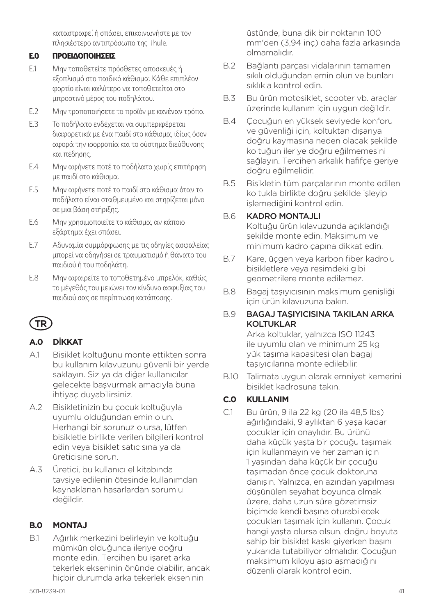*καταστραφεί ή σπάσει, επικοινωνήστε με τον πλησιέστερο αντιπρόσωπο της Thule.*

#### *E.0 ΠΡΟΕΙΔΟΠΟΙΗΣΕΙΣ*

- *E.1 Μην τοποθετείτε πρόσθετες αποσκευές ή εξοπλισμό στο παιδικό κάθισμα. Κάθε επιπλέον φορτίο είναι καλύτερο να τοποθετείται στο μπροστινό μέρος του ποδηλάτου.*
- *E.2 Μην τροποποιήσετε το προϊόν με κανέναν τρόπο.*
- *E.3 Το ποδήλατο ενδέχεται να συμπεριφέρεται διαφορετικά με ένα παιδί στο κάθισμα, ιδίως όσον αφορά την ισορροπία και το σύστημα διεύθυνσης και πέδησης.*
- *E.4 Μην αφήνετε ποτέ το ποδήλατο χωρίς επιτήρηση με παιδί στο κάθισμα.*
- *E.5 Μην αφήνετε ποτέ το παιδί στο κάθισμα όταν το ποδήλατο είναι σταθμευμένο και στηρίζεται μόνο σε μια βάση στήριξης.*
- *E.6 Μην χρησιμοποιείτε το κάθισμα, αν κάποιο εξάρτημα έχει σπάσει.*
- *E.7 Αδυναμία συμμόρφωσης με τις οδηγίες ασφαλείας μπορεί να οδηγήσει σε τραυματισμό ή θάνατο του παιδιού ή του ποδηλάτη.*
- *E.8 Μην αφαιρείτε το τοποθετημένο μπρελόκ, καθώς το μέγεθός του μειώνει τον κίνδυνο ασφυξίας του παιδιού σας σε περίπτωση κατάποσης.*

# **TR**

## **A.0 D**İ**KKAT**

- A.1 Bisiklet koltuğunu monte ettikten sonra bu kullanım kılavuzunu güvenli bir yerde saklayın. Siz ya da diğer kullanıcılar gelecekte başvurmak amacıyla buna ihtiyaç duyabilirsiniz.
- A.2 Bisikletinizin bu çocuk koltuğuyla uyumlu olduğundan emin olun. Herhangi bir sorunuz olursa, lütfen bisikletle birlikte verilen bilgileri kontrol edin veya bisiklet satıcısına ya da üreticisine sorun.
- A.3 Üretici, bu kullanıcı el kitabında tavsiye edilenin ötesinde kullanımdan kaynaklanan hasarlardan sorumlu değildir.

#### **B.0 MONTAJ**

B.1 Ağırlık merkezini belirleyin ve koltuğu mümkün olduğunca ileriye doğru monte edin. Tercihen bu işaret arka tekerlek ekseninin önünde olabilir, ancak hiçbir durumda arka tekerlek ekseninin

üstünde, buna dik bir noktanın 100 mm'den (3,94 inç) daha fazla arkasında olmamalıdır.

- B.2 Bağlantı parçası vidalarının tamamen sıkılı olduğundan emin olun ve bunları sıklıkla kontrol edin.
- B.3 Bu ürün motosiklet, scooter vb. araçlar üzerinde kullanım için uygun değildir.
- B.4 Çocuğun en yüksek seviyede konforu ve güvenliği için, koltuktan dışarıya doğru kaymasına neden olacak şekilde koltuğun ileriye doğru eğilmemesini sağlayın. Tercihen arkalık hafifçe geriye doğru eğilmelidir.
- B.5 Bisikletin tüm parçalarının monte edilen koltukla birlikte doğru şekilde işleyip işlemediğini kontrol edin.

#### B.6 KADRO MONTAJLI

Koltuğu ürün kılavuzunda açıklandığı şekilde monte edin. Maksimum ve minimum kadro çapına dikkat edin.

- B.7 Kare, üçgen veya karbon fiber kadrolu bisikletlere veya resimdeki gibi geometrilere monte edilemez.
- B.8 Bagaj taşıyıcısının maksimum genişliği için ürün kılavuzuna bakın.

#### B.9 BAGAJ TAŞIYICISINA TAKILAN ARKA KOLTUKLAR

Arka koltuklar, yalnızca ISO 11243 ile uyumlu olan ve minimum 25 kg yük taşıma kapasitesi olan bagaj taşıyıcılarına monte edilebilir.

B.10 Talimata uygun olarak emniyet kemerini bisiklet kadrosuna takın.

#### **C.0 KULLANIM**

C.1 Bu ürün, 9 ila 22 kg (20 ila 48,5 lbs) ağırlığındaki, 9 aylıktan 6 yaşa kadar çocuklar için onaylıdır. Bu ürünü daha küçük yaşta bir çocuğu taşımak için kullanmayın ve her zaman için 1 yaşından daha küçük bir çocuğu taşımadan önce çocuk doktoruna danışın. Yalnızca, en azından yapılması düşünülen seyahat boyunca olmak üzere, daha uzun süre gözetimsiz biçimde kendi başına oturabilecek çocukları taşımak için kullanın. Çocuk hangi yaşta olursa olsun, doğru boyuta sahip bir bisiklet kaskı giyerken başını yukarıda tutabiliyor olmalıdır. Çocuğun maksimum kiloyu aşıp aşmadığını düzenli olarak kontrol edin.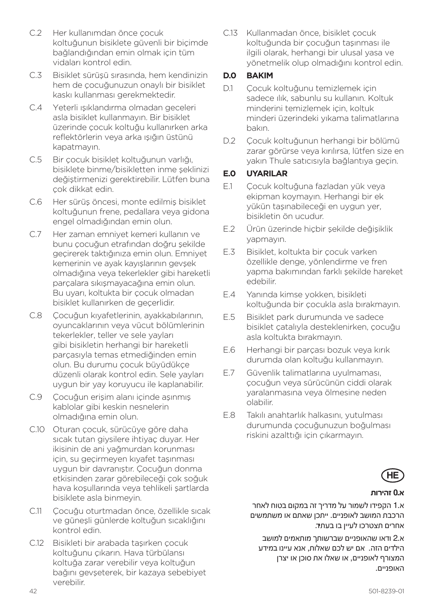- C.2 Her kullanımdan önce çocuk koltuğunun bisiklete güvenli bir biçimde bağlandığından emin olmak için tüm vidaları kontrol edin.
- C.3 Bisiklet sürüşü sırasında, hem kendinizin hem de çocuğunuzun onaylı bir bisiklet kaskı kullanması gerekmektedir.
- C.4 Yeterli ışıklandırma olmadan geceleri asla bisiklet kullanmayın. Bir bisiklet üzerinde çocuk koltuğu kullanırken arka reflektörlerin veya arka ışığın üstünü kapatmayın.
- C.5 Bir çocuk bisiklet koltuğunun varlığı, bisiklete binme/bisikletten inme şeklinizi değiştirmenizi gerektirebilir. Lütfen buna çok dikkat edin.
- C.6 Her sürüş öncesi, monte edilmiş bisiklet koltuğunun frene, pedallara veya gidona engel olmadığından emin olun.
- C.7 Her zaman emniyet kemeri kullanın ve bunu çocuğun etrafından doğru şekilde geçirerek taktığınıza emin olun. Emniyet kemerinin ve ayak kayışlarının gevşek olmadığına veya tekerlekler gibi hareketli parçalara sıkışmayacağına emin olun. Bu uyarı, koltukta bir çocuk olmadan bisiklet kullanırken de geçerlidir.
- C.8 Çocuğun kıyafetlerinin, ayakkabılarının, oyuncaklarının veya vücut bölümlerinin tekerlekler, teller ve sele yayları gibi bisikletin herhangi bir hareketli parçasıyla temas etmediğinden emin olun. Bu durumu çocuk büyüdükçe düzenli olarak kontrol edin. Sele yayları uygun bir yay koruyucu ile kaplanabilir.
- C.9 Çocuğun erişim alanı içinde aşınmış kablolar gibi keskin nesnelerin olmadığına emin olun.
- C.10 Oturan çocuk, sürücüye göre daha sıcak tutan giysilere ihtiyaç duyar. Her ikisinin de ani yağmurdan korunması için, su geçirmeyen kıyafet taşınması uygun bir davranıştır. Çocuğun donma etkisinden zarar görebileceği çok soğuk hava koşullarında veya tehlikeli şartlarda bisiklete asla binmeyin.
- C.11 Cocuğu oturtmadan önce, özellikle sıcak ve güneşli günlerde koltuğun sıcaklığını kontrol edin.
- C.12 Bisikleti bir arabada taşırken çocuk koltuğunu çıkarın. Hava türbülansı koltuğa zarar verebilir veya koltuğun bağını gevşeterek, bir kazaya sebebiyet verebilir.

C.13 Kullanmadan önce, bisiklet çocuk koltuğunda bir çocuğun taşınması ile ilgili olarak, herhangi bir ulusal yasa ve yönetmelik olup olmadığını kontrol edin.

## **D.0 BAKIM**

- D.1 Cocuk koltuğunu temizlemek için sadece ılık, sabunlu su kullanın. Koltuk minderini temizlemek için, koltuk minderi üzerindeki yıkama talimatlarına bakın.
- D.2 Çocuk koltuğunun herhangi bir bölümü zarar görürse veya kırılırsa, lütfen size en yakın Thule satıcısıyla bağlantıya geçin.

## **E.0 UYARILAR**

- E.1 Çocuk koltuğuna fazladan yük veya ekipman koymayın. Herhangi bir ek yükün taşınabileceği en uygun yer, bisikletin ön ucudur.
- E.2 Ürün üzerinde hiçbir şekilde değişiklik yapmayın.
- E.3 Bisiklet, koltukta bir çocuk varken özellikle denge, yönlendirme ve fren yapma bakımından farklı şekilde hareket edebilir.
- E.4 Yanında kimse yokken, bisikleti koltuğunda bir çocukla asla bırakmayın.
- E.5 Bisiklet park durumunda ve sadece bisiklet çatalıyla desteklenirken, çocuğu asla koltukta bırakmayın.
- E.6 Herhangi bir parçası bozuk veya kırık durumda olan koltuğu kullanmayın.
- E.7 Güvenlik talimatlarına uyulmaması, çocuğun veya sürücünün ciddi olarak yaralanmasına veya ölmesine neden olabilir.
- E.8 Takılı anahtarlık halkasını, yutulması durumunda çocuğunuzun boğulması riskini azalttığı için çıkarmayın.



#### **א0. זהירות**

א1. הקפידו לשמור על מדריך זה במקום בטוח לאחר הרכבת המושב לאופניים. ייתכן שאתם או משתמשים אחרים תצטרכו לעיין בו בעתיד.

א2. ודאו שהאופניים שברשותך מותאמים למושב הילדים הזה. אם יש לכם שאלות, אנא עיינו במידע המצורף לאופניים, או שאלו את סוכן או יצרן האופניים.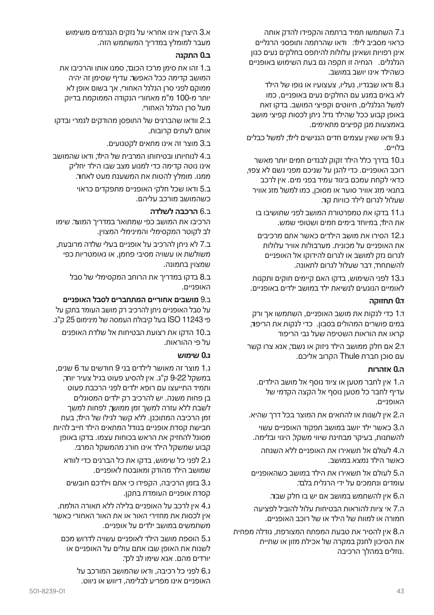ג7. השתמשו תמיד ברתמה והקפידו להדק אותה כראוי מסביב לילד. ודאו שהרתמה ותופסני הרגליים אינן רפויות ושאינן עלולות להיתפס בחלקים נעים כגון הגלגלים. הנחיה זו תקפה גם בעת השימוש באופניים כשהילד אינו יושב במושב.

ג8. ודאו שבגדיו, נעליו, צעצועיו או גופו של הילד לא באים במגע עם החלקים נעים באופניים, כמו למשל הגלגלים, חיווטים וקפיצי המושב. בדקו זאת באופן קבוע ככל שהילד גדל. ניתן לכסות קפיצי מושב באמצעות מגן קפיצים מתאימים.

ג9. ודאו שאין עצמים חדים הנגישים לילד, למשל כבלים בלויים.

ג10. בדרך כלל הילד זקוק לבגדים חמים יותר מאשר רוכב האופניים. כדי להגן על שניכם מפני גשם לא צפוי, כדאי לקחת עמכם ביגוד עמיד בפני מים. אין לרכב בתנאי מזג אוויר סוער או מסוכן, כמו למשל מזג אוויר שעלול לגרום לילד כוויות קור.

ג11. בדקו את טמפרטורת המושב לפני שתושיבו בו את הילד, במיוחד בימים חמים ושטופי שמש.

ג12. הסירו את מושב הילדים כאשר אתם מרכיבים את האופניים על מכונית. מערבולות אוויר עלולות לגרום נזק למושב או לגרום להידוקו אל האופניים להשתחרר, דבר שעלול לגרום לתאונה.

ג13. לפני השימוש, בדקו האם קיימים חוקים ותקנות לאומיים הנוגעים לנשיאת ילד במושב ילדים באופניים.

#### **ד0. תחזוקה**

ד1. כדי לנקות את מושב האופניים, השתמשו אך ורק במים פושרים המהולים בסבון. כדי לנקות את הריפוד, קראו את הוראות השטיפה שעל גבי הריפוד

ד2. אם חלק ממושב הילד ניזוק או נשבר, אנא צרו קשר עם סוכן חברת Thule הקרוב אליכם.

#### **ה0. אזהרות**

ה1. אין לחבר מטען או ציוד נוסף אל מושב הילדים. עדיף לחבר כל מטען נוסף אל הקצה הקדמי של האופניים.

ה2. אין לשנות או להתאים את המוצר בכל דרך שהיא.

ה3. כאשר ילד יושב במושב תפקוד האופניים עשוי להשתנות, בעיקר מבחינת שיווי משקל, היגוי ובלימה.

ה4. לעולם אל תשאירו את האופניים ללא השגחה כאשר הילד נמצא במושב.

ה5. לעולם אל תשאירו את הילד במושב כשהאופניים עומדים ונתמכים על ידי הרגלית בלבד.

ה6. אין להשתמש במושב אם יש בו חלק שבור.

ה7. אי ציות להוראות הבטיחות עלול להוביל לפציעה חמורה או למוות של הילד או של רוכב האופניים.

ה8. אין להסיר את טבעת המפתח המצורפת, גודלה מפחית את הסיכון לחנק במקרה של אכילת מזון או שתיית .נוזלים במהלך הרכיבה

א3. היצרן אינו אחראי על נזקים הנגרמים משימוש מעבר למומלץ במדריך המשתמש הזה.

#### **ב0. התקנה**

ב1. זהו את סימן מרכז הכובד, סמנו אותו והרכיבו את המושב קדימה ככל האפשר. עדיף שסימן זה יהיה ממוקם לפני סרן הגלגל האחורי, אך בשום אופן לא יותר מ100- מ"מ מאחורי הנקודה הממוקמת בדיוק מעל סרן הגלגל האחורי.

ב2. וודאו שהברגים של התופסן מהודקים לגמרי ובדקו אותם לעתים קרובות.

ב3. מוצר זה אינו מתאים לקטנועים.

ב4. לנוחיותו ובטיחותו המרבית של הילד, ודאו שהמושב אינו נוטה קדימה כדי למנוע מצב שבו הילד יחליק ממנו. מומלץ להטות את המשענת מעט לאחור.

> ב5. ודאו שכל חלקי האופניים מתפקדים כראוי כשהמושב מורכב עליהם.

#### ב6. **הרכבה לשלדה**

הרכיבו את המושב כפי שמתואר במדריך המוצר. שימו לב לקוטר המקסימלי והמינימלי המצוין.

ב7. לא ניתן להרכיב על אופניים בעלי שלדה מרובעת, משולשת או עשויה מסיבי פחמן, או גאומטריות כפי שמצוין בתמונה.

ב8. בדקו במדריך את הרוחב המקסימלי של סבל האופניים.

#### ב9. **מושבים אחוריים המתחברים לסבל האופניים**

על סבל האופניים ניתן להרכיב רק מושב העומד בתקן על פי 11243 ISO בעל קיבולת העמסה של מינימום 25 ק"ג.

ב10. הדקו את רצועת הבטיחות אל שלדת האופנים על פי ההוראות.

#### **ג0. שימוש**

ג1. מוצר זה מאושר לילדים בני 9 חודשים עד 6 שנים, במשקל 9-22 ק"ג. אין להסיע פעוט בגיל צעיר יותר, ותמיד התייעצו עם רופא ילדים לפני הרכבת פעוט בן פחות משנה. יש להרכיב רק ילדים המסוגלים לשבת ללא עזרה למשך זמן ממושך, לפחות למשך זמן הרכיבה המתוכנן. ללא קשר לגילו של הילד, בעת חבישת קסדת אופניים בגודל המתאים הילד חייב להיות מסוגל להחזיק את הראש בכוחות עצמו. בדקו באופן קבוע שמשקל הילד אינו חורג מהמשקל המרבי.

ג2. לפני כל שימוש, בדקו את כל הברגים כדי לוודא שמושב הילד מהודק ומאובטח לאופניים.

ג3. בזמן הרכיבה, הקפידו כי אתם וילדכם חובשים קסדת אופניים העומדת בתקן.

ג4. אין לרכב על האופניים בלילה ללא תאורה הולמת. אין לכסות את מחזירי האור או את האור האחורי כאשר .<br>משחמשים במושב ילדים על אופניים

ג5. הוספת מושב הילד לאופניים עשויה לדרוש מכם לשנות את האופן שבו אתם עולים על האופניים או יורדים מהם. אנא שימו לב לכך.

> ג6. לפני כל רכיבה, ודאו שהמושב המורכב על האופניים אינו מפריע לבלימה, דיווש או ניווט.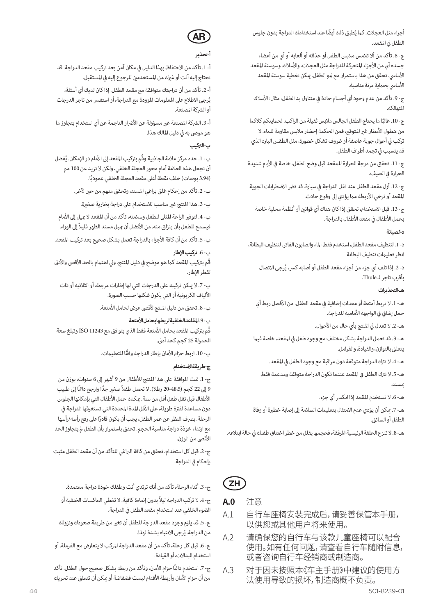أجزاء مثل العجلات. كما يُطبق ذلك أيضًا عند استخدامك الدراجة بدون جلوس الطفل في المقعد.

ج- .8 تأكد من أال تالمس مالبس الطفل أو حذائه أو ألعابه أو أي من أعضاء جسده أي من الأجزاء المتحركة للدراجة مثل العجلات، والأسلاك، وسوستة المقعد الأساسي. تحقق من هذا باستمرار مع نمو الطفل. يمكن تغطية سوستة المقعد الأساسي بحماية مرنة مناسبة.

ج- 9. تأكد من عدم وجود أي أجسام حادة في متناول يد الطفل، مثال: الأسلاك املتهالكة.

ج- 10. غالبًا ما يحتاج الطفل الجالس ملابس ثقيلة من الراكب. لحمايتكم كلاكما من هطول الأمطار غير المتوقع، فمن الحكمة إحضار ملابس مقاومة للماء. لا تركب يف أحوال جوية عاصفة أو ظروف تشكل خطورة، مثل الطقس البارد الذي قد يتسبب يف تجمد أطراف الطفل.

ج- .11 تحقق من درجة الحرارة للمقعد قبل وضع الطفل، خاصة يف األيام شديدة الحرارة في الصيف.

ج- 12. أزل مقعد الطفل عند نقل الدراجة في سيارة. قد تضر الاضطرابات الجوية المقعد أو ترخي الأربطة مما يؤدي إلى وقوع حادث.

ج- .13 قبل االستخدام، تحقق إذا كان هناك أي قوانني أو أنظمة محلية خاصة بحمل األطفال يف مقعد األطفال بالدراجة.

#### **د- الصيانة**

د- .1 لتنظيف مقعد الطفل، استخدم فقط املاء والصابون الفاتر. لتنظيف البطانة، انظر تعليامت تنظيف البطانة

د- 2. إذا تلف أي جزء من أجزاء مقعد الطفل أو أصابه كسر، يُرجى الاتصال بأقرب تاجر لـ Thule.

#### **هـ- التحذيرات**

هـ- 1. لا تربط أمتعة أو معدات إضافية في مقعد الطفل. من الأفضل ربط أي حمل إضافي في الواجهة الأمامية للدراجة.

هـ- 2. لا تعدل في المنتج بأي حال من الأحوال.

هـ- 3. قد تعمل الدراجة بشكل مختلف مع وجود طفل فى المقعد، خاصة فيما يتعلق بالتوازن، والقيادة، والفرامل.

هـ- 4. لا تترك الدراجة متوقفة دون مراقبة مع وجود الطفل في المقعد.

هـ- .5 ال ترتك الطفل يف املقعد عندما تكون الدراجة متوقفة ومدعمة فقط مبسند.

هـ- 6. لا تستخدم المقعد إذا انكسر أي جزء.

هـ- 7. مكن أن يؤدي عدم الامتثال بتعليمات السلامة إلى إصابة خطيرة أو وفاة الطفل أو السائق.

هـ- 8. لا تنزع الحلقة الرئيسية المرفقة، فحجمها يقلل من خطر اختناق طفلك في حالة ابتلاعه.



#### **A.0**  注意

- A.1 自行车座椅安装完成后,请妥善保管本手册, 以供您或其他用户将来使用。
- A.2 请确保您的自行车与该款儿童座椅可以配合 使用。如有任何问题,请查看自行车随附信息, 或者咨询自行车经销商或制造商。
- A.3 对于因未按照本《车主手册》中建议的使用方 法使用导致的损坏,制造商概不负责。

# **AR**

#### **أ- تحذير**

أ- .1 تأكد من االحتفاظ بهذا الدليل يف مكان آمن بعد تركيب مقعد الدراجة. قد تحتاج إليه أنت أو غريك من املستخدمني للرجوع إليه يف املستقبل.

أ- .2 تأكد من أن دراجتك متوافقة مع مقعد الطفل. إذا كان لديك أي أسئلة، يُرجى الاطلاع على المعلومات المزودة مع الدراجة، أو استفسر من تاجر الدرجات أو الرشكة املصنعة.

أ- 3. الشركة المصنعة غير مسؤولة عن الأضرار الناجمة عن أي استخدام يتجاوز ما هو موىص به يف دليل املالك هذا.

#### **ب- الرتكيب**

ب- 1. حدد مركز علامة الجاذبية وقَم بتركيب المقعد إلى الأمام در الإمكان. يُفضل أن تجعل هذه العالمة أمام محور العجلة الخلفي، ولكن ال تزيد عن 100 مم (3.94 بوصات) خلف نقطة أعلى مقعد العجلة الخلفي عموديًا.

ب- 2. تأكد من إحكام غلق براغي المسند، وتحقق منهم من حين لآخر.

ب- 3. هذا المنتج غير مناسب للاستخدام على دراجة بخارية صغيرة.

ب- 4. لتوفر الراحة المثلى للطفل وسلامته، تأكد من أن المقعد لا ميل إلى الأمام فيسمح للطفل بأن ينزلق منه. من األفضل أن مييل مسند الظهر قليالً إىل الوراء.

ب- .5 تأكد من أن كافة األجزاء بالدراجة تعمل بشكل صحيح بعد تركيب املقعد.

ب- .6 **تركيب اإلطار**  قُم بتركيب المقعد كما هو موضح في دليل المنتج. ولي اهتمام بالحد الأقصى والأدنى لقط الإطار.

ب- 7. لا ميكن تركيبه على الدرجات التي لها إطارات مربعة، أو الثلاثية أو ذات األلياف الكربونية أو التي يكون شكلها حسب الصورة.

ب- .8 تحقق من دليل املنتج ألقىص عرض لحامل األمتعة.

#### ب- .9 **املقاعد الخلفية لربطها بحامل األمتعة**

قُم برتكيب املقعد بحامل األمتعة فقط الذي يتوافق مع 11243 ISO وتبلغ سعة الحمولة 25 كجم كحد أدىن.

ب- 10. اربط حزام الأمان بإطار الدراجة وفقًا للتعليمات.

#### **ج- طريقة االستخدام**

ج- .1 متت املوافقة عىل هذا املنتج لألطفال من 9 أشهر إىل 6 سنوات، بوزن من 9 إلى 22 كجم (48.5-20 رطلا). لا تحمل طفلاً صغير جدًا وارجع دامًاً إلى طبيب األطفال قبل نقل طفل أقل من سنة. ميكنك حمل األطفال التي بإمكانها الجلوس دون مساعدة لفترة طويلة، على الأقل المدة المحددة التي تستغرقها الدراجة في ً الرحلة. برصف النظر عن عمر الطفل، يجب أن يكون قادرا عىل رفع رأسه/رأسها مع ارتداء خوذة دراجة مناسبة الحجم. تحقق باستمرار بأن الطفل مل يتجاوز الحد الأقصى من الوزن.

ج- .2 قبل كل استخدام، تحقق من كافة الرباغي للتأكد من أن مقعد الطفل مثبت بإحكام في الدراجة.

ج- .3 أثناء الرحلة، تأكد من أنك ترتدي أنت وطفلك خوذة دراجة معتمدة.

ج- 4. لا تركب الدراجة ليلاً بدون إضاءة كافية. لا تغطي العاكسات الخلفية أو الضوء الخلفي عند استخدام مقعد الطفل يف الدراجة.

ج- .5 قد يلزم وجود مقعد الدراجة للطفل أن تغري من طريقة صعودك ونزولك من الدراجة. يُرجى الانتباه بشدة لهذا.

ج- 6. قبل كل رحلة، تأكد من أن مقعد الدراجة المركب لا يتعارض مع الفرملة، أو استخدام البداالت، أو القيادة.

ج- 7. استخدم دامًاً حزام الأمان، وتأكد من ربطه بشكل صحيح حول الطفل. تأكد من أن حزام الأمان وأربطة الأقدام ليست فضفاضة أو مِكن أن تتعلق عند تحريك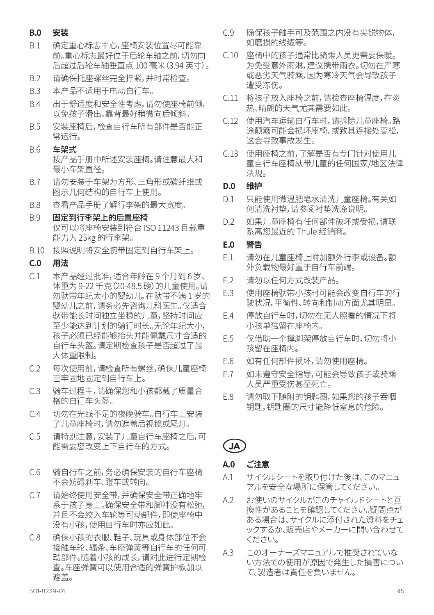#### **B.0 安装**

- B.1 确定重心标志中心,座椅安装位置尽可能靠 前。重心标志最好位于后轮车轴之前,切勿向 后超过后轮车轴垂直点 100 毫米(3.94 英寸)。
- B.2 请确保托座螺丝完全拧紧,并时常检查。
- B.3 本产品不适用于电动自行车。
- B.4 出于舒适度和安全性考虑,请勿使座椅前倾, 以免孩子滑出。靠背最好稍微向后倾斜。
- B.5 安装座椅后,检查自行车所有部件是否能正 常运行。
- B.6 车架式 按产品手册中所述安装座椅。请注意最大和 最小车架直径。
- B.7 请勿安装于车架为方形、三角形或碳纤维或 图示几何结构的自行车上使用。
- B.8 查看产品手册了解行李架的最大宽度。
- B.9 固定到行李架上的后置座椅 仅可以将座椅安装到符合 ISO 11243 且载重 能力为 25kg 的行李架。
- B.10 按照说明将安全腕带固定到自行车架上。

#### **C.0 用法**

- C.1 本产品经过批准,适合年龄在 9 个月到 6 岁、 体重为 9-22 千克 (20-48.5 磅) 的儿童使用。请 勿驮带年纪太小的婴幼儿,在驮带不满 1 岁的 婴幼儿之前,请务必先咨询儿科医生。仅适合 驮带能长时间独立坐稳的儿童,坚持时间应 至少能达到计划的骑行时长。无论年纪大小, 孩子必须已经能够抬头并能佩戴尺寸合适的 自行车头盔。请定期检查孩子是否超过了最 大体重限制。
- C.2 每次使用前,请检查所有螺丝,确保儿童座椅 已牢固地固定到自行车上。
- C.3 骑车过程中,请确保您和小孩都戴了质量合 格的自行车头盔。
- C.4 切勿在光线不足的夜晚骑车。自行车上安装 了儿童座椅时,请勿遮盖后视镜或尾灯。
- C.5 请特别注意,安装了儿童自行车座椅之后,可 能需要您改变上下自行车的方式。
- C.6 骑自行车之前,务必确保安装的自行车座椅 不会妨碍刹车、蹬车或转向。
- C.7 请始终使用安全带,并确保安全带正确地牢 系于孩子身上。确保安全带和脚袢没有松弛, 并且不会绞入车轮等可动部件,即使座椅中 没有小孩,使用自行车时亦应如此。
- C.8 确保小孩的衣服、鞋子、玩具或身体部位不会 接触车轮、辐条、车座弹簧等自行车的任何可 动部件。随着小孩的成长,请对此进行定期检 查。车座弹簧可以使用合适的弹簧护板加以 遮盖。
- C.9 确保孩子触手可及范围之内没有尖锐物体, 如磨损的线缆等。
- C.10 座椅中的孩子通常比骑乘人员更需要保暖。 为免受意外雨淋,建议携带雨衣。切勿在严寒 或恶劣天气骑乘,因为寒冷天气会导致孩子 遭受冻伤。
- C.11 将孩子放入座椅之前,请检查座椅温度,在炎 热、晴朗的天气尤其需要如此。
- C.12 使用汽车运输自行车时,请拆除儿童座椅。路 途颠簸可能会损坏座椅,或致其连接处变松, 这会导致事故发生。
- C.13 使用座椅之前,了解是否有专门针对使用儿 童自行车座椅驮带儿童的任何国家/地区法律 法规。

#### **D.0 维护**

- D.1 只能使用微温肥皂水清洗儿童座椅。有关如 何清洗衬垫,请参阅衬垫洗涤说明。
- D.2 如果儿童座椅有任何部件破坏或受损,请联 系离您最近的 Thule 经销商。

#### **E.0 警告**

- E.1 请勿在儿童座椅上附加额外行李或设备。额 外负载物最好置于自行车前端。
- E.2 请勿以任何方式改装产品。
- E.3 使用座椅驮带小孩时可能会改变自行车的行 驶状况,平衡性、转向和制动方面尤其明显。
- E.4 停放自行车时,切勿在无人照看的情况下将 小孩单独留在座椅内。
- E.5 仅借助一个撑脚架停放自行车时,切勿将小 孩留在座椅内。
- E.6 如有任何部件损坏,请勿使用座椅。
- E.7 如未遵守安全指导,可能会导致孩子或骑乘 人员严重受伤甚至死亡。
- E.8 请勿取下随附的钥匙圈,如果您的孩子吞咽 钥匙,钥匙圈的尺寸能降低窒息的危险。
- **JA**

# **A.0 ご注意**

- A.1 サイクルシートを取り付けた後は、このマニュ アルを安全な場所に保管してください。
- A.2 お使いのサイクルがこのチャイルドシートと互 換性があることを確認してください。疑問点が ある場合は、サイクルに添付された資料をチェ ックするか、販売店やメーカーに問い合わせて ください。
- A.3 このオーナーズマニュアルで推奨されていな い方法での使用が原因で発生した損害につい て、製造者は責任を負いません。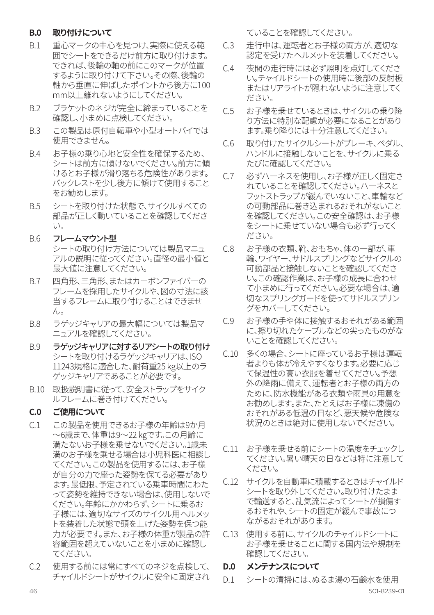#### **B.0 取り付けについて**

- B.1 重心マークの中心を見つけ、実際に使える範 囲でシートをできるだけ前方に取り付けます。 できれば、後輪の軸の前にこのマークが位置 するように取り付けて下さい。その際、後輪の 軸から垂直に伸ばしたポイントから後方に100 mm以上離れないようにしてください。
- B.2 ブラケットのネジが完全に締まっていることを 確認し、小まめに点検してください。
- B.3 この製品は原付自転車や小型オートバイでは 使用できません。
- B.4 お子様の乗り心地と安全性を確保するため、 シートは前方に傾けないでください。前方に傾 けるとお子様が滑り落ちる危険性があります。 バックレストを少し後方に傾けて使用すること をお勧めします。
- B.5 シートを取り付けた状態で、サイクルすべての 部品が正しく動いていることを確認してくださ い。
- **B.6 フレームマウント型** シートの取り付け方法については製品マニュ アルの説明に従ってください。直径の最小値と 最大値に注意してください。
- B.7 四角形、三角形、またはカーボンファイバーの フレームを採用したサイクルや、図の寸法に該 当するフレームに取り付けることはできませ ん。
- B.8 ラゲッジキャリアの最大幅については製品マ ニュアルを確認してください。
- B.9 ラゲッジキャリアに対するリアシートの取り付け シートを取り付けるラゲッジキャリアは、ISO 11243規格に適合した、耐荷重25 kg以上のラ ゲッジキャリアであることが必要です。
- B.10 取扱説明書に従って、安全ストラップをサイク ルフレームに巻き付けてください。

#### **C.0 ご使用について**

- C.1 この製品を使用できるお子様の年齢は9か月 ~6歳まで、体重は9~22 kgです。この月齢に 満たないお子様を乗せないでください。1歳未 満のお子様を乗せる場合は小児科医に相談し てください。この製品を使用するには、お子様 が自分の力で座った姿勢を保てる必要があり ます。最低限、予定されている乗車時間にわた って姿勢を維持できない場合は、使用しないで ください。年齢にかかわらず、シートに乗るお 子様には、適切なサイズのサイクル用ヘルメッ トを装着した状態で頭を上げた姿勢を保つ能 力が必要です。また、お子様の体重が製品の許 容範囲を超えていないことを小まめに確認し てください。
- C.2 使用する前には常にすべてのネジを点検して、 チャイルドシートがサイクルに安全に固定され

ていることを確認してください。

- C.3 走行中は、運転者とお子様の両方が、適切な 認定を受けたヘルメットを装着してください。
- C.4 夜間の走行時には必ず照明を点灯してくださ い。チャイルドシートの使用時に後部の反射板 またはリアライトが隠れないように注意してく ださい。
- C.5 お子様を乗せているときは、サイクルの乗り降 り方法に特別な配慮が必要になることがあり ます。乗り降りには十分注意してください。
- C.6 取り付けたサイクルシートがブレーキ、ペダル、 ハンドルに接触しないことを、サイクルに乗る たびに確認してください。
- C.7 必ずハーネスを使用し、お子様が正しく固定さ れていることを確認してください。ハーネスと フットストラップが緩んでいないこと、車輪など の可動部品に巻き込まれるおそれがないこと を確認してください。この安全確認は、お子様 をシートに乗せていない場合も必ず行ってく ださい。
- C.8 お子様の衣類、靴、おもちゃ、体の一部が、車 輪、ワイヤー、サドルスプリングなどサイクルの 可動部品と接触しないことを確認してくださ い。この確認作業は、お子様の成長に合わせ て小まめに行ってください。必要な場合は、適 切なスプリングガードを使ってサドルスプリン グをカバーしてください。
- C.9 お子様の手や体に接触するおそれがある範囲 に、擦り切れたケーブルなどの尖ったものがな いことを確認してください。
- C.10 多くの場合、シートに座っているお子様は運転 者よりも体が冷えやすくなります。必要に応じ て保温性の高い衣服を着せてください。予想 外の降雨に備えて、運転者とお子様の両方の ために、防水機能がある衣類や雨具の用意を お勧めします。また、たとえばお子様に凍傷の おそれがある低温の日など、悪天候や危険な 状況のときは絶対に使用しないでください。
- C.11 お子様を乗せる前にシートの温度をチェックし てください。暑い晴天の日などは特に注意して ください。
- C.12 サイクルを自動車に積載するときはチャイルド シートを取り外してください。取り付けたまま で輸送すると、乱気流によってシートが損傷す るおそれや、シートの固定が緩んで事故につ ながるおそれがあります。
- C.13 使用する前に、サイクルのチャイルドシートに お子様を乗せることに関する国内法や規制を 確認してください。

#### **D.0 メンテナンスについて**

46 501-8239-01 D.1 シートの清掃には、ぬるま湯の石鹸水を使用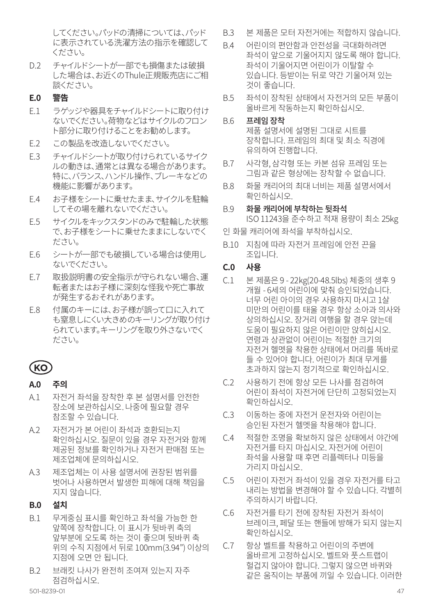してください。パッドの清掃については、パッド に表示されている洗濯方法の指示を確認して ください。

D.2 チャイルドシートが一部でも損傷または破損 した場合は、お近くのThule正規販売店にご相 談ください。

#### **E.0 警告**

- F1 ラゲッジや器具をチャイルドシートに取り付け ないでください。荷物などはサイクルのフロン ト部分に取り付けることをお勧めします。
- E.2 この製品を改造しないでください。
- E.3 チャイルドシートが取り付けられているサイク ルの動きは、通常とは異なる場合があります。 特に、バランス、ハンドル操作、ブレーキなどの 機能に影響があります。
- E.4 お子様をシートに乗せたまま、サイクルを駐輪 してその場を離れないでください。
- F.5 サイクルをキックスタンドのみで駐輪した状態 で、お子様をシートに乗せたままにしないでく ださい。
- E.6 シートが一部でも破損している場合は使用し ないでください。
- E.7 取扱説明書の安全指示が守られない場合、運 転者またはお子様に深刻な怪我や死亡事故 が発生するおそれがあります。
- E.8 付属のキーには、お子様が誤って口に入れて も窒息しにくい大きめのキーリングが取り付け られています。キーリングを取り外さないでく ださい。

# **KO**

#### **A.0 주의**

- A.1 자전거 좌석을 장착한 후 본 설명서를 안전한 장소에 보관하십시오. 나중에 필요할 경우 참조할 수 있습니다.
- A.2 자전거가 본 어린이 좌석과 호환되는지 확인하십시오. 질문이 있을 경우 자전거와 함께 제공된 정보를 확인하거나 자전거 판매점 또는 제조업체에 문의하십시오.
- A.3 제조업체는 이 사용 설명서에 권장된 범위를 벗어나 사용하면서 발생한 피해에 대해 책임을 지지 않습니다.

#### **B.0 설치**

- B.1 무게중심 표시를 확인하고 좌석을 가능한 한 앞쪽에 장착합니다. 이 표시가 뒷바퀴 축의 앞부분에 오도록 하는 것이 좋으며 뒷바퀴 축 위의 수직 지점에서 뒤로 100mm(3.94") 이상의 지점에 오면 안 됩니다.
- B.2 브래킷 나사가 완전히 조여져 있는지 자주 점검하십시오.<br>501-8239-01
- B.3 본 제품은 모터 자전거에는 적합하지 않습니다.
- B.4 어린이의 편안함과 안전성을 극대화하려면 좌석이 앞으로 기울어지지 않도록 해야 합니다. 좌석이 기울어지면 어린이가 이탈할 수 있습니다. 등받이는 뒤로 약간 기울어져 있는 것이 좋습니다.
- B.5 좌석이 장착된 상태에서 자전거의 모든 부품이 올바르게 작동하는지 확인하십시오.
- B.6 프레임 장착 제품 설명서에 설명된 그대로 시트를 장착합니다. 프레임의 최대 및 최소 직경에 유의하여 진행합니다.
- B.7 사각형, 삼각형 또는 카본 섬유 프레임 또는 그림과 같은 형상에는 장착할 수 없습니다.
- B.8 화물 캐리어의 최대 너비는 제품 설명서에서 확인하십시오.
- B.9 화물 캐리어에 부착하는 뒷좌석

ISO 11243을 준수하고 적재 용량이 최소 25kg 인 화물 캐리어에 좌석을 부착하십시오.

- B.10 지침에 따라 자전거 프레임에 안전 끈을 조입니다.
- **C.0 사용**
- C.1 본 제품은 9 22kg(20-48.5lbs) 체중의 생후 9 개월 - 6세의 어린이에 맞춰 승인되었습니다. 너무 어린 아이의 경우 사용하지 마시고 1살 미만의 어린이를 태울 경우 항상 소아과 의사와 상의하십시오. 장거리 여행을 할 경우 앉는데 도움이 필요하지 않은 어린이만 앉히십시오. 연령과 상관없이 어린이는 적절한 크기의 자전거 헬멧을 착용한 상태에서 머리를 똑바로 들 수 있어야 합니다. 어린이가 최대 무게를 초과하지 않는지 정기적으로 확인하십시오.
- C.2 사용하기 전에 항상 모든 나사를 점검하여 어린이 좌석이 자전거에 단단히 고정되었는지 확인하십시오.
- C.3 이동하는 중에 자전거 운전자와 어린이는 승인된 자전거 헬멧을 착용해야 합니다.
- C.4 적절한 조명을 확보하지 않은 상태에서 야간에 자전거를 타지 마십시오. 자전거에 어린이 좌석을 사용할 때 후면 리플렉터나 미등을 가리지 마십시오.
- C.5 어린이 자전거 좌석이 있을 경우 자전거를 타고 내리는 방법을 변경해야 할 수 있습니다. 각별히 주의하시기 바랍니다.
- C.6 자전거를 타기 전에 장착된 자전거 좌석이 브레이크, 페달 또는 핸들에 방해가 되지 않는지 확인하십시오.
- C.7 항상 벨트를 착용하고 어린이의 주변에 올바르게 고정하십시오. 벨트와 풋스트랩이 헐겁지 않아야 합니다. 그렇지 않으면 바퀴와 같은 움직이는 부품에 끼일 수 있습니다. 이러한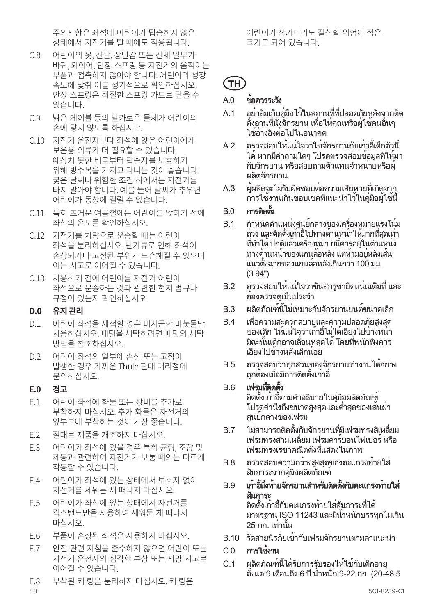주의사항은 좌석에 어린이가 탑승하지 않은 상태에서 자전거를 탈 때에도 적용됩니다.

- C.8 어린이의 옷, 신발, 장난감 또는 신체 일부가 바퀴, 와이어, 안장 스프링 등 자전거의 움직이는 부품과 접촉하지 않아야 합니다. 어린이의 성장 속도에 맞춰 이를 정기적으로 확인하십시오. 안장 스프링은 적절한 스프링 가드로 덮을 수 있습니다.
- C.9 낡은 케이블 등의 날카로운 물체가 어린이의 손에 닿지 않도록 하십시오.
- C.10 자전거 운전자보다 좌석에 앉은 어린이에게 보온용 의류가 더 필요할 수 있습니다. 예상치 못한 비로부터 탑승자를 보호하기 위해 방수복을 가지고 다니는 것이 좋습니다. 궂은 날씨나 위험한 조건 하에서는 자전거를 타지 말아야 합니다. 예를 들어 날씨가 추우면 어린이가 동상에 걸릴 수 있습니다.
- C.11 특히 뜨거운 여름철에는 어린이를 앉히기 전에 좌석의 온도를 확인하십시오.
- C.12 자전거를 차량으로 운송할 때는 어린이 좌석을 분리하십시오. 난기류로 인해 좌석이 손상되거나 고정된 부위가 느슨해질 수 있으며 이는 사고로 이어질 수 있습니다.
- C.13 사용하기 전에 어린이를 자전거 어린이 좌석으로 운송하는 것과 관련한 현지 법규나 규정이 있는지 확인하십시오.

#### **D.0 유지 관리**

- D.1 어린이 좌석을 세척할 경우 미지근한 비눗물만 사용하십시오. 패딩을 세탁하려면 패딩의 세탁 방법을 참조하십시오.
- D.2 어린이 좌석의 일부에 손상 또는 고장이 발생한 경우 가까운 Thule 판매 대리점에 문의하십시오.

#### **E.0 경고**

- E.1 어린이 좌석에 화물 또는 장비를 추가로 부착하지 마십시오. 추가 화물은 자전거의 앞부분에 부착하는 것이 가장 좋습니다.
- E.2 절대로 제품을 개조하지 마십시오.
- E.3 어린이가 좌석에 있을 경우 특히 균형, 조향 및 제동과 관련하여 자전거가 보통 때와는 다르게 작동할 수 있습니다.
- E.4 어린이가 좌석에 있는 상태에서 보호자 없이 자전거를 세워둔 채 떠나지 마십시오.
- E.5 어린이가 좌석에 있는 상태에서 자전거를 킥스탠드만을 사용하여 세워둔 채 떠나지 마십시오.
- E.6 부품이 손상된 좌석은 사용하지 마십시오.
- E.7 안전 관련 지침을 준수하지 않으면 어린이 또는 자전거 운전자의 심각한 부상 또는 사망 사고로 이어질 수 있습니다.
- E.8 부착된 키 링을 분리하지 마십시오. 키 링은

어린이가 삼키더라도 질식할 위험이 적은 크기로 되어 있습니다.

# **TH**

# $AD = \frac{1}{2}$ คลควรระวัง

- A.1 อย่าลืมเก็บคู่มือไว้ในสถานที่ที่ปลอดภัยหลังจากติด ตั้งอานที่นั่งจักรยาน เพื่อให้คุณหรือผู้ใช้คนอื่นๆ ใช้อ้างอิงต่อไปในอนาคต
- A.2 ตรวจสอบให้แน่ใจว่าใช้จักรยานกับเก้าอี้เด็กตัวนี้ ได้หากมีคำ ถามใดๆ โปรดตรวจสอบข้อมูลที่ให้มา กับจักรยาน หรือสอบถามตัวแทนจำ หน่ายหรือผู้ ผลิตจักรยาน
- A.3 ผู้ผลิตจะไม่รับผิดชอบต่อความเสียหายที่เกิดจาก การใช้งานเกินขอบเขตที่แนะนำ ไว้ในคู่มือผู้ใช้นี้

## $B<sub>0</sub>$  การติดตั้ง

- B.1 กำ หนดตำ แหน่งศูนย์กลางของเครื่องหมายแรงโน้ม ถ่วง และติดตั้งเก้าอี้ไปทางด้านหน้าให้มากที่สุดเท่า ที่ทำ ได้ปกติแล้วเครื่องหมา ยนี้ควรอยู่ในตำ แหน่ง ทางด้านหน้าของแกนล้อหลัง แต่ห้ามอยู่หลังเส้น แนวตั้งฉากของแกนล้อหลังเกินกว่า 100 มม. (3.94")
- B.2 ตรวจสอบให้แน่ใจว่าขันสกรูขายึดแน่นเต็มที่ และ ต้องตรวจดูเป็นประจำ
- B.3 ผลิตภัณฑ์นี้ไม่เหมาะกับจักรยานยนต์ขนาดเล็ก
- B.4 เพื่อความสะดวกสบายและความปลอดภัยสูงสุด ของเด็ก ให้แน่ใจว่าเก้าอี้ไม่ได้เอียงไปข้างหน้า มิฉะนั้นเด็กอาจเลื่อนหลุดได้โดยที่พนักพิงควร เอียงไปข้างหลังเล็กน้อย
- B.5 ตรวจสอบว่าทุกส่วนของจักรยานทำ งานได้อย่าง ถูกต้องเมื่อมีการติดตั้งเก้าอี้

#### B.6 เฟรมที่ติดตั้ง

ติดตั้งเก้าอี้ตามคำ อธิบายในคู่มือผลิตภัณฑ์ โปรดคำ นึงถึงขนาดสูงสุดและต่ำ สุดของเส้นผ่า ศูนย์กลางของเฟรม

- B.7 ไม่สามารถติดตั้งกับจักรยานที่มีเฟรมทรงสี่เหลี่ยม เฟรมทรงสามเหลี่ยม เฟรมคาร์บอนไฟเบอร์หรือ เฟรมทรงเรขาคณิตดังที่แสดงในภาพ
- B.8 ตรวจสอบความกว้างสูงสุดของตะแกรงท้ายใส่ สัมภาระจากคู่มือผลิตภัณฑ์
- B.9 เก้าอี้นั่งท้ายจักรยานสำ หรับติดตั้งกับตะแกรงท้ายใส่ สัมภาระ ติดตั้งเก้าอี้กับตะแกรงท้ายใส่สัมภาระที่ได้ ี มาตรฐาน ISO 11243 และมีน้ำหนักบรรทุกไม**่เกิน** 25 กก. เท่านั้น
- B.10 รัดสายนิรภัยเข้ากับเฟรมจักรยานตามคำ แนะนำ
- C.0 การใช้งาน
- C.1 ผลิตภัณฑ์นี้ได้รับการรับรองให้ใช้กับเด็กอายุ ตั้งแต่ 9 เดือนถึง 6 ปีน้ำ หนัก 9-22 กก. (20-48.5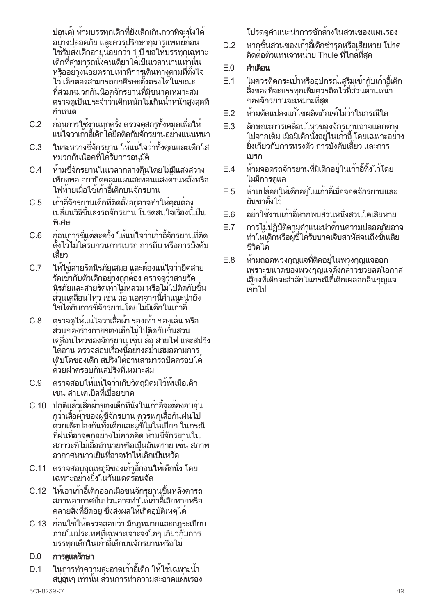ปอนด์) ห้ามบรรทุกเด็กที่ยังเล็กเกินกว่าที่จะนั่งได้ ้อย่างปลอดภัย และควรปรึกษากมารแพทย์ก่อน ใช้รับส่งเด็กอายุน้อยกว่า 1 ปีขอให้บรรทุกเฉพาะ เด็กที่สามารถนั่งคนเดียวได้เป็นเวลานานเท่านั้น หรืออย่างน้อยตราบเท่าที่การเดินทางตามที่ตั้งใจ ไว้เด็กต้องสามารถยกศีรษะตั้งตรงได้ในขณะ ที่สวมหมวกกันน็อคจักรยานที่มีขนาดเหมาะสม ตรวจดูเป็นประจำ ว่าเด็กหนักไม่เกินน้ำ หนักสูงสุดที่ กำ หนด

- C.2 ก่อนการใช้งานทุกครั้ง ตรวจดูสกรูทั้งหมดเพื่อให้ แน่ใจว่าเก้าอี้เด็กได้ยึดติดกับจักรยานอย่างแน่นหนา
- C.3 ในระหว่างขี่จักรยาน ให้แน่ใจว่าทั้งคุณและเด็กใส่ หมวกกันน็อคที่ได้รับการอนุมัติ
- C.4 ห้ามขี่จักรยานในเวลากลางคืนโดยไม่มีแสงสว่าง เพียงพอ อย่าปิดคลุมแผ่นสะท้อนแสงด้านหลังหรือ ไฟท้ายเมื่อใช้เก้าอี้เด็กบนจักรยาน
- C.5 เก้าอี้จักรยานเด็กที่ติดตั้งอยู่อาจทำ ให้คุณต้อง เปลี่ยนวิธีขึ้นลงรถจักรยาน โปรดสนใจเรื่องนี้เป็น พิเศษ
- C.6 ก่อนการขี่แต่ละครั้ง ให้แน่ใจว่าเก้าอี้จักรยานที่ติด ตั้งไว้ไม่ได้รบกวนการเบรก การถีบ หรือการบังคับ เลี้ยว
- C.7 ให้ใช้สายรัดนิรภัยเสมอ และต้องแน่ใจว่ายึดสาย รัดเข้ากับตัวเด็กอย่างถูกต้อง ตรวจดูว่าสายรัด นิรภัยและสายรัดเท้าไม่หลวม หรือไม่ไปติดกับชิ้น ส่วนเคลื่อนไหว เช่น ล้อ นอกจากนี้คำ แนะนำ ยัง ใช้ได้กับการขี่จักรยานโดยไม่มีเด็กในเก้าอี้
- C.8 ตรวจดูให้แน่ใจว่าเสื้อผ้า รองเท้า ของเล่น หรือ ส่วนของร่างกายของเด็กไม่ไปติดกับชิ้นส่วน เคลื่อนไหวของจักรยาน เช่น ล้อ สายไฟ และสปริง ใต้อาน ตรวจสอบเรื่องนี้อย่างสม่ำ เสมอตามการ เติบโตของเด็ก สปริงใต้อานสามารถปิดครอบได้ ด้วยฝาครอบกันสปริงที่เหมาะสม
- C.9 ตรวจสอบให้แน่ใจว่าเก็บวัตถุมีคมไว้พ้นมือเด็ก เช่น สายเคเบิลที่เปื่อยขาด
- C.10 ปกติแล้วเสื้อผ้าของเด็กที่นั่งในเก้าอี้จะต้องอบอุ่น กว่าเสื้อผ้าของผู้ขี่จักรยาน ควรพกเสื้อกันฝนไป ด้วยเพื่อป้องกันทั้งเด็กและผู้ขี่ไม่ให้เปียก ในกรณี ที่ฝนที่อาจตกอย่างไม่คาดคิด ห้ามขี่จักรยานใน สภาวะที่ไม่เอื้ออำ นวยหรือเป็นอันตราย เช่น สภาพ อากาศหนาวเย็นที่อาจทำ ให้เด็กเป็นหวัด
- C.11 ตรวจสอบอุณหภูมิของเก้าอี้ก่อนให้เด็กนั่ง โดย เฉพาะอย่างยิ่งในวันแดดร้อนจัด
- C.12 ให้เอาเก้าอี้เด็กออกเมื่อขนจักรยานขึ้นหลังคารถ สภาพอากาศปั่นป่วนอาจทำ ให้เก้าอี้เสียหายหรือ คลายสิ่งที่ยึดอยู่ ซึ่งส่งผลให้เกิดอุบัติเหตุได้
- C.13 ก่อนใช้ให้ตรวจสอบว่า มีกฎหมายและกฎระเบียบ ภายในประเทศที่เฉพาะเจาะจงใดๆ เกี่ยวกับการ บรรทุกเด็กในเก้าอี้เด็กบนจักรยานหรือไม่

#### D.0 การดูแลรักษา

D.1 ในการทำ ความสะอาดเก้าอี้เด็ก ให้ใช้เฉพาะน้ำ ้ สบอนๆ เท่านั้น ส่วนการทำความสะอาดแผ่นรอง โปรดดูคำ แนะนำ การซักล้างในส่วนของแผ่นรอง

D.2 หากชิ้นส่วนของเก้าอี้เด็กชำ รุดหรือเสียหาย โปรด ติดต่อตัวแทนจำ หน่าย Thule ที่ใกล้ที่สุด

## $F \cap \quad \mathsf{fin}$ ตือน

- E.1 ไม่ควรติดกระเป๋าหรืออุปกรณ์เสริมเข้ากับเก้าอี้เด็ก สิ่งของที่จะบรรทุกเพิ่มควรติดไว้ที่ส่วนด้านหน้า ของจักรยานจะเหมาะที่สุด
- E.2 ห้ามดัดแปลงแก้ไขผลิตภัณฑ์ไม่ว่าในกรณีใด
- E.3 ลักษณะการเคลื่อนไหวของจักรยานอาจแตกต่าง ไปจากเดิม เมื่อมีเด็กนั่งอยู่ในเก้าอี้โดยเฉพาะอย่าง ยิ่งเกี่ยวกับการทรงตัว การบังคับเลี้ยว และการ เบรก
- E.4 ห้ามจอดรถจักรยานที่มีเด็กอยู่ในเก้าอี้ทิ้งไว้โดย ไม่มีการดูแล
- E.5 ห้ามปล่อยให้เด็กอยู่ในเก้าอี้เมื่อจอดจักรยานและ ยันขาตั้งไว้
- E.6 อย่าใช้งานเก้าอี้หากพบส่วนหนึ่งส่วนใดเสียหาย
- E.7 การไม่ปฏิบัติตามคำ แนะนำ ด้านความปลอดภัยอาจ ทำ ให้เด็กหรือผู้ขี่ได้รับบาดเจ็บสาหัสจนถึงขั้นเสีย ชีวิตได้
- E.8 ห้ามถอดพวงกุญแจที่ติดอยู่ในพวงกุญแจออก เพราะขนาดของพวงกุญแจดังกล่าวช่วยลดโอกาส เสี่ยงที่เด็กจะสำ ลักในกรณีที่เด็กเผลอกลืนกุญแจ เข้าไป